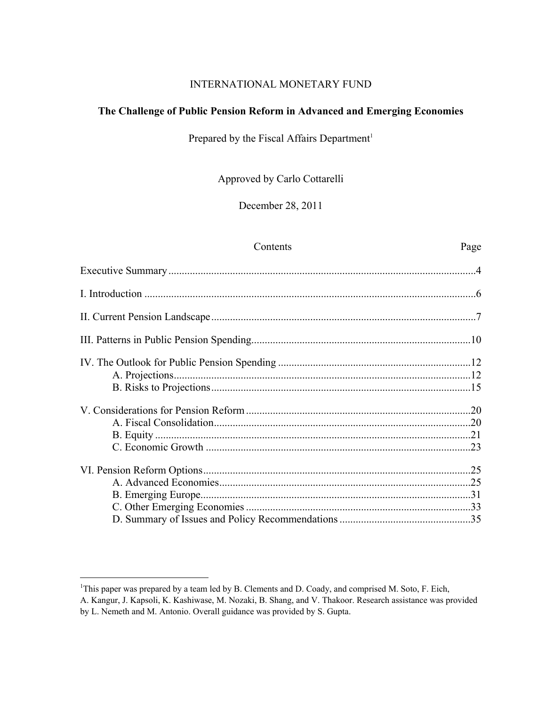# INTERNATIONAL MONETARY FUND

# **The Challenge of Public Pension Reform in Advanced and Emerging Economies**

# Prepared by the Fiscal Affairs Department<sup>1</sup>

Approved by Carlo Cottarelli

December 28, 2011

#### Contents Page

<sup>&</sup>lt;sup>1</sup>This paper was prepared by a team led by B. Clements and D. Coady, and comprised M. Soto, F. Eich, A. Kangur, J. Kapsoli, K. Kashiwase, M. Nozaki, B. Shang, and V. Thakoor. Research assistance was provided by L. Nemeth and M. Antonio. Overall guidance was provided by S. Gupta.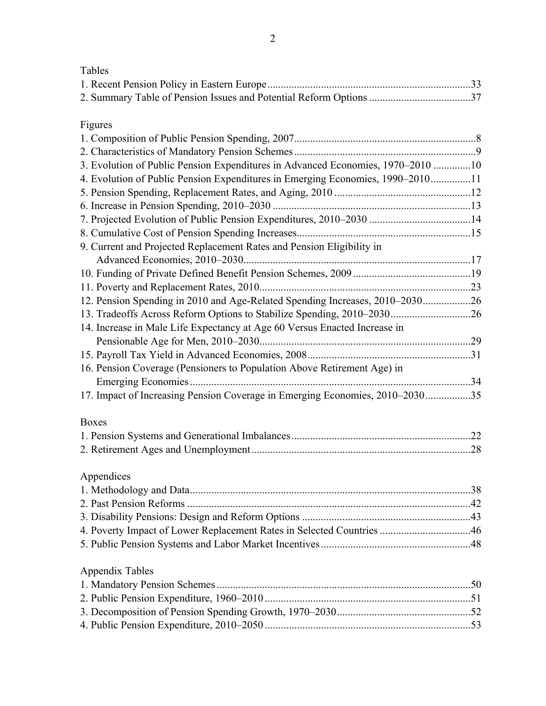Figures

| 3. Evolution of Public Pension Expenditures in Advanced Economies, 1970–2010 10 |  |
|---------------------------------------------------------------------------------|--|
| 4. Evolution of Public Pension Expenditures in Emerging Economies, 1990-201011  |  |
|                                                                                 |  |
|                                                                                 |  |
|                                                                                 |  |
|                                                                                 |  |
| 9. Current and Projected Replacement Rates and Pension Eligibility in           |  |
|                                                                                 |  |
|                                                                                 |  |
|                                                                                 |  |
| 12. Pension Spending in 2010 and Age-Related Spending Increases, 2010-203026    |  |
| 13. Tradeoffs Across Reform Options to Stabilize Spending, 2010–203026          |  |
| 14. Increase in Male Life Expectancy at Age 60 Versus Enacted Increase in       |  |
|                                                                                 |  |
|                                                                                 |  |
| 16. Pension Coverage (Pensioners to Population Above Retirement Age) in         |  |
|                                                                                 |  |
| 17. Impact of Increasing Pension Coverage in Emerging Economies, 2010-203035    |  |
| <b>Boxes</b>                                                                    |  |
|                                                                                 |  |
|                                                                                 |  |
| Appendices                                                                      |  |
|                                                                                 |  |
|                                                                                 |  |
|                                                                                 |  |
| 4. Poverty Impact of Lower Replacement Rates in Selected Countries 46           |  |
|                                                                                 |  |
| <b>Appendix Tables</b>                                                          |  |
|                                                                                 |  |
|                                                                                 |  |
|                                                                                 |  |
|                                                                                 |  |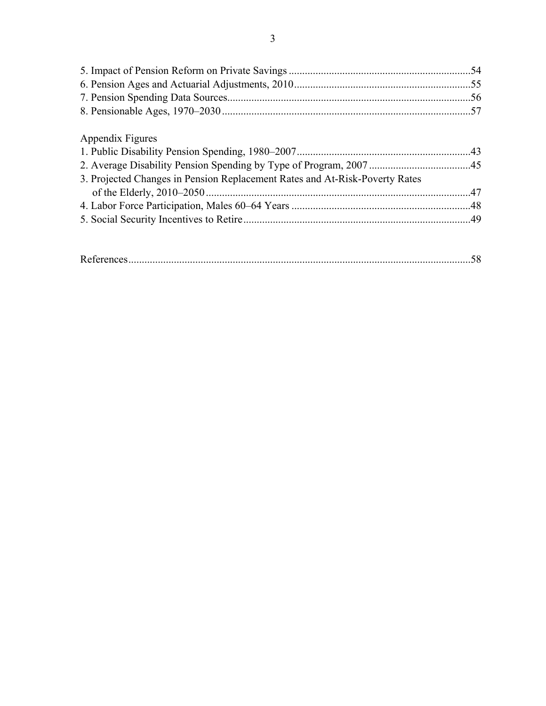| Appendix Figures                                                            |  |
|-----------------------------------------------------------------------------|--|
|                                                                             |  |
|                                                                             |  |
| 3. Projected Changes in Pension Replacement Rates and At-Risk-Poverty Rates |  |
|                                                                             |  |
|                                                                             |  |
|                                                                             |  |
|                                                                             |  |
|                                                                             |  |

| ח |  |
|---|--|
|   |  |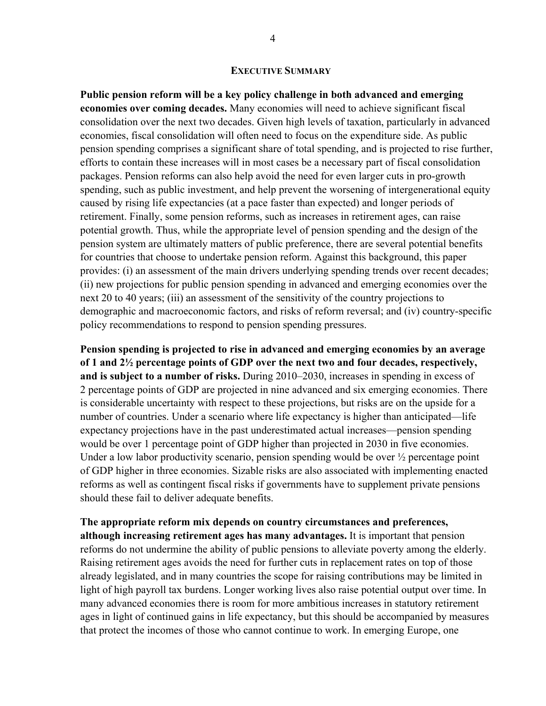#### **EXECUTIVE SUMMARY**

**Public pension reform will be a key policy challenge in both advanced and emerging economies over coming decades.** Many economies will need to achieve significant fiscal consolidation over the next two decades. Given high levels of taxation, particularly in advanced economies, fiscal consolidation will often need to focus on the expenditure side. As public pension spending comprises a significant share of total spending, and is projected to rise further, efforts to contain these increases will in most cases be a necessary part of fiscal consolidation packages. Pension reforms can also help avoid the need for even larger cuts in pro-growth spending, such as public investment, and help prevent the worsening of intergenerational equity caused by rising life expectancies (at a pace faster than expected) and longer periods of retirement. Finally, some pension reforms, such as increases in retirement ages, can raise potential growth. Thus, while the appropriate level of pension spending and the design of the pension system are ultimately matters of public preference, there are several potential benefits for countries that choose to undertake pension reform. Against this background, this paper provides: (i) an assessment of the main drivers underlying spending trends over recent decades; (ii) new projections for public pension spending in advanced and emerging economies over the next 20 to 40 years; (iii) an assessment of the sensitivity of the country projections to demographic and macroeconomic factors, and risks of reform reversal; and (iv) country-specific policy recommendations to respond to pension spending pressures.

**Pension spending is projected to rise in advanced and emerging economies by an average of 1 and 2½ percentage points of GDP over the next two and four decades, respectively, and is subject to a number of risks.** During 2010–2030, increases in spending in excess of 2 percentage points of GDP are projected in nine advanced and six emerging economies. There is considerable uncertainty with respect to these projections, but risks are on the upside for a number of countries. Under a scenario where life expectancy is higher than anticipated—life expectancy projections have in the past underestimated actual increases—pension spending would be over 1 percentage point of GDP higher than projected in 2030 in five economies. Under a low labor productivity scenario, pension spending would be over  $\frac{1}{2}$  percentage point of GDP higher in three economies. Sizable risks are also associated with implementing enacted reforms as well as contingent fiscal risks if governments have to supplement private pensions should these fail to deliver adequate benefits.

**The appropriate reform mix depends on country circumstances and preferences, although increasing retirement ages has many advantages.** It is important that pension reforms do not undermine the ability of public pensions to alleviate poverty among the elderly. Raising retirement ages avoids the need for further cuts in replacement rates on top of those already legislated, and in many countries the scope for raising contributions may be limited in light of high payroll tax burdens. Longer working lives also raise potential output over time. In many advanced economies there is room for more ambitious increases in statutory retirement ages in light of continued gains in life expectancy, but this should be accompanied by measures that protect the incomes of those who cannot continue to work. In emerging Europe, one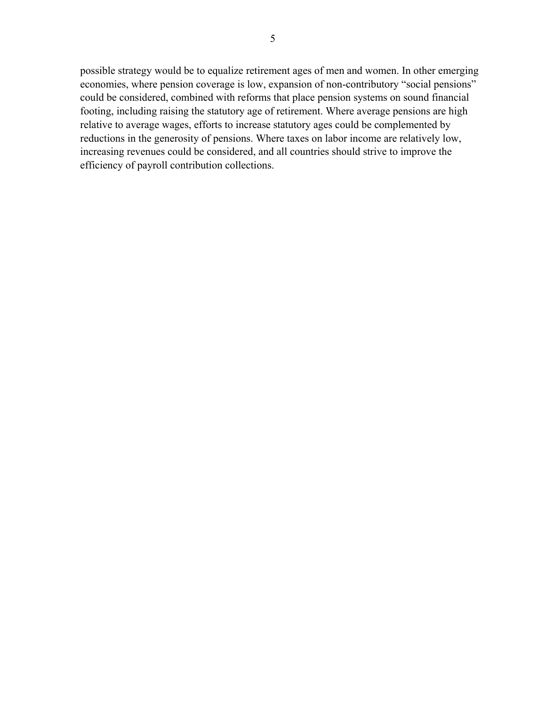possible strategy would be to equalize retirement ages of men and women. In other emerging economies, where pension coverage is low, expansion of non-contributory "social pensions" could be considered, combined with reforms that place pension systems on sound financial footing, including raising the statutory age of retirement. Where average pensions are high relative to average wages, efforts to increase statutory ages could be complemented by reductions in the generosity of pensions. Where taxes on labor income are relatively low, increasing revenues could be considered, and all countries should strive to improve the efficiency of payroll contribution collections.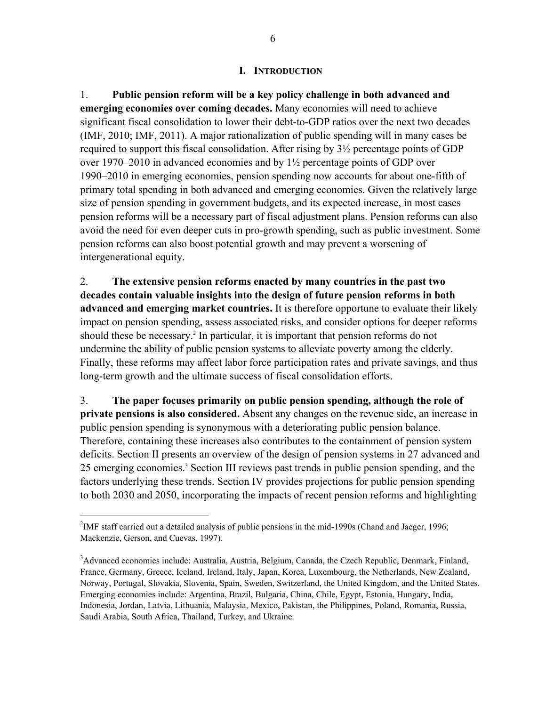# **I. INTRODUCTION**

1. **Public pension reform will be a key policy challenge in both advanced and emerging economies over coming decades.** Many economies will need to achieve significant fiscal consolidation to lower their debt-to-GDP ratios over the next two decades (IMF, 2010; IMF, 2011). A major rationalization of public spending will in many cases be required to support this fiscal consolidation. After rising by 3½ percentage points of GDP over 1970–2010 in advanced economies and by 1½ percentage points of GDP over 1990–2010 in emerging economies, pension spending now accounts for about one-fifth of primary total spending in both advanced and emerging economies. Given the relatively large size of pension spending in government budgets, and its expected increase, in most cases pension reforms will be a necessary part of fiscal adjustment plans. Pension reforms can also avoid the need for even deeper cuts in pro-growth spending, such as public investment. Some pension reforms can also boost potential growth and may prevent a worsening of intergenerational equity.

2. **The extensive pension reforms enacted by many countries in the past two decades contain valuable insights into the design of future pension reforms in both advanced and emerging market countries.** It is therefore opportune to evaluate their likely impact on pension spending, assess associated risks, and consider options for deeper reforms should these be necessary.<sup>2</sup> In particular, it is important that pension reforms do not undermine the ability of public pension systems to alleviate poverty among the elderly. Finally, these reforms may affect labor force participation rates and private savings, and thus long-term growth and the ultimate success of fiscal consolidation efforts.

3. **The paper focuses primarily on public pension spending, although the role of private pensions is also considered.** Absent any changes on the revenue side, an increase in public pension spending is synonymous with a deteriorating public pension balance. Therefore, containing these increases also contributes to the containment of pension system deficits. Section II presents an overview of the design of pension systems in 27 advanced and 25 emerging economies.<sup>3</sup> Section III reviews past trends in public pension spending, and the factors underlying these trends. Section IV provides projections for public pension spending to both 2030 and 2050, incorporating the impacts of recent pension reforms and highlighting

<sup>&</sup>lt;sup>2</sup>IMF staff carried out a detailed analysis of public pensions in the mid-1990s (Chand and Jaeger, 1996; Mackenzie, Gerson, and Cuevas, 1997).

<sup>&</sup>lt;sup>3</sup>Advanced economies include: Australia, Austria, Belgium, Canada, the Czech Republic, Denmark, Finland, France, Germany, Greece, Iceland, Ireland, Italy, Japan, Korea, Luxembourg, the Netherlands, New Zealand, Norway, Portugal, Slovakia, Slovenia, Spain, Sweden, Switzerland, the United Kingdom, and the United States. Emerging economies include: Argentina, Brazil, Bulgaria, China, Chile, Egypt, Estonia, Hungary, India, Indonesia, Jordan, Latvia, Lithuania, Malaysia, Mexico, Pakistan, the Philippines, Poland, Romania, Russia, Saudi Arabia, South Africa, Thailand, Turkey, and Ukraine.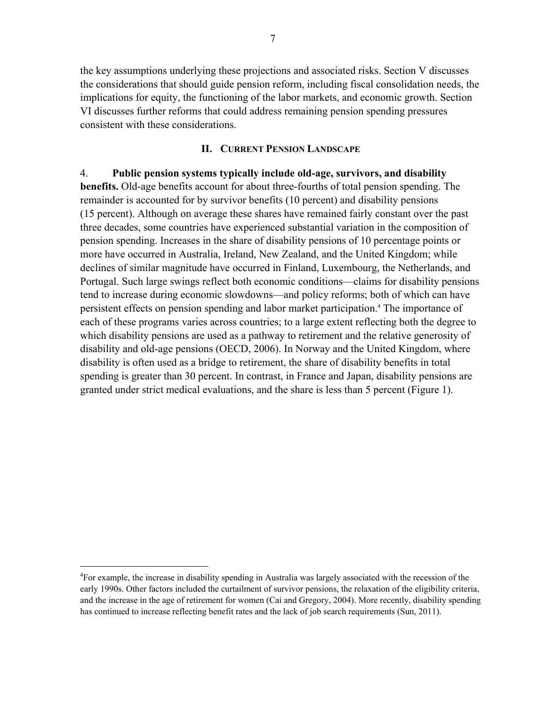the key assumptions underlying these projections and associated risks. Section V discusses the considerations that should guide pension reform, including fiscal consolidation needs, the implications for equity, the functioning of the labor markets, and economic growth. Section VI discusses further reforms that could address remaining pension spending pressures consistent with these considerations.

# **II. CURRENT PENSION LANDSCAPE**

4. **Public pension systems typically include old-age, survivors, and disability benefits.** Old-age benefits account for about three-fourths of total pension spending. The remainder is accounted for by survivor benefits (10 percent) and disability pensions (15 percent). Although on average these shares have remained fairly constant over the past three decades, some countries have experienced substantial variation in the composition of pension spending. Increases in the share of disability pensions of 10 percentage points or more have occurred in Australia, Ireland, New Zealand, and the United Kingdom; while declines of similar magnitude have occurred in Finland, Luxembourg, the Netherlands, and Portugal. Such large swings reflect both economic conditions—claims for disability pensions tend to increase during economic slowdowns—and policy reforms; both of which can have persistent effects on pension spending and labor market participation.<sup>4</sup> The importance of each of these programs varies across countries; to a large extent reflecting both the degree to which disability pensions are used as a pathway to retirement and the relative generosity of disability and old-age pensions (OECD, 2006). In Norway and the United Kingdom, where disability is often used as a bridge to retirement, the share of disability benefits in total spending is greater than 30 percent. In contrast, in France and Japan, disability pensions are granted under strict medical evaluations, and the share is less than 5 percent (Figure 1).

<sup>&</sup>lt;sup>4</sup>For example, the increase in disability spending in Australia was largely associated with the recession of the early 1990s. Other factors included the curtailment of survivor pensions, the relaxation of the eligibility criteria, and the increase in the age of retirement for women (Cai and Gregory, 2004). More recently, disability spending has continued to increase reflecting benefit rates and the lack of job search requirements (Sun, 2011).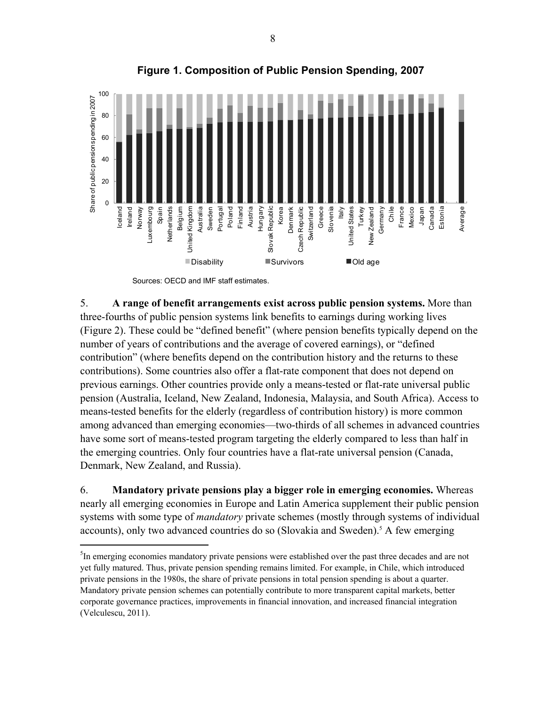

**Figure 1. Composition of Public Pension Spending, 2007** 

Sources: OECD and IMF staff estimates.

 $\overline{a}$ 

5. **A range of benefit arrangements exist across public pension systems.** More than three-fourths of public pension systems link benefits to earnings during working lives (Figure 2). These could be "defined benefit" (where pension benefits typically depend on the number of years of contributions and the average of covered earnings), or "defined contribution" (where benefits depend on the contribution history and the returns to these contributions). Some countries also offer a flat-rate component that does not depend on previous earnings. Other countries provide only a means-tested or flat-rate universal public pension (Australia, Iceland, New Zealand, Indonesia, Malaysia, and South Africa). Access to means-tested benefits for the elderly (regardless of contribution history) is more common among advanced than emerging economies—two-thirds of all schemes in advanced countries have some sort of means-tested program targeting the elderly compared to less than half in the emerging countries. Only four countries have a flat-rate universal pension (Canada, Denmark, New Zealand, and Russia).

6. **Mandatory private pensions play a bigger role in emerging economies.** Whereas nearly all emerging economies in Europe and Latin America supplement their public pension systems with some type of *mandatory* private schemes (mostly through systems of individual accounts), only two advanced countries do so (Slovakia and Sweden).<sup>5</sup> A few emerging

<sup>&</sup>lt;sup>5</sup>In emerging economies mandatory private pensions were established over the past three decades and are not yet fully matured. Thus, private pension spending remains limited. For example, in Chile, which introduced private pensions in the 1980s, the share of private pensions in total pension spending is about a quarter. Mandatory private pension schemes can potentially contribute to more transparent capital markets, better corporate governance practices, improvements in financial innovation, and increased financial integration (Velculescu, 2011).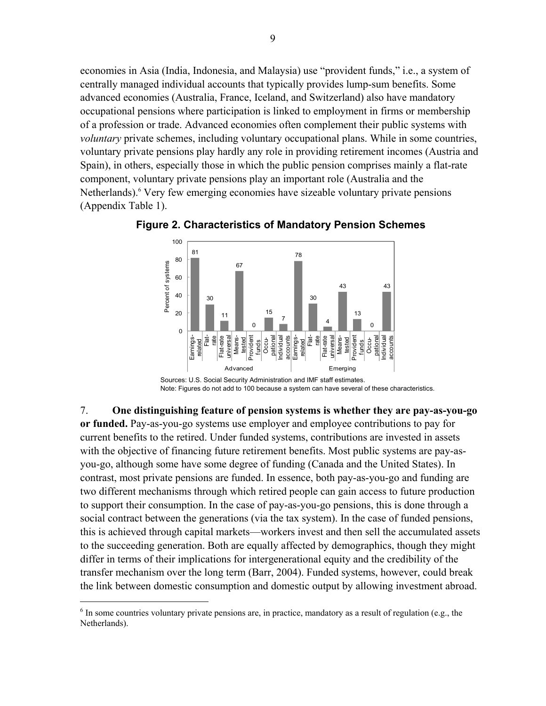economies in Asia (India, Indonesia, and Malaysia) use "provident funds," i.e., a system of centrally managed individual accounts that typically provides lump-sum benefits. Some advanced economies (Australia, France, Iceland, and Switzerland) also have mandatory occupational pensions where participation is linked to employment in firms or membership of a profession or trade. Advanced economies often complement their public systems with *voluntary* private schemes, including voluntary occupational plans. While in some countries, voluntary private pensions play hardly any role in providing retirement incomes (Austria and Spain), in others, especially those in which the public pension comprises mainly a flat-rate component, voluntary private pensions play an important role (Australia and the Netherlands).<sup>6</sup> Very few emerging economies have sizeable voluntary private pensions (Appendix Table 1).



**Figure 2. Characteristics of Mandatory Pension Schemes** 

7. **One distinguishing feature of pension systems is whether they are pay-as-you-go or funded.** Pay-as-you-go systems use employer and employee contributions to pay for current benefits to the retired. Under funded systems, contributions are invested in assets with the objective of financing future retirement benefits. Most public systems are pay-asyou-go, although some have some degree of funding (Canada and the United States). In contrast, most private pensions are funded. In essence, both pay-as-you-go and funding are two different mechanisms through which retired people can gain access to future production to support their consumption. In the case of pay-as-you-go pensions, this is done through a social contract between the generations (via the tax system). In the case of funded pensions, this is achieved through capital markets—workers invest and then sell the accumulated assets to the succeeding generation. Both are equally affected by demographics, though they might differ in terms of their implications for intergenerational equity and the credibility of the transfer mechanism over the long term (Barr, 2004). Funded systems, however, could break the link between domestic consumption and domestic output by allowing investment abroad.

Note: Figures do not add to 100 because a system can have several of these characteristics.

 $6$  In some countries voluntary private pensions are, in practice, mandatory as a result of regulation (e.g., the Netherlands).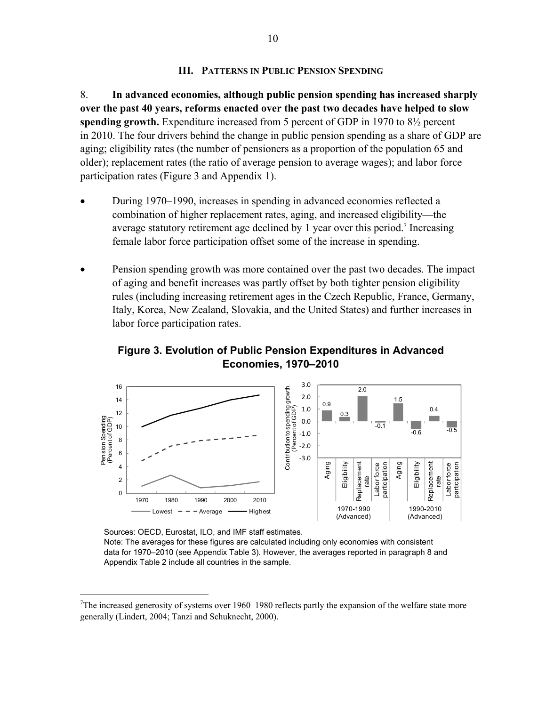### **III. PATTERNS IN PUBLIC PENSION SPENDING**

8. **In advanced economies, although public pension spending has increased sharply over the past 40 years, reforms enacted over the past two decades have helped to slow spending growth.** Expenditure increased from 5 percent of GDP in 1970 to 8½ percent in 2010. The four drivers behind the change in public pension spending as a share of GDP are aging; eligibility rates (the number of pensioners as a proportion of the population 65 and older); replacement rates (the ratio of average pension to average wages); and labor force participation rates (Figure 3 and Appendix 1).

- During 1970–1990, increases in spending in advanced economies reflected a combination of higher replacement rates, aging, and increased eligibility—the average statutory retirement age declined by 1 year over this period.<sup>7</sup> Increasing female labor force participation offset some of the increase in spending.
- Pension spending growth was more contained over the past two decades. The impact of aging and benefit increases was partly offset by both tighter pension eligibility rules (including increasing retirement ages in the Czech Republic, France, Germany, Italy, Korea, New Zealand, Slovakia, and the United States) and further increases in labor force participation rates.

**Figure 3. Evolution of Public Pension Expenditures in Advanced Economies, 1970–2010** 



Sources: OECD, Eurostat, ILO, and IMF staff estimates.

 $\overline{a}$ 

Note: The averages for these figures are calculated including only economies with consistent data for 1970–2010 (see Appendix Table 3). However, the averages reported in paragraph 8 and Appendix Table 2 include all countries in the sample.

<sup>&</sup>lt;sup>7</sup>The increased generosity of systems over 1960–1980 reflects partly the expansion of the welfare state more generally (Lindert, 2004; Tanzi and Schuknecht, 2000).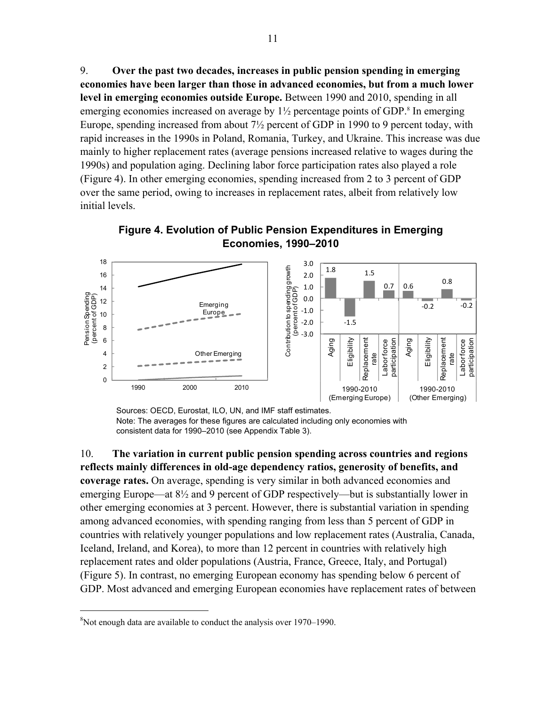9. **Over the past two decades, increases in public pension spending in emerging economies have been larger than those in advanced economies, but from a much lower level in emerging economies outside Europe.** Between 1990 and 2010, spending in all emerging economies increased on average by  $1\frac{1}{2}$  percentage points of GDP.<sup>8</sup> In emerging Europe, spending increased from about 7½ percent of GDP in 1990 to 9 percent today, with rapid increases in the 1990s in Poland, Romania, Turkey, and Ukraine. This increase was due mainly to higher replacement rates (average pensions increased relative to wages during the 1990s) and population aging. Declining labor force participation rates also played a role (Figure 4). In other emerging economies, spending increased from 2 to 3 percent of GDP over the same period, owing to increases in replacement rates, albeit from relatively low initial levels.



**Figure 4. Evolution of Public Pension Expenditures in Emerging Economies, 1990–2010**

Sources: OECD, Eurostat, ILO, UN, and IMF staff estimates. Note: The averages for these figures are calculated including only economies with consistent data for 1990–2010 (see Appendix Table 3).

10. **The variation in current public pension spending across countries and regions reflects mainly differences in old-age dependency ratios, generosity of benefits, and coverage rates.** On average, spending is very similar in both advanced economies and emerging Europe—at 8½ and 9 percent of GDP respectively—but is substantially lower in other emerging economies at 3 percent. However, there is substantial variation in spending among advanced economies, with spending ranging from less than 5 percent of GDP in countries with relatively younger populations and low replacement rates (Australia, Canada, Iceland, Ireland, and Korea), to more than 12 percent in countries with relatively high replacement rates and older populations (Austria, France, Greece, Italy, and Portugal) (Figure 5). In contrast, no emerging European economy has spending below 6 percent of GDP. Most advanced and emerging European economies have replacement rates of between

<sup>&</sup>lt;sup>8</sup>Not enough data are available to conduct the analysis over 1970–1990.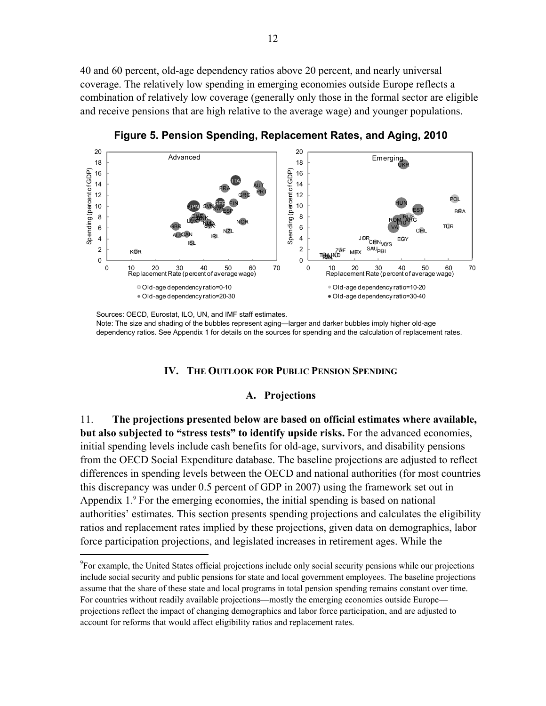40 and 60 percent, old-age dependency ratios above 20 percent, and nearly universal coverage. The relatively low spending in emerging economies outside Europe reflects a combination of relatively low coverage (generally only those in the formal sector are eligible and receive pensions that are high relative to the average wage) and younger populations.



**Figure 5. Pension Spending, Replacement Rates, and Aging, 2010** 

Sources: OECD, Eurostat, ILO, UN, and IMF staff estimates. Note: The size and shading of the bubbles represent aging—larger and darker bubbles imply higher old-age dependency ratios. See Appendix 1 for details on the sources for spending and the calculation of replacement rates.

#### **IV. THE OUTLOOK FOR PUBLIC PENSION SPENDING**

#### **A. Projections**

11. **The projections presented below are based on official estimates where available, but also subjected to "stress tests" to identify upside risks.** For the advanced economies, initial spending levels include cash benefits for old-age, survivors, and disability pensions from the OECD Social Expenditure database. The baseline projections are adjusted to reflect differences in spending levels between the OECD and national authorities (for most countries this discrepancy was under 0.5 percent of GDP in 2007) using the framework set out in Appendix 1.<sup>9</sup> For the emerging economies, the initial spending is based on national authorities' estimates. This section presents spending projections and calculates the eligibility ratios and replacement rates implied by these projections, given data on demographics, labor force participation projections, and legislated increases in retirement ages. While the

<sup>&</sup>lt;sup>9</sup>For example, the United States official projections include only social security pensions while our projections include social security and public pensions for state and local government employees. The baseline projections assume that the share of these state and local programs in total pension spending remains constant over time. For countries without readily available projections—mostly the emerging economies outside Europe projections reflect the impact of changing demographics and labor force participation, and are adjusted to account for reforms that would affect eligibility ratios and replacement rates.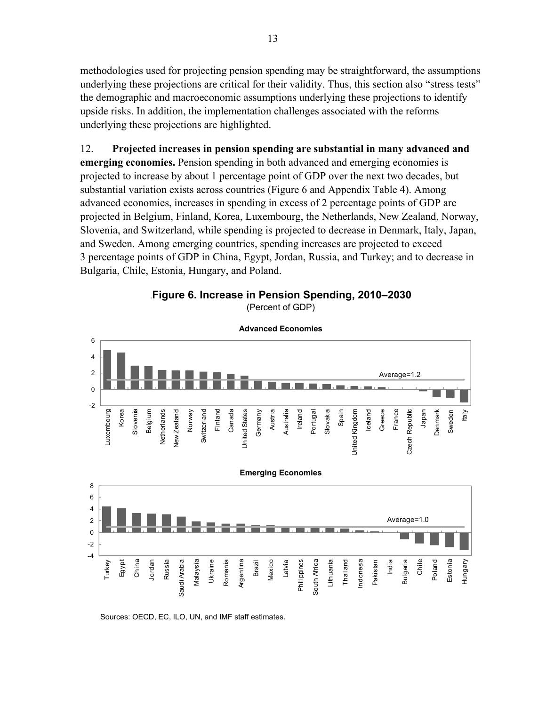methodologies used for projecting pension spending may be straightforward, the assumptions underlying these projections are critical for their validity. Thus, this section also "stress tests" the demographic and macroeconomic assumptions underlying these projections to identify upside risks. In addition, the implementation challenges associated with the reforms underlying these projections are highlighted.

12. **Projected increases in pension spending are substantial in many advanced and emerging economies.** Pension spending in both advanced and emerging economies is projected to increase by about 1 percentage point of GDP over the next two decades, but substantial variation exists across countries (Figure 6 and Appendix Table 4). Among advanced economies, increases in spending in excess of 2 percentage points of GDP are projected in Belgium, Finland, Korea, Luxembourg, the Netherlands, New Zealand, Norway, Slovenia, and Switzerland, while spending is projected to decrease in Denmark, Italy, Japan, and Sweden. Among emerging countries, spending increases are projected to exceed 3 percentage points of GDP in China, Egypt, Jordan, Russia, and Turkey; and to decrease in Bulgaria, Chile, Estonia, Hungary, and Poland.

.**Figure 6. Increase in Pension Spending, 2010–2030**  (Percent of GDP)



Sources: OECD, EC, ILO, UN, and IMF staff estimates.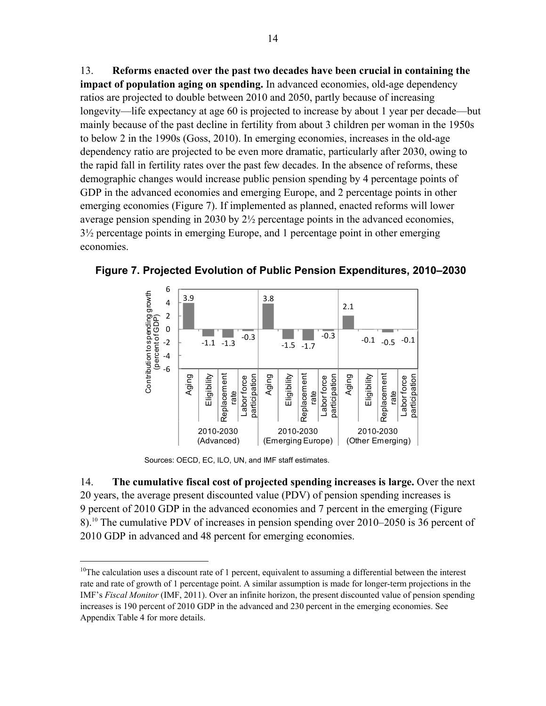13. **Reforms enacted over the past two decades have been crucial in containing the impact of population aging on spending.** In advanced economies, old-age dependency ratios are projected to double between 2010 and 2050, partly because of increasing longevity—life expectancy at age 60 is projected to increase by about 1 year per decade—but mainly because of the past decline in fertility from about 3 children per woman in the 1950s to below 2 in the 1990s (Goss, 2010). In emerging economies, increases in the old-age dependency ratio are projected to be even more dramatic, particularly after 2030, owing to the rapid fall in fertility rates over the past few decades. In the absence of reforms, these demographic changes would increase public pension spending by 4 percentage points of GDP in the advanced economies and emerging Europe, and 2 percentage points in other emerging economies (Figure 7). If implemented as planned, enacted reforms will lower average pension spending in 2030 by 2½ percentage points in the advanced economies, 3½ percentage points in emerging Europe, and 1 percentage point in other emerging economies.



**Figure 7. Projected Evolution of Public Pension Expenditures, 2010–2030** 

Sources: OECD, EC, ILO, UN, and IMF staff estimates.

 $\overline{a}$ 

14. **The cumulative fiscal cost of projected spending increases is large.** Over the next 20 years, the average present discounted value (PDV) of pension spending increases is 9 percent of 2010 GDP in the advanced economies and 7 percent in the emerging (Figure 8).10 The cumulative PDV of increases in pension spending over 2010–2050 is 36 percent of 2010 GDP in advanced and 48 percent for emerging economies.

<sup>&</sup>lt;sup>10</sup>The calculation uses a discount rate of 1 percent, equivalent to assuming a differential between the interest rate and rate of growth of 1 percentage point. A similar assumption is made for longer-term projections in the IMF's *Fiscal Monitor* (IMF, 2011). Over an infinite horizon, the present discounted value of pension spending increases is 190 percent of 2010 GDP in the advanced and 230 percent in the emerging economies. See Appendix Table 4 for more details.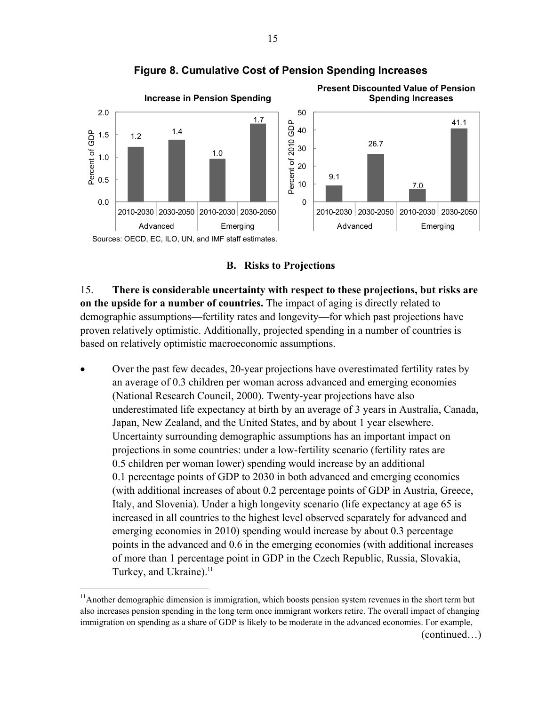

**Figure 8. Cumulative Cost of Pension Spending Increases** 

**B. Risks to Projections** 

15. **There is considerable uncertainty with respect to these projections, but risks are on the upside for a number of countries.** The impact of aging is directly related to demographic assumptions—fertility rates and longevity—for which past projections have proven relatively optimistic. Additionally, projected spending in a number of countries is based on relatively optimistic macroeconomic assumptions.

 Over the past few decades, 20-year projections have overestimated fertility rates by an average of 0.3 children per woman across advanced and emerging economies (National Research Council, 2000). Twenty-year projections have also underestimated life expectancy at birth by an average of 3 years in Australia, Canada, Japan, New Zealand, and the United States, and by about 1 year elsewhere. Uncertainty surrounding demographic assumptions has an important impact on projections in some countries: under a low-fertility scenario (fertility rates are 0.5 children per woman lower) spending would increase by an additional 0.1 percentage points of GDP to 2030 in both advanced and emerging economies (with additional increases of about 0.2 percentage points of GDP in Austria, Greece, Italy, and Slovenia). Under a high longevity scenario (life expectancy at age 65 is increased in all countries to the highest level observed separately for advanced and emerging economies in 2010) spending would increase by about 0.3 percentage points in the advanced and 0.6 in the emerging economies (with additional increases of more than 1 percentage point in GDP in the Czech Republic, Russia, Slovakia, Turkey, and Ukraine).<sup>11</sup>

 $\overline{a}$ 

(continued…)

 $11$ Another demographic dimension is immigration, which boosts pension system revenues in the short term but also increases pension spending in the long term once immigrant workers retire. The overall impact of changing immigration on spending as a share of GDP is likely to be moderate in the advanced economies. For example,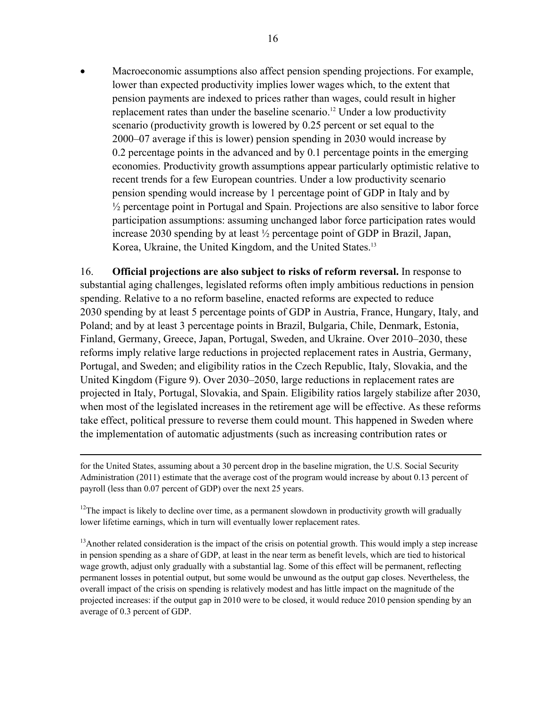Macroeconomic assumptions also affect pension spending projections. For example, lower than expected productivity implies lower wages which, to the extent that pension payments are indexed to prices rather than wages, could result in higher replacement rates than under the baseline scenario.<sup>12</sup> Under a low productivity scenario (productivity growth is lowered by 0.25 percent or set equal to the 2000–07 average if this is lower) pension spending in 2030 would increase by 0.2 percentage points in the advanced and by 0.1 percentage points in the emerging economies. Productivity growth assumptions appear particularly optimistic relative to recent trends for a few European countries. Under a low productivity scenario pension spending would increase by 1 percentage point of GDP in Italy and by <sup>1/2</sup> percentage point in Portugal and Spain. Projections are also sensitive to labor force participation assumptions: assuming unchanged labor force participation rates would increase 2030 spending by at least ½ percentage point of GDP in Brazil, Japan, Korea, Ukraine, the United Kingdom, and the United States.<sup>13</sup>

16. **Official projections are also subject to risks of reform reversal.** In response to substantial aging challenges, legislated reforms often imply ambitious reductions in pension spending. Relative to a no reform baseline, enacted reforms are expected to reduce 2030 spending by at least 5 percentage points of GDP in Austria, France, Hungary, Italy, and Poland; and by at least 3 percentage points in Brazil, Bulgaria, Chile, Denmark, Estonia, Finland, Germany, Greece, Japan, Portugal, Sweden, and Ukraine. Over 2010–2030, these reforms imply relative large reductions in projected replacement rates in Austria, Germany, Portugal, and Sweden; and eligibility ratios in the Czech Republic, Italy, Slovakia, and the United Kingdom (Figure 9). Over 2030–2050, large reductions in replacement rates are projected in Italy, Portugal, Slovakia, and Spain. Eligibility ratios largely stabilize after 2030, when most of the legislated increases in the retirement age will be effective. As these reforms take effect, political pressure to reverse them could mount. This happened in Sweden where the implementation of automatic adjustments (such as increasing contribution rates or

for the United States, assuming about a 30 percent drop in the baseline migration, the U.S. Social Security Administration (2011) estimate that the average cost of the program would increase by about 0.13 percent of payroll (less than 0.07 percent of GDP) over the next 25 years.

1

 $12$ The impact is likely to decline over time, as a permanent slowdown in productivity growth will gradually lower lifetime earnings, which in turn will eventually lower replacement rates.

 $13$ Another related consideration is the impact of the crisis on potential growth. This would imply a step increase in pension spending as a share of GDP, at least in the near term as benefit levels, which are tied to historical wage growth, adjust only gradually with a substantial lag. Some of this effect will be permanent, reflecting permanent losses in potential output, but some would be unwound as the output gap closes. Nevertheless, the overall impact of the crisis on spending is relatively modest and has little impact on the magnitude of the projected increases: if the output gap in 2010 were to be closed, it would reduce 2010 pension spending by an average of 0.3 percent of GDP.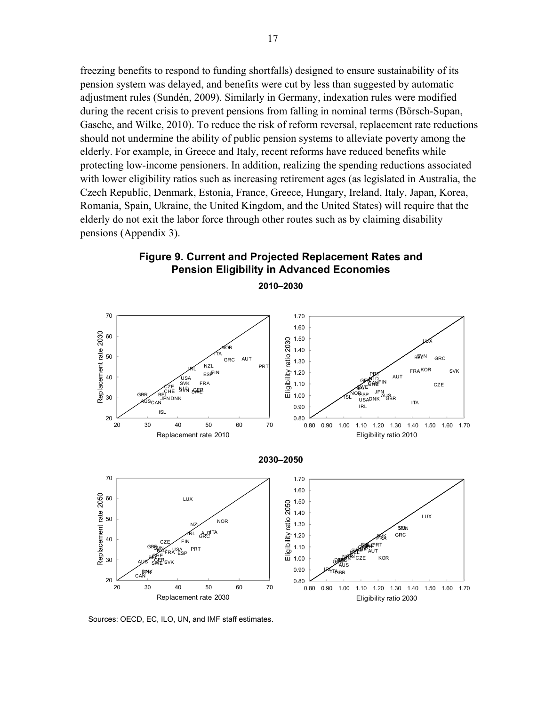freezing benefits to respond to funding shortfalls) designed to ensure sustainability of its pension system was delayed, and benefits were cut by less than suggested by automatic adjustment rules (Sundén, 2009). Similarly in Germany, indexation rules were modified during the recent crisis to prevent pensions from falling in nominal terms (Börsch-Supan, Gasche, and Wilke, 2010). To reduce the risk of reform reversal, replacement rate reductions should not undermine the ability of public pension systems to alleviate poverty among the elderly. For example, in Greece and Italy, recent reforms have reduced benefits while protecting low-income pensioners. In addition, realizing the spending reductions associated with lower eligibility ratios such as increasing retirement ages (as legislated in Australia, the Czech Republic, Denmark, Estonia, France, Greece, Hungary, Ireland, Italy, Japan, Korea, Romania, Spain, Ukraine, the United Kingdom, and the United States) will require that the elderly do not exit the labor force through other routes such as by claiming disability pensions (Appendix 3).



**2010–2030**



Sources: OECD, EC, ILO, UN, and IMF staff estimates.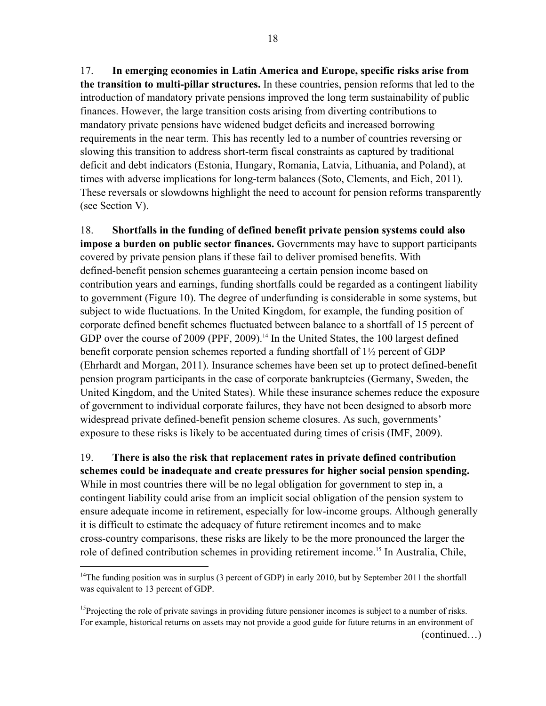17. **In emerging economies in Latin America and Europe, specific risks arise from the transition to multi-pillar structures.** In these countries, pension reforms that led to the introduction of mandatory private pensions improved the long term sustainability of public finances. However, the large transition costs arising from diverting contributions to mandatory private pensions have widened budget deficits and increased borrowing requirements in the near term. This has recently led to a number of countries reversing or slowing this transition to address short-term fiscal constraints as captured by traditional deficit and debt indicators (Estonia, Hungary, Romania, Latvia, Lithuania, and Poland), at times with adverse implications for long-term balances (Soto, Clements, and Eich, 2011). These reversals or slowdowns highlight the need to account for pension reforms transparently (see Section V).

18. **Shortfalls in the funding of defined benefit private pension systems could also impose a burden on public sector finances.** Governments may have to support participants covered by private pension plans if these fail to deliver promised benefits. With defined-benefit pension schemes guaranteeing a certain pension income based on contribution years and earnings, funding shortfalls could be regarded as a contingent liability to government (Figure 10). The degree of underfunding is considerable in some systems, but subject to wide fluctuations. In the United Kingdom, for example, the funding position of corporate defined benefit schemes fluctuated between balance to a shortfall of 15 percent of GDP over the course of 2009 (PPF, 2009).<sup>14</sup> In the United States, the 100 largest defined benefit corporate pension schemes reported a funding shortfall of  $1\frac{1}{2}$  percent of GDP (Ehrhardt and Morgan, 2011). Insurance schemes have been set up to protect defined-benefit pension program participants in the case of corporate bankruptcies (Germany, Sweden, the United Kingdom, and the United States). While these insurance schemes reduce the exposure of government to individual corporate failures, they have not been designed to absorb more widespread private defined-benefit pension scheme closures. As such, governments' exposure to these risks is likely to be accentuated during times of crisis (IMF, 2009).

19. **There is also the risk that replacement rates in private defined contribution schemes could be inadequate and create pressures for higher social pension spending.** While in most countries there will be no legal obligation for government to step in, a contingent liability could arise from an implicit social obligation of the pension system to ensure adequate income in retirement, especially for low-income groups. Although generally it is difficult to estimate the adequacy of future retirement incomes and to make cross-country comparisons, these risks are likely to be the more pronounced the larger the role of defined contribution schemes in providing retirement income.<sup>15</sup> In Australia, Chile,

<sup>&</sup>lt;sup>14</sup>The funding position was in surplus (3 percent of GDP) in early 2010, but by September 2011 the shortfall was equivalent to 13 percent of GDP.

<sup>&</sup>lt;sup>15</sup>Projecting the role of private savings in providing future pensioner incomes is subject to a number of risks. For example, historical returns on assets may not provide a good guide for future returns in an environment of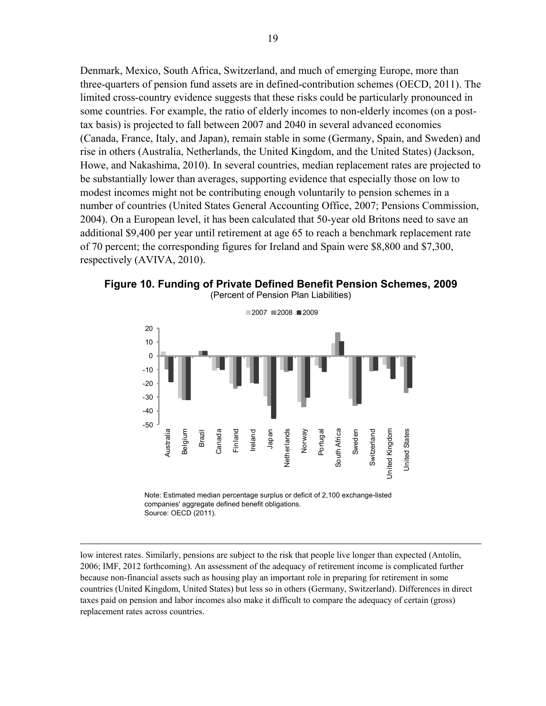Denmark, Mexico, South Africa, Switzerland, and much of emerging Europe, more than three-quarters of pension fund assets are in defined-contribution schemes (OECD, 2011). The limited cross-country evidence suggests that these risks could be particularly pronounced in some countries. For example, the ratio of elderly incomes to non-elderly incomes (on a posttax basis) is projected to fall between 2007 and 2040 in several advanced economies (Canada, France, Italy, and Japan), remain stable in some (Germany, Spain, and Sweden) and rise in others (Australia, Netherlands, the United Kingdom, and the United States) (Jackson, Howe, and Nakashima, 2010). In several countries, median replacement rates are projected to be substantially lower than averages, supporting evidence that especially those on low to modest incomes might not be contributing enough voluntarily to pension schemes in a number of countries (United States General Accounting Office, 2007; Pensions Commission, 2004). On a European level, it has been calculated that 50-year old Britons need to save an additional \$9,400 per year until retirement at age 65 to reach a benchmark replacement rate of 70 percent; the corresponding figures for Ireland and Spain were \$8,800 and \$7,300, respectively (AVIVA, 2010).





Note: Estimated median percentage surplus or deficit of 2,100 exchange-listed companies' aggregate defined benefit obligations. Source: OECD (2011).

 $\overline{a}$ 

low interest rates. Similarly, pensions are subject to the risk that people live longer than expected (Antolín, 2006; IMF, 2012 forthcoming). An assessment of the adequacy of retirement income is complicated further because non-financial assets such as housing play an important role in preparing for retirement in some countries (United Kingdom, United States) but less so in others (Germany, Switzerland). Differences in direct taxes paid on pension and labor incomes also make it difficult to compare the adequacy of certain (gross) replacement rates across countries.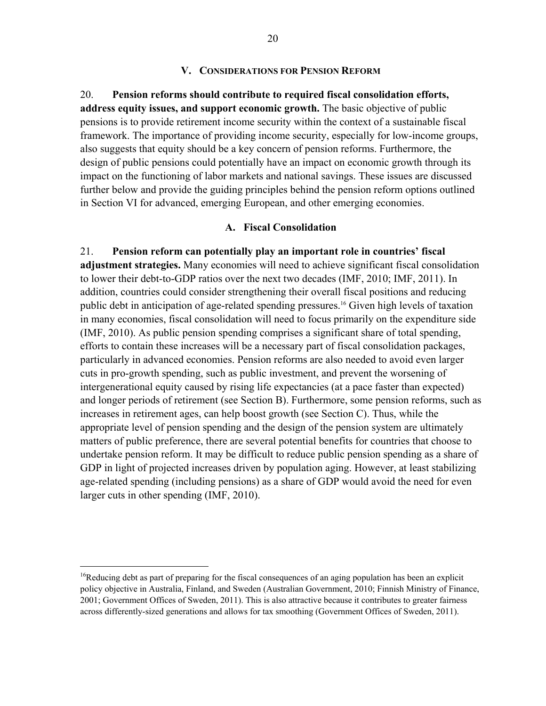#### **V. CONSIDERATIONS FOR PENSION REFORM**

# 20. **Pension reforms should contribute to required fiscal consolidation efforts, address equity issues, and support economic growth.** The basic objective of public

pensions is to provide retirement income security within the context of a sustainable fiscal framework. The importance of providing income security, especially for low-income groups, also suggests that equity should be a key concern of pension reforms. Furthermore, the design of public pensions could potentially have an impact on economic growth through its impact on the functioning of labor markets and national savings. These issues are discussed further below and provide the guiding principles behind the pension reform options outlined in Section VI for advanced, emerging European, and other emerging economies.

#### **A. Fiscal Consolidation**

21. **Pension reform can potentially play an important role in countries' fiscal adjustment strategies.** Many economies will need to achieve significant fiscal consolidation to lower their debt-to-GDP ratios over the next two decades (IMF, 2010; IMF, 2011). In addition, countries could consider strengthening their overall fiscal positions and reducing public debt in anticipation of age-related spending pressures.16 Given high levels of taxation in many economies, fiscal consolidation will need to focus primarily on the expenditure side (IMF, 2010). As public pension spending comprises a significant share of total spending, efforts to contain these increases will be a necessary part of fiscal consolidation packages, particularly in advanced economies. Pension reforms are also needed to avoid even larger cuts in pro-growth spending, such as public investment, and prevent the worsening of intergenerational equity caused by rising life expectancies (at a pace faster than expected) and longer periods of retirement (see Section B). Furthermore, some pension reforms, such as increases in retirement ages, can help boost growth (see Section C). Thus, while the appropriate level of pension spending and the design of the pension system are ultimately matters of public preference, there are several potential benefits for countries that choose to undertake pension reform. It may be difficult to reduce public pension spending as a share of GDP in light of projected increases driven by population aging. However, at least stabilizing age-related spending (including pensions) as a share of GDP would avoid the need for even larger cuts in other spending (IMF, 2010).

<sup>&</sup>lt;sup>16</sup>Reducing debt as part of preparing for the fiscal consequences of an aging population has been an explicit policy objective in Australia, Finland, and Sweden (Australian Government, 2010; Finnish Ministry of Finance, 2001; Government Offices of Sweden, 2011). This is also attractive because it contributes to greater fairness across differently-sized generations and allows for tax smoothing (Government Offices of Sweden, 2011).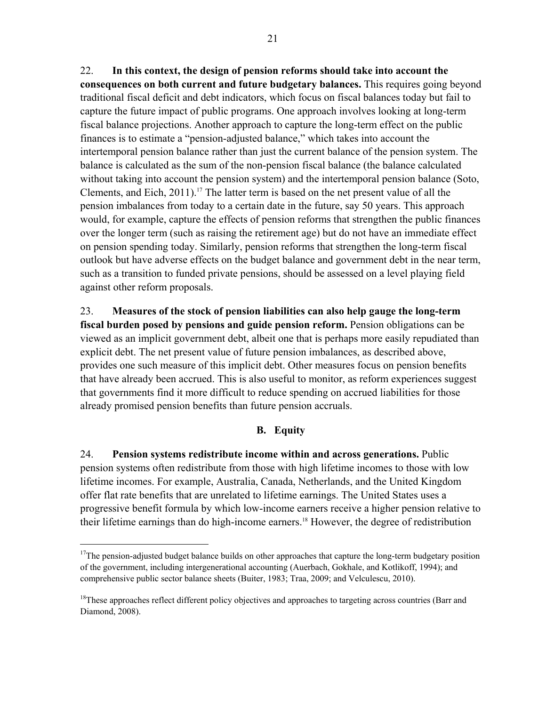22. **In this context, the design of pension reforms should take into account the consequences on both current and future budgetary balances.** This requires going beyond traditional fiscal deficit and debt indicators, which focus on fiscal balances today but fail to capture the future impact of public programs. One approach involves looking at long-term fiscal balance projections. Another approach to capture the long-term effect on the public finances is to estimate a "pension-adjusted balance," which takes into account the intertemporal pension balance rather than just the current balance of the pension system. The balance is calculated as the sum of the non-pension fiscal balance (the balance calculated without taking into account the pension system) and the intertemporal pension balance (Soto, Clements, and Eich,  $2011$ ).<sup>17</sup> The latter term is based on the net present value of all the pension imbalances from today to a certain date in the future, say 50 years. This approach would, for example, capture the effects of pension reforms that strengthen the public finances over the longer term (such as raising the retirement age) but do not have an immediate effect on pension spending today. Similarly, pension reforms that strengthen the long-term fiscal outlook but have adverse effects on the budget balance and government debt in the near term, such as a transition to funded private pensions, should be assessed on a level playing field against other reform proposals.

23. **Measures of the stock of pension liabilities can also help gauge the long-term fiscal burden posed by pensions and guide pension reform.** Pension obligations can be viewed as an implicit government debt, albeit one that is perhaps more easily repudiated than explicit debt. The net present value of future pension imbalances, as described above, provides one such measure of this implicit debt. Other measures focus on pension benefits that have already been accrued. This is also useful to monitor, as reform experiences suggest that governments find it more difficult to reduce spending on accrued liabilities for those already promised pension benefits than future pension accruals.

# **B. Equity**

24. **Pension systems redistribute income within and across generations.** Public pension systems often redistribute from those with high lifetime incomes to those with low lifetime incomes. For example, Australia, Canada, Netherlands, and the United Kingdom offer flat rate benefits that are unrelated to lifetime earnings. The United States uses a progressive benefit formula by which low-income earners receive a higher pension relative to their lifetime earnings than do high-income earners.18 However, the degree of redistribution

<u>.</u>

<sup>&</sup>lt;sup>17</sup>The pension-adjusted budget balance builds on other approaches that capture the long-term budgetary position of the government, including intergenerational accounting (Auerbach, Gokhale, and Kotlikoff, 1994); and comprehensive public sector balance sheets (Buiter, 1983; Traa, 2009; and Velculescu, 2010).

<sup>&</sup>lt;sup>18</sup>These approaches reflect different policy objectives and approaches to targeting across countries (Barr and Diamond, 2008).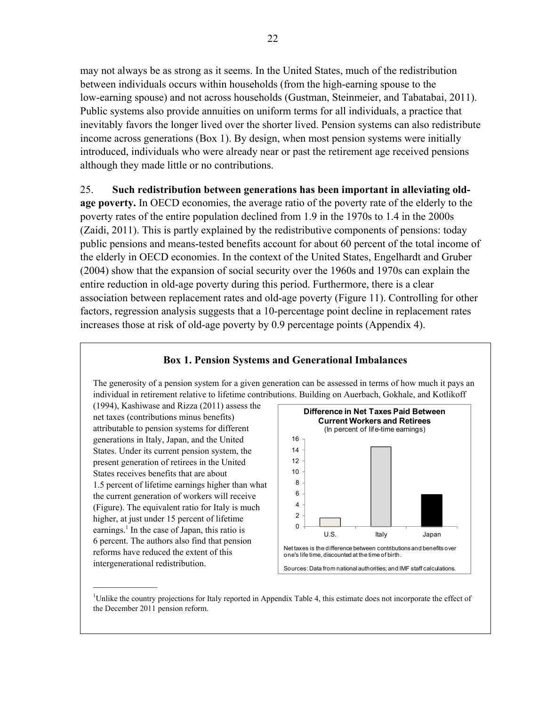may not always be as strong as it seems. In the United States, much of the redistribution between individuals occurs within households (from the high-earning spouse to the low-earning spouse) and not across households (Gustman, Steinmeier, and Tabatabai, 2011). Public systems also provide annuities on uniform terms for all individuals, a practice that inevitably favors the longer lived over the shorter lived. Pension systems can also redistribute income across generations (Box 1). By design, when most pension systems were initially introduced, individuals who were already near or past the retirement age received pensions although they made little or no contributions.

# 25. **Such redistribution between generations has been important in alleviating old-**

**age poverty.** In OECD economies, the average ratio of the poverty rate of the elderly to the poverty rates of the entire population declined from 1.9 in the 1970s to 1.4 in the 2000s (Zaidi, 2011). This is partly explained by the redistributive components of pensions: today public pensions and means-tested benefits account for about 60 percent of the total income of the elderly in OECD economies. In the context of the United States, Engelhardt and Gruber (2004) show that the expansion of social security over the 1960s and 1970s can explain the entire reduction in old-age poverty during this period. Furthermore, there is a clear association between replacement rates and old-age poverty (Figure 11). Controlling for other factors, regression analysis suggests that a 10-percentage point decline in replacement rates increases those at risk of old-age poverty by 0.9 percentage points (Appendix 4).

# **Box 1. Pension Systems and Generational Imbalances**

The generosity of a pension system for a given generation can be assessed in terms of how much it pays an individual in retirement relative to lifetime contributions. Building on Auerbach, Gokhale, and Kotlikoff

(1994), Kashiwase and Rizza (2011) assess the net taxes (contributions minus benefits) attributable to pension systems for different generations in Italy, Japan, and the United States. Under its current pension system, the present generation of retirees in the United States receives benefits that are about 1.5 percent of lifetime earnings higher than what the current generation of workers will receive (Figure). The equivalent ratio for Italy is much higher, at just under 15 percent of lifetime earnings.<sup>1</sup> In the case of Japan, this ratio is 6 percent. The authors also find that pension reforms have reduced the extent of this intergenerational redistribution.



—————— 1 Unlike the country projections for Italy reported in Appendix Table 4, this estimate does not incorporate the effect of the December 2011 pension reform.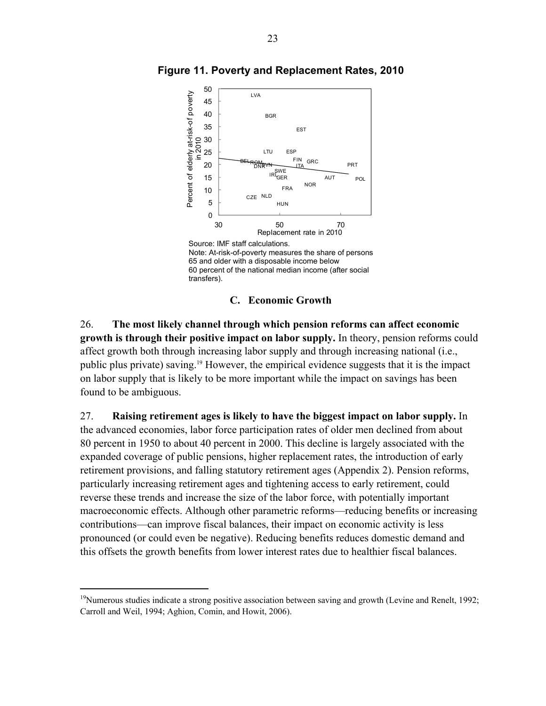

**Figure 11. Poverty and Replacement Rates, 2010** 



# **C. Economic Growth**

26. **The most likely channel through which pension reforms can affect economic growth is through their positive impact on labor supply.** In theory, pension reforms could affect growth both through increasing labor supply and through increasing national (i.e., public plus private) saving.19 However, the empirical evidence suggests that it is the impact on labor supply that is likely to be more important while the impact on savings has been found to be ambiguous.

27. **Raising retirement ages is likely to have the biggest impact on labor supply.** In the advanced economies, labor force participation rates of older men declined from about 80 percent in 1950 to about 40 percent in 2000. This decline is largely associated with the expanded coverage of public pensions, higher replacement rates, the introduction of early retirement provisions, and falling statutory retirement ages (Appendix 2). Pension reforms, particularly increasing retirement ages and tightening access to early retirement, could reverse these trends and increase the size of the labor force, with potentially important macroeconomic effects. Although other parametric reforms—reducing benefits or increasing contributions—can improve fiscal balances, their impact on economic activity is less pronounced (or could even be negative). Reducing benefits reduces domestic demand and this offsets the growth benefits from lower interest rates due to healthier fiscal balances.

<sup>&</sup>lt;sup>19</sup>Numerous studies indicate a strong positive association between saving and growth (Levine and Renelt, 1992; Carroll and Weil, 1994; Aghion, Comin, and Howit, 2006).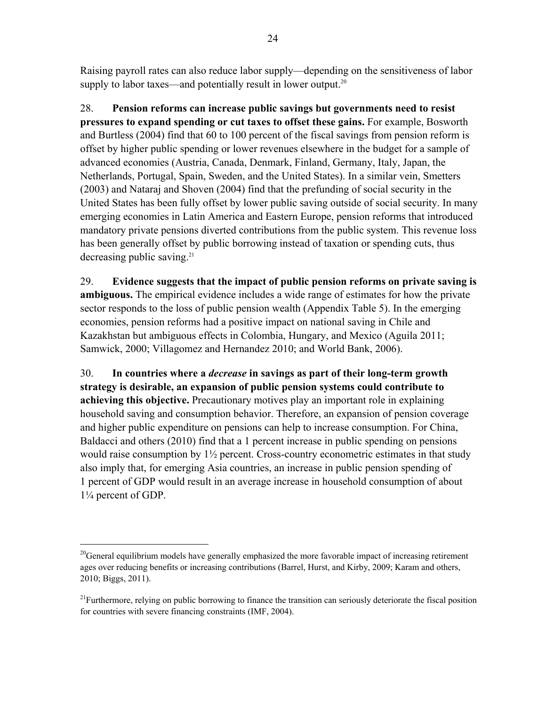Raising payroll rates can also reduce labor supply—depending on the sensitiveness of labor supply to labor taxes—and potentially result in lower output. $20$ 

28. **Pension reforms can increase public savings but governments need to resist pressures to expand spending or cut taxes to offset these gains.** For example, Bosworth and Burtless (2004) find that 60 to 100 percent of the fiscal savings from pension reform is offset by higher public spending or lower revenues elsewhere in the budget for a sample of advanced economies (Austria, Canada, Denmark, Finland, Germany, Italy, Japan, the Netherlands, Portugal, Spain, Sweden, and the United States). In a similar vein, Smetters (2003) and Nataraj and Shoven (2004) find that the prefunding of social security in the United States has been fully offset by lower public saving outside of social security. In many emerging economies in Latin America and Eastern Europe, pension reforms that introduced mandatory private pensions diverted contributions from the public system. This revenue loss has been generally offset by public borrowing instead of taxation or spending cuts, thus decreasing public saving.<sup>21</sup>

29. **Evidence suggests that the impact of public pension reforms on private saving is ambiguous.** The empirical evidence includes a wide range of estimates for how the private sector responds to the loss of public pension wealth (Appendix Table 5). In the emerging economies, pension reforms had a positive impact on national saving in Chile and Kazakhstan but ambiguous effects in Colombia, Hungary, and Mexico (Aguila 2011; Samwick, 2000; Villagomez and Hernandez 2010; and World Bank, 2006).

30. **In countries where a** *decrease* **in savings as part of their long-term growth strategy is desirable, an expansion of public pension systems could contribute to achieving this objective.** Precautionary motives play an important role in explaining household saving and consumption behavior. Therefore, an expansion of pension coverage and higher public expenditure on pensions can help to increase consumption. For China, Baldacci and others (2010) find that a 1 percent increase in public spending on pensions would raise consumption by  $1\frac{1}{2}$  percent. Cross-country econometric estimates in that study also imply that, for emerging Asia countries, an increase in public pension spending of 1 percent of GDP would result in an average increase in household consumption of about 1¼ percent of GDP.

<sup>&</sup>lt;sup>20</sup>General equilibrium models have generally emphasized the more favorable impact of increasing retirement ages over reducing benefits or increasing contributions (Barrel, Hurst, and Kirby, 2009; Karam and others, 2010; Biggs, 2011).

 $^{21}$ Furthermore, relying on public borrowing to finance the transition can seriously deteriorate the fiscal position for countries with severe financing constraints (IMF, 2004).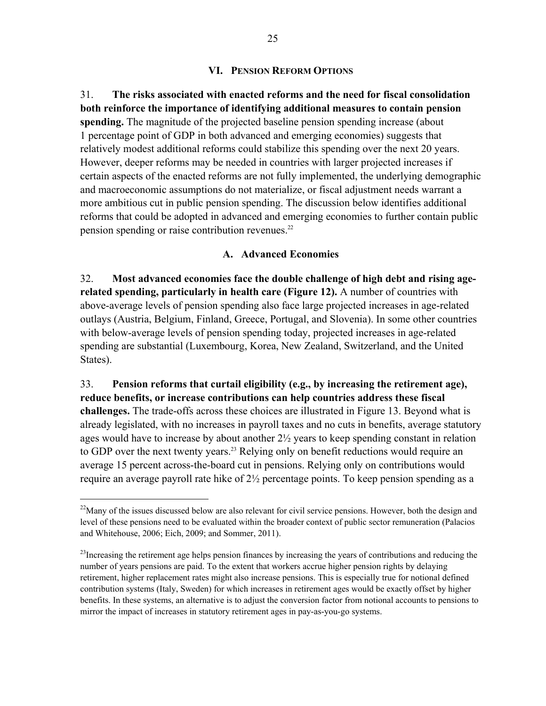# **VI. PENSION REFORM OPTIONS**

31. **The risks associated with enacted reforms and the need for fiscal consolidation both reinforce the importance of identifying additional measures to contain pension spending.** The magnitude of the projected baseline pension spending increase (about 1 percentage point of GDP in both advanced and emerging economies) suggests that relatively modest additional reforms could stabilize this spending over the next 20 years. However, deeper reforms may be needed in countries with larger projected increases if certain aspects of the enacted reforms are not fully implemented, the underlying demographic and macroeconomic assumptions do not materialize, or fiscal adjustment needs warrant a more ambitious cut in public pension spending. The discussion below identifies additional reforms that could be adopted in advanced and emerging economies to further contain public pension spending or raise contribution revenues.<sup>22</sup>

# **A. Advanced Economies**

32. **Most advanced economies face the double challenge of high debt and rising agerelated spending, particularly in health care (Figure 12).** A number of countries with above-average levels of pension spending also face large projected increases in age-related outlays (Austria, Belgium, Finland, Greece, Portugal, and Slovenia). In some other countries with below-average levels of pension spending today, projected increases in age-related spending are substantial (Luxembourg, Korea, New Zealand, Switzerland, and the United States).

33. **Pension reforms that curtail eligibility (e.g., by increasing the retirement age), reduce benefits, or increase contributions can help countries address these fiscal challenges.** The trade-offs across these choices are illustrated in Figure 13. Beyond what is already legislated, with no increases in payroll taxes and no cuts in benefits, average statutory ages would have to increase by about another 2½ years to keep spending constant in relation to GDP over the next twenty years.<sup>23</sup> Relying only on benefit reductions would require an average 15 percent across-the-board cut in pensions. Relying only on contributions would require an average payroll rate hike of 2½ percentage points. To keep pension spending as a

<sup>&</sup>lt;sup>22</sup>Many of the issues discussed below are also relevant for civil service pensions. However, both the design and level of these pensions need to be evaluated within the broader context of public sector remuneration (Palacios and Whitehouse, 2006; Eich, 2009; and Sommer, 2011).

<sup>&</sup>lt;sup>23</sup>Increasing the retirement age helps pension finances by increasing the years of contributions and reducing the number of years pensions are paid. To the extent that workers accrue higher pension rights by delaying retirement, higher replacement rates might also increase pensions. This is especially true for notional defined contribution systems (Italy, Sweden) for which increases in retirement ages would be exactly offset by higher benefits. In these systems, an alternative is to adjust the conversion factor from notional accounts to pensions to mirror the impact of increases in statutory retirement ages in pay-as-you-go systems.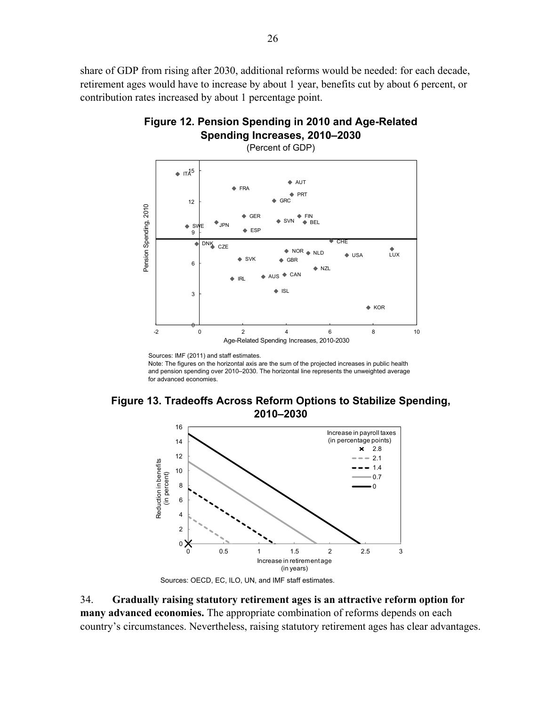share of GDP from rising after 2030, additional reforms would be needed: for each decade, retirement ages would have to increase by about 1 year, benefits cut by about 6 percent, or contribution rates increased by about 1 percentage point.





Sources: IMF (2011) and staff estimates. Note: The figures on the horizontal axis are the sum of the projected increases in public health

and pension spending over 2010–2030. The horizontal line represents the unweighted average for advanced economies.





Sources: OECD, EC, ILO, UN, and IMF staff estimates.

34. **Gradually raising statutory retirement ages is an attractive reform option for many advanced economies.** The appropriate combination of reforms depends on each country's circumstances. Nevertheless, raising statutory retirement ages has clear advantages.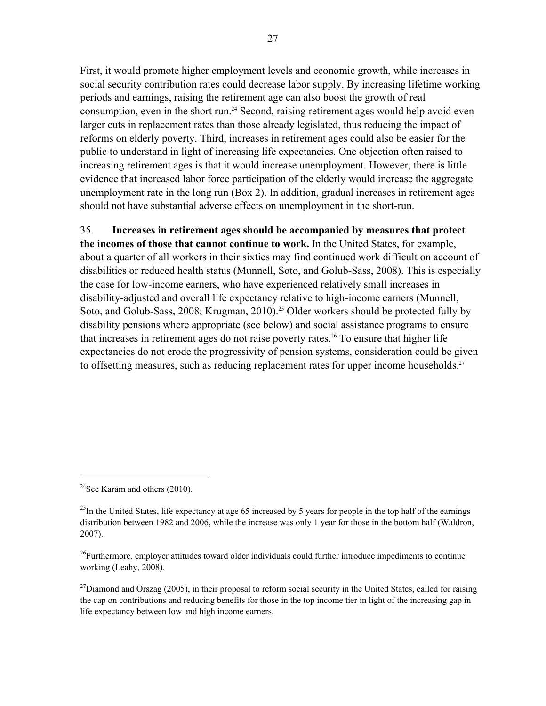First, it would promote higher employment levels and economic growth, while increases in social security contribution rates could decrease labor supply. By increasing lifetime working periods and earnings, raising the retirement age can also boost the growth of real consumption, even in the short run.<sup>24</sup> Second, raising retirement ages would help avoid even larger cuts in replacement rates than those already legislated, thus reducing the impact of reforms on elderly poverty. Third, increases in retirement ages could also be easier for the public to understand in light of increasing life expectancies. One objection often raised to increasing retirement ages is that it would increase unemployment. However, there is little evidence that increased labor force participation of the elderly would increase the aggregate unemployment rate in the long run (Box 2). In addition, gradual increases in retirement ages should not have substantial adverse effects on unemployment in the short-run.

# 35. **Increases in retirement ages should be accompanied by measures that protect**

**the incomes of those that cannot continue to work.** In the United States, for example, about a quarter of all workers in their sixties may find continued work difficult on account of disabilities or reduced health status (Munnell, Soto, and Golub-Sass, 2008). This is especially the case for low-income earners, who have experienced relatively small increases in disability-adjusted and overall life expectancy relative to high-income earners (Munnell, Soto, and Golub-Sass, 2008; Krugman, 2010).<sup>25</sup> Older workers should be protected fully by disability pensions where appropriate (see below) and social assistance programs to ensure that increases in retirement ages do not raise poverty rates.<sup>26</sup> To ensure that higher life expectancies do not erode the progressivity of pension systems, consideration could be given to offsetting measures, such as reducing replacement rates for upper income households.<sup>27</sup>

<u>.</u>

<sup>&</sup>lt;sup>24</sup>See Karam and others  $(2010)$ .

 $^{25}$ In the United States, life expectancy at age 65 increased by 5 years for people in the top half of the earnings distribution between 1982 and 2006, while the increase was only 1 year for those in the bottom half (Waldron, 2007).

<sup>&</sup>lt;sup>26</sup>Furthermore, employer attitudes toward older individuals could further introduce impediments to continue working (Leahy, 2008).

 $^{27}$ Diamond and Orszag (2005), in their proposal to reform social security in the United States, called for raising the cap on contributions and reducing benefits for those in the top income tier in light of the increasing gap in life expectancy between low and high income earners.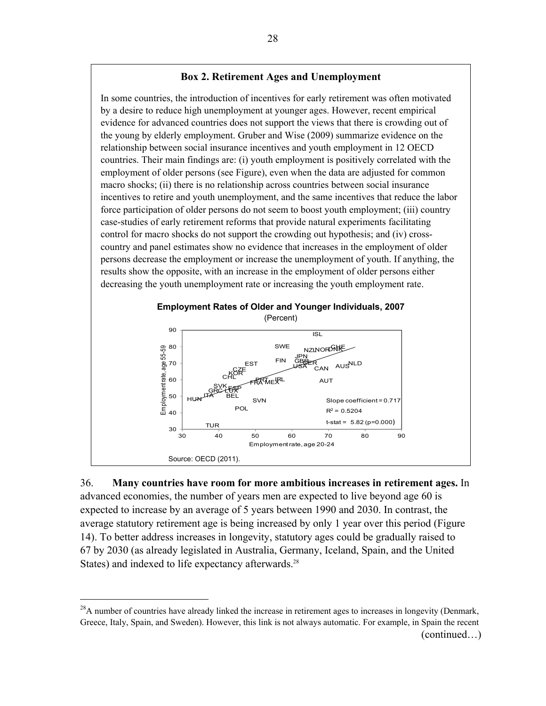#### **Box 2. Retirement Ages and Unemployment**

In some countries, the introduction of incentives for early retirement was often motivated by a desire to reduce high unemployment at younger ages. However, recent empirical evidence for advanced countries does not support the views that there is crowding out of the young by elderly employment. Gruber and Wise (2009) summarize evidence on the relationship between social insurance incentives and youth employment in 12 OECD countries. Their main findings are: (i) youth employment is positively correlated with the employment of older persons (see Figure), even when the data are adjusted for common macro shocks; (ii) there is no relationship across countries between social insurance incentives to retire and youth unemployment, and the same incentives that reduce the labor force participation of older persons do not seem to boost youth employment; (iii) country case-studies of early retirement reforms that provide natural experiments facilitating control for macro shocks do not support the crowding out hypothesis; and (iv) crosscountry and panel estimates show no evidence that increases in the employment of older persons decrease the employment or increase the unemployment of youth. If anything, the results show the opposite, with an increase in the employment of older persons either decreasing the youth unemployment rate or increasing the youth employment rate.



36. **Many countries have room for more ambitious increases in retirement ages.** In advanced economies, the number of years men are expected to live beyond age 60 is expected to increase by an average of 5 years between 1990 and 2030. In contrast, the average statutory retirement age is being increased by only 1 year over this period (Figure 14). To better address increases in longevity, statutory ages could be gradually raised to 67 by 2030 (as already legislated in Australia, Germany, Iceland, Spain, and the United States) and indexed to life expectancy afterwards.<sup>28</sup>

<sup>&</sup>lt;sup>28</sup>A number of countries have already linked the increase in retirement ages to increases in longevity (Denmark, Greece, Italy, Spain, and Sweden). However, this link is not always automatic. For example, in Spain the recent (continued…)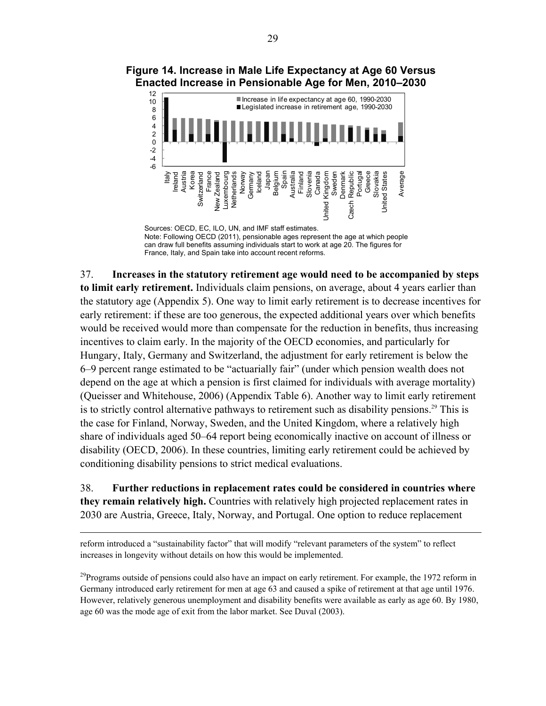

# **Figure 14. Increase in Male Life Expectancy at Age 60 Versus Enacted Increase in Pensionable Age for Men, 2010–2030**

Sources: OECD, EC, ILO, UN, and IMF staff estimates. Note: Following OECD (2011), pensionable ages represent the age at which people can draw full benefits assuming individuals start to work at age 20. The figures for France, Italy, and Spain take into account recent reforms.

37. **Increases in the statutory retirement age would need to be accompanied by steps to limit early retirement.** Individuals claim pensions, on average, about 4 years earlier than the statutory age (Appendix 5). One way to limit early retirement is to decrease incentives for early retirement: if these are too generous, the expected additional years over which benefits would be received would more than compensate for the reduction in benefits, thus increasing incentives to claim early. In the majority of the OECD economies, and particularly for Hungary, Italy, Germany and Switzerland, the adjustment for early retirement is below the 6–9 percent range estimated to be "actuarially fair" (under which pension wealth does not depend on the age at which a pension is first claimed for individuals with average mortality) (Queisser and Whitehouse, 2006) (Appendix Table 6). Another way to limit early retirement is to strictly control alternative pathways to retirement such as disability pensions.<sup>29</sup> This is the case for Finland, Norway, Sweden, and the United Kingdom, where a relatively high share of individuals aged 50–64 report being economically inactive on account of illness or disability (OECD, 2006). In these countries, limiting early retirement could be achieved by conditioning disability pensions to strict medical evaluations.

38. **Further reductions in replacement rates could be considered in countries where they remain relatively high.** Countries with relatively high projected replacement rates in 2030 are Austria, Greece, Italy, Norway, and Portugal. One option to reduce replacement

reform introduced a "sustainability factor" that will modify "relevant parameters of the system" to reflect increases in longevity without details on how this would be implemented.

1

<sup>29</sup>Programs outside of pensions could also have an impact on early retirement. For example, the 1972 reform in Germany introduced early retirement for men at age 63 and caused a spike of retirement at that age until 1976. However, relatively generous unemployment and disability benefits were available as early as age 60. By 1980, age 60 was the mode age of exit from the labor market. See Duval (2003).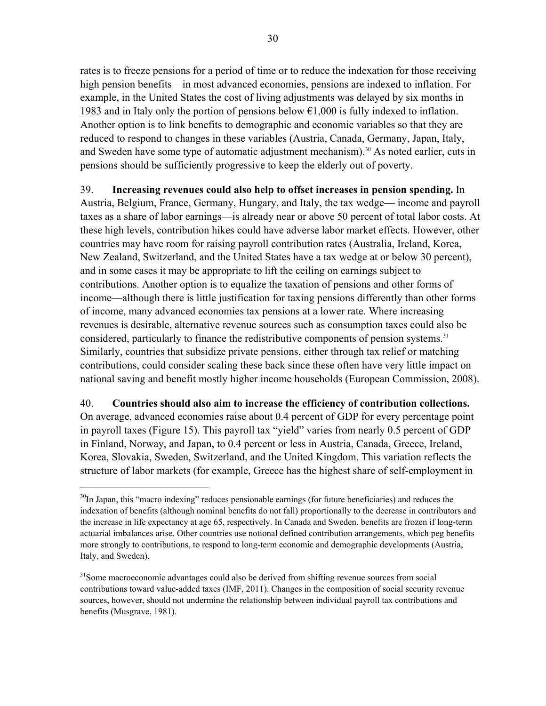rates is to freeze pensions for a period of time or to reduce the indexation for those receiving high pension benefits—in most advanced economies, pensions are indexed to inflation. For example, in the United States the cost of living adjustments was delayed by six months in 1983 and in Italy only the portion of pensions below  $\epsilon$ 1,000 is fully indexed to inflation. Another option is to link benefits to demographic and economic variables so that they are reduced to respond to changes in these variables (Austria, Canada, Germany, Japan, Italy, and Sweden have some type of automatic adjustment mechanism).<sup>30</sup> As noted earlier, cuts in pensions should be sufficiently progressive to keep the elderly out of poverty.

# 39. **Increasing revenues could also help to offset increases in pension spending.** In Austria, Belgium, France, Germany, Hungary, and Italy, the tax wedge— income and payroll

taxes as a share of labor earnings—is already near or above 50 percent of total labor costs. At these high levels, contribution hikes could have adverse labor market effects. However, other countries may have room for raising payroll contribution rates (Australia, Ireland, Korea, New Zealand, Switzerland, and the United States have a tax wedge at or below 30 percent), and in some cases it may be appropriate to lift the ceiling on earnings subject to contributions. Another option is to equalize the taxation of pensions and other forms of income—although there is little justification for taxing pensions differently than other forms of income, many advanced economies tax pensions at a lower rate. Where increasing revenues is desirable, alternative revenue sources such as consumption taxes could also be considered, particularly to finance the redistributive components of pension systems.<sup>31</sup> Similarly, countries that subsidize private pensions, either through tax relief or matching contributions, could consider scaling these back since these often have very little impact on national saving and benefit mostly higher income households (European Commission, 2008).

# 40. **Countries should also aim to increase the efficiency of contribution collections.**

On average, advanced economies raise about 0.4 percent of GDP for every percentage point in payroll taxes (Figure 15). This payroll tax "yield" varies from nearly 0.5 percent of GDP in Finland, Norway, and Japan, to 0.4 percent or less in Austria, Canada, Greece, Ireland, Korea, Slovakia, Sweden, Switzerland, and the United Kingdom. This variation reflects the structure of labor markets (for example, Greece has the highest share of self-employment in

1

 $30$ In Japan, this "macro indexing" reduces pensionable earnings (for future beneficiaries) and reduces the indexation of benefits (although nominal benefits do not fall) proportionally to the decrease in contributors and the increase in life expectancy at age 65, respectively. In Canada and Sweden, benefits are frozen if long-term actuarial imbalances arise. Other countries use notional defined contribution arrangements, which peg benefits more strongly to contributions, to respond to long-term economic and demographic developments (Austria, Italy, and Sweden).

<sup>&</sup>lt;sup>31</sup>Some macroeconomic advantages could also be derived from shifting revenue sources from social contributions toward value-added taxes (IMF, 2011). Changes in the composition of social security revenue sources, however, should not undermine the relationship between individual payroll tax contributions and benefits (Musgrave, 1981).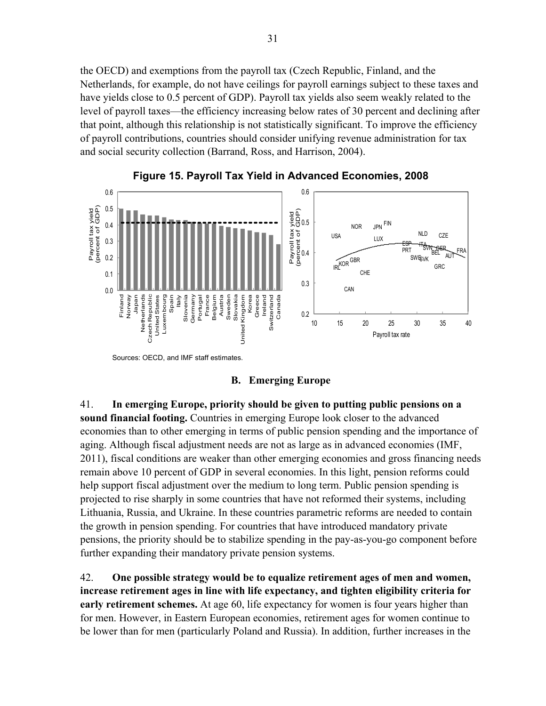the OECD) and exemptions from the payroll tax (Czech Republic, Finland, and the Netherlands, for example, do not have ceilings for payroll earnings subject to these taxes and have yields close to 0.5 percent of GDP). Payroll tax yields also seem weakly related to the level of payroll taxes—the efficiency increasing below rates of 30 percent and declining after that point, although this relationship is not statistically significant. To improve the efficiency of payroll contributions, countries should consider unifying revenue administration for tax and social security collection (Barrand, Ross, and Harrison, 2004).





Sources: OECD, and IMF staff estimates.

**B. Emerging Europe** 

41. **In emerging Europe, priority should be given to putting public pensions on a sound financial footing.** Countries in emerging Europe look closer to the advanced economies than to other emerging in terms of public pension spending and the importance of aging. Although fiscal adjustment needs are not as large as in advanced economies (IMF, 2011), fiscal conditions are weaker than other emerging economies and gross financing needs remain above 10 percent of GDP in several economies. In this light, pension reforms could help support fiscal adjustment over the medium to long term. Public pension spending is projected to rise sharply in some countries that have not reformed their systems, including Lithuania, Russia, and Ukraine. In these countries parametric reforms are needed to contain the growth in pension spending. For countries that have introduced mandatory private pensions, the priority should be to stabilize spending in the pay-as-you-go component before further expanding their mandatory private pension systems.

42. **One possible strategy would be to equalize retirement ages of men and women, increase retirement ages in line with life expectancy, and tighten eligibility criteria for early retirement schemes.** At age 60, life expectancy for women is four years higher than for men. However, in Eastern European economies, retirement ages for women continue to be lower than for men (particularly Poland and Russia). In addition, further increases in the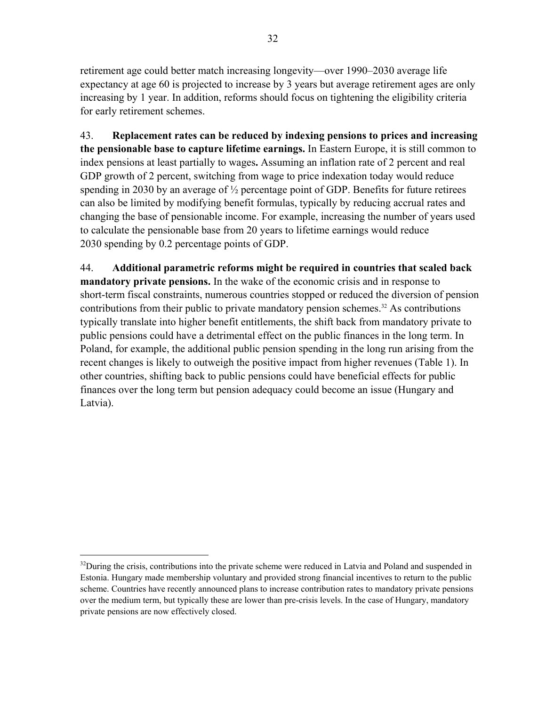retirement age could better match increasing longevity—over 1990–2030 average life expectancy at age 60 is projected to increase by 3 years but average retirement ages are only increasing by 1 year. In addition, reforms should focus on tightening the eligibility criteria for early retirement schemes.

43. **Replacement rates can be reduced by indexing pensions to prices and increasing the pensionable base to capture lifetime earnings.** In Eastern Europe, it is still common to index pensions at least partially to wages**.** Assuming an inflation rate of 2 percent and real GDP growth of 2 percent, switching from wage to price indexation today would reduce spending in 2030 by an average of  $\frac{1}{2}$  percentage point of GDP. Benefits for future retirees can also be limited by modifying benefit formulas, typically by reducing accrual rates and changing the base of pensionable income. For example, increasing the number of years used to calculate the pensionable base from 20 years to lifetime earnings would reduce 2030 spending by 0.2 percentage points of GDP.

44. **Additional parametric reforms might be required in countries that scaled back mandatory private pensions.** In the wake of the economic crisis and in response to short-term fiscal constraints, numerous countries stopped or reduced the diversion of pension contributions from their public to private mandatory pension schemes.<sup>32</sup> As contributions typically translate into higher benefit entitlements, the shift back from mandatory private to public pensions could have a detrimental effect on the public finances in the long term. In Poland, for example, the additional public pension spending in the long run arising from the recent changes is likely to outweigh the positive impact from higher revenues (Table 1). In other countries, shifting back to public pensions could have beneficial effects for public finances over the long term but pension adequacy could become an issue (Hungary and Latvia).

 $32$ During the crisis, contributions into the private scheme were reduced in Latvia and Poland and suspended in Estonia. Hungary made membership voluntary and provided strong financial incentives to return to the public scheme. Countries have recently announced plans to increase contribution rates to mandatory private pensions over the medium term, but typically these are lower than pre-crisis levels. In the case of Hungary, mandatory private pensions are now effectively closed.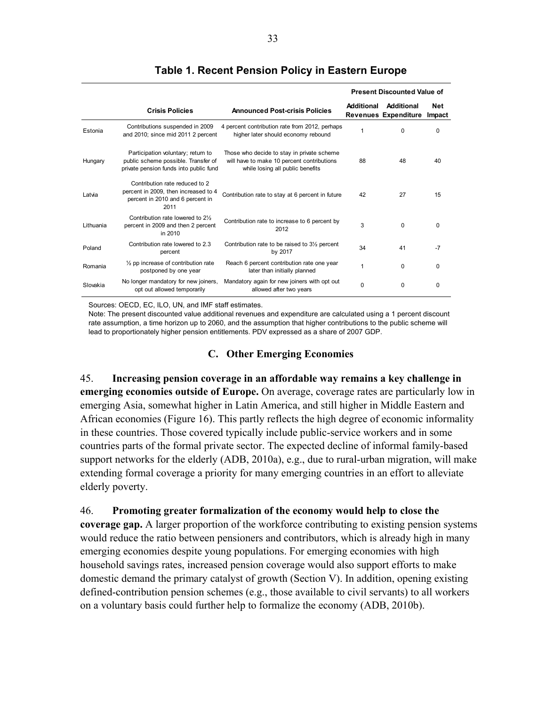|           |                                                                                                                     |                                                                                                                              | <b>Present Discounted Value of</b> |                                           |                      |
|-----------|---------------------------------------------------------------------------------------------------------------------|------------------------------------------------------------------------------------------------------------------------------|------------------------------------|-------------------------------------------|----------------------|
|           | <b>Crisis Policies</b>                                                                                              | <b>Announced Post-crisis Policies</b>                                                                                        | <b>Additional</b>                  | Additional<br><b>Revenues Expenditure</b> | <b>Net</b><br>Impact |
| Estonia   | Contributions suspended in 2009<br>and 2010; since mid 2011 2 percent                                               | 4 percent contribution rate from 2012, perhaps<br>higher later should economy rebound                                        | 1                                  | $\Omega$                                  | 0                    |
| Hungary   | Participation voluntary; return to<br>public scheme possible. Transfer of<br>private pension funds into public fund | Those who decide to stay in private scheme<br>will have to make 10 percent contributions<br>while losing all public benefits | 88                                 | 48                                        | 40                   |
| Latvia    | Contribution rate reduced to 2<br>percent in 2009, then increased to 4<br>percent in 2010 and 6 percent in<br>2011  | Contribution rate to stay at 6 percent in future                                                                             | 42                                 | 27                                        | 15                   |
| Lithuania | Contribution rate lowered to 21/2<br>percent in 2009 and then 2 percent<br>in 2010                                  | Contribution rate to increase to 6 percent by<br>2012                                                                        | 3                                  | $\Omega$                                  | $\Omega$             |
| Poland    | Contribution rate lowered to 2.3<br>percent                                                                         | Contribution rate to be raised to 3 <sup>1/2</sup> percent<br>by 2017                                                        | 34                                 | 41                                        | $-7$                 |
| Romania   | $\frac{1}{2}$ pp increase of contribution rate<br>postponed by one year                                             | Reach 6 percent contribution rate one year<br>later than initially planned                                                   | 1                                  | $\Omega$                                  | 0                    |
| Slovakia  | No longer mandatory for new joiners,<br>opt out allowed temporarily                                                 | Mandatory again for new joiners with opt out<br>allowed after two years                                                      | 0                                  | $\Omega$                                  | 0                    |

# **Table 1. Recent Pension Policy in Eastern Europe**

Sources: OECD, EC, ILO, UN, and IMF staff estimates.

Note: The present discounted value additional revenues and expenditure are calculated using a 1 percent discount rate assumption, a time horizon up to 2060, and the assumption that higher contributions to the public scheme will lead to proportionately higher pension entitlements. PDV expressed as a share of 2007 GDP.

# **C. Other Emerging Economies**

45. **Increasing pension coverage in an affordable way remains a key challenge in emerging economies outside of Europe.** On average, coverage rates are particularly low in emerging Asia, somewhat higher in Latin America, and still higher in Middle Eastern and African economies (Figure 16). This partly reflects the high degree of economic informality in these countries. Those covered typically include public-service workers and in some countries parts of the formal private sector. The expected decline of informal family-based support networks for the elderly (ADB, 2010a), e.g., due to rural-urban migration, will make extending formal coverage a priority for many emerging countries in an effort to alleviate elderly poverty.

46. **Promoting greater formalization of the economy would help to close the** 

**coverage gap.** A larger proportion of the workforce contributing to existing pension systems would reduce the ratio between pensioners and contributors, which is already high in many emerging economies despite young populations. For emerging economies with high household savings rates, increased pension coverage would also support efforts to make domestic demand the primary catalyst of growth (Section V). In addition, opening existing defined-contribution pension schemes (e.g., those available to civil servants) to all workers on a voluntary basis could further help to formalize the economy (ADB, 2010b).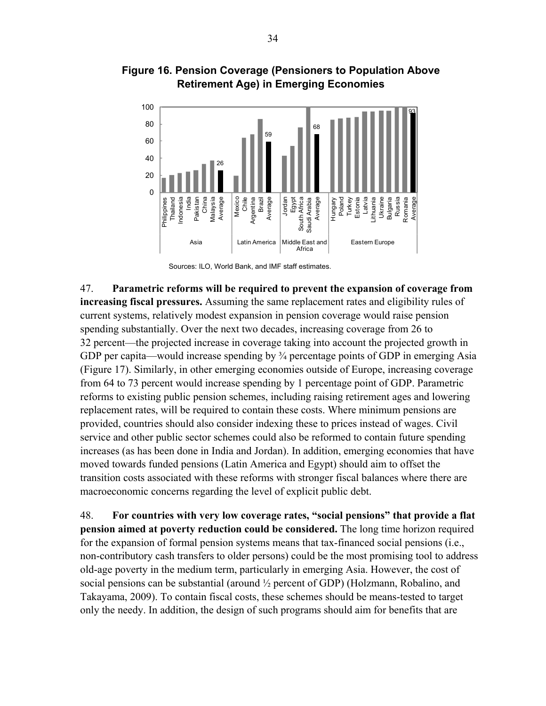

**Figure 16. Pension Coverage (Pensioners to Population Above Retirement Age) in Emerging Economies** 



47. **Parametric reforms will be required to prevent the expansion of coverage from increasing fiscal pressures.** Assuming the same replacement rates and eligibility rules of current systems, relatively modest expansion in pension coverage would raise pension spending substantially. Over the next two decades, increasing coverage from 26 to 32 percent—the projected increase in coverage taking into account the projected growth in GDP per capita—would increase spending by  $\frac{3}{4}$  percentage points of GDP in emerging Asia (Figure 17). Similarly, in other emerging economies outside of Europe, increasing coverage from 64 to 73 percent would increase spending by 1 percentage point of GDP. Parametric reforms to existing public pension schemes, including raising retirement ages and lowering replacement rates, will be required to contain these costs. Where minimum pensions are provided, countries should also consider indexing these to prices instead of wages. Civil service and other public sector schemes could also be reformed to contain future spending increases (as has been done in India and Jordan). In addition, emerging economies that have moved towards funded pensions (Latin America and Egypt) should aim to offset the transition costs associated with these reforms with stronger fiscal balances where there are macroeconomic concerns regarding the level of explicit public debt.

48. **For countries with very low coverage rates, "social pensions" that provide a flat pension aimed at poverty reduction could be considered.** The long time horizon required for the expansion of formal pension systems means that tax-financed social pensions (i.e., non-contributory cash transfers to older persons) could be the most promising tool to address old-age poverty in the medium term, particularly in emerging Asia. However, the cost of social pensions can be substantial (around ½ percent of GDP) (Holzmann, Robalino, and Takayama, 2009). To contain fiscal costs, these schemes should be means-tested to target only the needy. In addition, the design of such programs should aim for benefits that are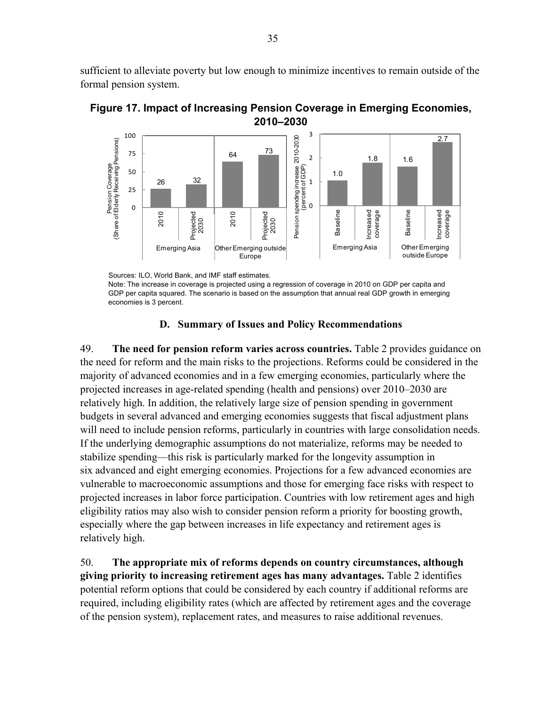sufficient to alleviate poverty but low enough to minimize incentives to remain outside of the formal pension system.



**Figure 17. Impact of Increasing Pension Coverage in Emerging Economies, 2010–2030** 

Sources: ILO, World Bank, and IMF staff estimates.

Note: The increase in coverage is projected using a regression of coverage in 2010 on GDP per capita and GDP per capita squared. The scenario is based on the assumption that annual real GDP growth in emerging economies is 3 percent.

#### **D. Summary of Issues and Policy Recommendations**

49. **The need for pension reform varies across countries.** Table 2 provides guidance on the need for reform and the main risks to the projections. Reforms could be considered in the majority of advanced economies and in a few emerging economies, particularly where the projected increases in age-related spending (health and pensions) over 2010–2030 are relatively high. In addition, the relatively large size of pension spending in government budgets in several advanced and emerging economies suggests that fiscal adjustment plans will need to include pension reforms, particularly in countries with large consolidation needs. If the underlying demographic assumptions do not materialize, reforms may be needed to stabilize spending—this risk is particularly marked for the longevity assumption in six advanced and eight emerging economies. Projections for a few advanced economies are vulnerable to macroeconomic assumptions and those for emerging face risks with respect to projected increases in labor force participation. Countries with low retirement ages and high eligibility ratios may also wish to consider pension reform a priority for boosting growth, especially where the gap between increases in life expectancy and retirement ages is relatively high.

50. **The appropriate mix of reforms depends on country circumstances, although giving priority to increasing retirement ages has many advantages.** Table 2 identifies potential reform options that could be considered by each country if additional reforms are required, including eligibility rates (which are affected by retirement ages and the coverage of the pension system), replacement rates, and measures to raise additional revenues.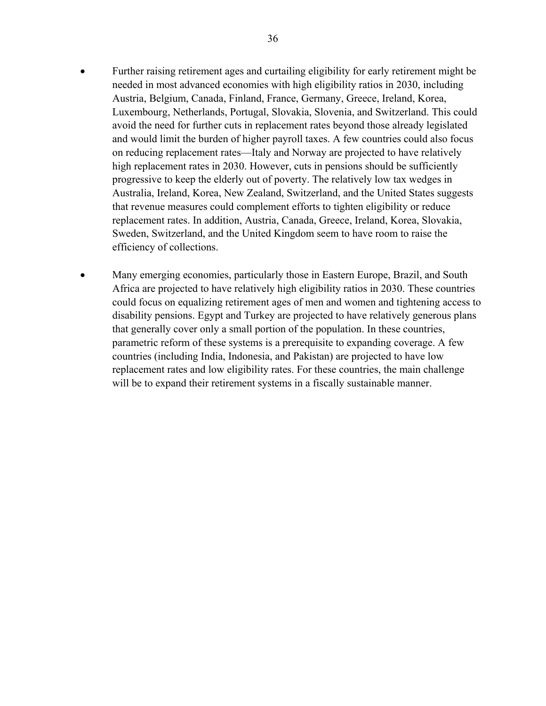- Further raising retirement ages and curtailing eligibility for early retirement might be needed in most advanced economies with high eligibility ratios in 2030, including Austria, Belgium, Canada, Finland, France, Germany, Greece, Ireland, Korea, Luxembourg, Netherlands, Portugal, Slovakia, Slovenia, and Switzerland. This could avoid the need for further cuts in replacement rates beyond those already legislated and would limit the burden of higher payroll taxes. A few countries could also focus on reducing replacement rates—Italy and Norway are projected to have relatively high replacement rates in 2030. However, cuts in pensions should be sufficiently progressive to keep the elderly out of poverty. The relatively low tax wedges in Australia, Ireland, Korea, New Zealand, Switzerland, and the United States suggests that revenue measures could complement efforts to tighten eligibility or reduce replacement rates. In addition, Austria, Canada, Greece, Ireland, Korea, Slovakia, Sweden, Switzerland, and the United Kingdom seem to have room to raise the efficiency of collections.
- Many emerging economies, particularly those in Eastern Europe, Brazil, and South Africa are projected to have relatively high eligibility ratios in 2030. These countries could focus on equalizing retirement ages of men and women and tightening access to disability pensions. Egypt and Turkey are projected to have relatively generous plans that generally cover only a small portion of the population. In these countries, parametric reform of these systems is a prerequisite to expanding coverage. A few countries (including India, Indonesia, and Pakistan) are projected to have low replacement rates and low eligibility rates. For these countries, the main challenge will be to expand their retirement systems in a fiscally sustainable manner.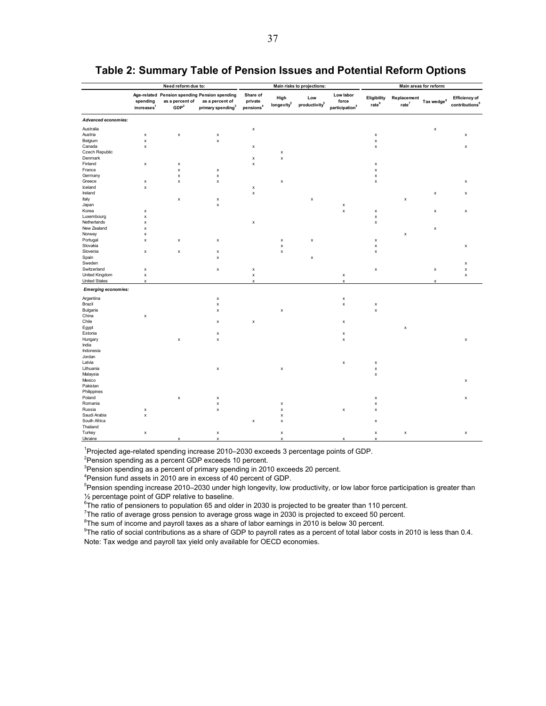|                            |                                    | Need reform due to:                 |                                                                                                   |                                              |                                | Main risks to projections:       |                                                  | Main areas for reform:           |                                  |                  |                                                    |
|----------------------------|------------------------------------|-------------------------------------|---------------------------------------------------------------------------------------------------|----------------------------------------------|--------------------------------|----------------------------------|--------------------------------------------------|----------------------------------|----------------------------------|------------------|----------------------------------------------------|
|                            | spending<br>increases <sup>1</sup> | as a percent of<br>GDP <sup>2</sup> | Age-related Pension spending Pension spending<br>as a percent of<br>primary spending <sup>3</sup> | Share of<br>private<br>pensions <sup>4</sup> | High<br>longevity <sup>5</sup> | Low<br>productivity <sup>5</sup> | Low labor<br>force<br>participation <sup>5</sup> | Eligibility<br>rate <sup>6</sup> | Replacement<br>rate <sup>7</sup> | Tax wedge ${}^8$ | <b>Efficiency of</b><br>contributions <sup>9</sup> |
| <b>Advanced economies:</b> |                                    |                                     |                                                                                                   |                                              |                                |                                  |                                                  |                                  |                                  |                  |                                                    |
| Australia                  |                                    |                                     |                                                                                                   | $\pmb{\mathsf{x}}$                           |                                |                                  |                                                  |                                  |                                  | $\pmb{\times}$   |                                                    |
| Austria                    | $\pmb{\mathsf{x}}$                 | $\pmb{\mathsf{x}}$                  | $\pmb{\mathsf{x}}$                                                                                |                                              |                                |                                  |                                                  | $\pmb{\times}$                   |                                  |                  | $\pmb{\mathsf{x}}$                                 |
| Belgium                    | X                                  |                                     | x                                                                                                 |                                              |                                |                                  |                                                  | $\pmb{\times}$                   |                                  |                  |                                                    |
| Canada                     | $\pmb{\times}$                     |                                     |                                                                                                   | $\pmb{\mathsf{x}}$                           |                                |                                  |                                                  | $\pmb{\times}$                   |                                  |                  | $\pmb{\times}$                                     |
| Czech Republic             |                                    |                                     |                                                                                                   |                                              | $\pmb{\mathsf{x}}$             |                                  |                                                  |                                  |                                  |                  |                                                    |
| Denmark                    |                                    |                                     |                                                                                                   | х                                            | $\pmb{\mathsf{x}}$             |                                  |                                                  |                                  |                                  |                  |                                                    |
| Finland                    | $\pmb{\mathsf{x}}$                 | X                                   |                                                                                                   | $\pmb{\mathsf{x}}$                           |                                |                                  |                                                  | $\pmb{\mathsf{x}}$               |                                  |                  |                                                    |
| France                     |                                    | $\pmb{\mathsf{x}}$                  | X                                                                                                 |                                              |                                |                                  |                                                  | $\pmb{\mathsf{x}}$               |                                  |                  |                                                    |
| Germany                    |                                    | X                                   | x                                                                                                 |                                              |                                |                                  |                                                  | $\pmb{\times}$                   |                                  |                  |                                                    |
| Greece                     | x                                  | $\pmb{\mathsf{x}}$                  | $\pmb{\mathsf{x}}$                                                                                |                                              | x                              |                                  |                                                  | $\pmb{\mathsf{x}}$               |                                  |                  | $\pmb{\times}$                                     |
| Iceland                    | $\pmb{\times}$                     |                                     |                                                                                                   | $\pmb{\mathsf{x}}$                           |                                |                                  |                                                  |                                  |                                  |                  |                                                    |
| Ireland                    |                                    |                                     |                                                                                                   | x                                            |                                |                                  |                                                  |                                  |                                  | $\pmb{\times}$   | $\pmb{\mathsf{x}}$                                 |
| Italy                      |                                    | X                                   | $\pmb{\mathsf{x}}$                                                                                |                                              |                                | $\pmb{\mathsf{x}}$               |                                                  |                                  | x                                |                  |                                                    |
| Japan                      |                                    |                                     | $\pmb{\mathsf{x}}$                                                                                |                                              |                                |                                  | $\pmb{\mathsf{x}}$                               |                                  |                                  |                  |                                                    |
| Korea                      | $\pmb{\mathsf{x}}$                 |                                     |                                                                                                   |                                              |                                |                                  | $\pmb{\mathsf{x}}$                               | X                                |                                  | $\pmb{\times}$   | $\pmb{\times}$                                     |
| Luxembourg                 | X                                  |                                     |                                                                                                   |                                              |                                |                                  |                                                  | $\pmb{\mathsf{x}}$               |                                  |                  |                                                    |
| Netherlands                | x                                  |                                     |                                                                                                   | x                                            |                                |                                  |                                                  | $\pmb{\mathsf{x}}$               |                                  |                  |                                                    |
| New Zealand                | x                                  |                                     |                                                                                                   |                                              |                                |                                  |                                                  |                                  |                                  | $\pmb{\times}$   |                                                    |
| Norway                     | x                                  |                                     |                                                                                                   |                                              |                                |                                  |                                                  |                                  | $\pmb{\mathsf{x}}$               |                  |                                                    |
| Portugal                   | x                                  | x                                   | х                                                                                                 |                                              | x                              | х                                |                                                  | х                                |                                  |                  |                                                    |
| Slovakia                   |                                    |                                     |                                                                                                   |                                              | $\pmb{\mathsf{x}}$             |                                  |                                                  | $\pmb{\times}$                   |                                  |                  | x                                                  |
| Slovenia                   | X                                  | X                                   | X                                                                                                 |                                              | $\pmb{\mathsf{x}}$             |                                  |                                                  | $\pmb{\mathsf{x}}$               |                                  |                  |                                                    |
| Spain                      |                                    |                                     | x                                                                                                 |                                              |                                | $\pmb{\mathsf{x}}$               |                                                  |                                  |                                  |                  |                                                    |
| Sweden                     |                                    |                                     |                                                                                                   |                                              |                                |                                  |                                                  |                                  |                                  |                  | $\pmb{\times}$                                     |
| Switzerland                | x                                  |                                     | $\pmb{\mathsf{x}}$                                                                                | $\pmb{\mathsf{x}}$                           |                                |                                  |                                                  | $\pmb{\mathsf{x}}$               |                                  | $\pmb{\times}$   | $\pmb{\times}$                                     |
| United Kingdom             | x                                  |                                     |                                                                                                   | $\pmb{\mathsf{x}}$                           |                                |                                  | х                                                |                                  |                                  |                  | $\pmb{\times}$                                     |
| <b>United States</b>       | x                                  |                                     |                                                                                                   | x                                            |                                |                                  | X                                                |                                  |                                  | x                |                                                    |
| <b>Emerging economies:</b> |                                    |                                     |                                                                                                   |                                              |                                |                                  |                                                  |                                  |                                  |                  |                                                    |
| Argentina                  |                                    |                                     | $\pmb{\mathsf{x}}$                                                                                |                                              |                                |                                  | $\pmb{\mathsf{x}}$                               |                                  |                                  |                  |                                                    |
| Brazil                     |                                    |                                     | X                                                                                                 |                                              |                                |                                  | $\pmb{\mathsf{x}}$                               | X                                |                                  |                  |                                                    |
| Bulgaria                   |                                    |                                     | x                                                                                                 |                                              | $\pmb{\times}$                 |                                  |                                                  | $\pmb{\mathsf{x}}$               |                                  |                  |                                                    |
| China                      | x                                  |                                     |                                                                                                   |                                              |                                |                                  |                                                  |                                  |                                  |                  |                                                    |
| Chile                      |                                    |                                     | x                                                                                                 | х                                            |                                |                                  | x                                                |                                  |                                  |                  |                                                    |
| Egypt                      |                                    |                                     |                                                                                                   |                                              |                                |                                  |                                                  |                                  | $\pmb{\mathsf{x}}$               |                  |                                                    |
| Estonia                    |                                    |                                     | x                                                                                                 |                                              |                                |                                  | x                                                |                                  |                                  |                  |                                                    |
| Hungary                    |                                    | X                                   | $\pmb{\mathsf{x}}$                                                                                |                                              |                                |                                  | $\pmb{\mathsf{x}}$                               |                                  |                                  |                  | $\pmb{\times}$                                     |
| India                      |                                    |                                     |                                                                                                   |                                              |                                |                                  |                                                  |                                  |                                  |                  |                                                    |
| Indonesia                  |                                    |                                     |                                                                                                   |                                              |                                |                                  |                                                  |                                  |                                  |                  |                                                    |
| Jordan                     |                                    |                                     |                                                                                                   |                                              |                                |                                  |                                                  |                                  |                                  |                  |                                                    |
| Latvia                     |                                    |                                     |                                                                                                   |                                              |                                |                                  | x                                                | x                                |                                  |                  |                                                    |
| Lithuania                  |                                    |                                     | x                                                                                                 |                                              | x                              |                                  |                                                  | $\pmb{\mathsf{x}}$               |                                  |                  |                                                    |
| Malaysia                   |                                    |                                     |                                                                                                   |                                              |                                |                                  |                                                  | $\pmb{\times}$                   |                                  |                  |                                                    |
| Mexico                     |                                    |                                     |                                                                                                   |                                              |                                |                                  |                                                  |                                  |                                  |                  | $\pmb{\times}$                                     |
| Pakistan                   |                                    |                                     |                                                                                                   |                                              |                                |                                  |                                                  |                                  |                                  |                  |                                                    |
| Philippines                |                                    |                                     |                                                                                                   |                                              |                                |                                  |                                                  |                                  |                                  |                  |                                                    |
| Poland                     |                                    | x                                   | x                                                                                                 |                                              |                                |                                  |                                                  | х                                |                                  |                  | $\pmb{\mathsf{x}}$                                 |
| Romania                    |                                    |                                     | x                                                                                                 |                                              | $\pmb{\times}$                 |                                  |                                                  | $\pmb{\mathsf{x}}$               |                                  |                  |                                                    |
| Russia                     | х                                  |                                     | x                                                                                                 |                                              | х                              |                                  | x                                                | $\pmb{\times}$                   |                                  |                  |                                                    |
| Saudi Arabia               | $\pmb{\times}$                     |                                     |                                                                                                   |                                              | х                              |                                  |                                                  |                                  |                                  |                  |                                                    |
| South Africa               |                                    |                                     |                                                                                                   | х                                            | х                              |                                  |                                                  | x                                |                                  |                  |                                                    |
| Thailand                   |                                    |                                     |                                                                                                   |                                              |                                |                                  |                                                  |                                  |                                  |                  |                                                    |
| Turkey                     | $\pmb{\mathsf{x}}$                 |                                     | x                                                                                                 |                                              | $\pmb{\mathsf{x}}$             |                                  |                                                  | $\pmb{\mathsf{x}}$               | $\pmb{\mathsf{x}}$               |                  | $\pmb{\times}$                                     |
| Ukraine                    |                                    | x                                   | x                                                                                                 |                                              | x                              |                                  | $\boldsymbol{\mathsf{x}}$                        | x                                |                                  |                  |                                                    |

# **Table 2: Summary Table of Pension Issues and Potential Reform Options**

<sup>1</sup>Projected age-related spending increase 2010–2030 exceeds 3 percentage points of GDP.<br><sup>2</sup>Depaign apanding as a persent CDD avanced 10 persent.

 $2$ Pension spending as a percent GDP exceeds 10 percent.

 $3$ Pension spending as a percent of primary spending in 2010 exceeds 20 percent.

<sup>4</sup> Pension fund assets in 2010 are in excess of 40 percent of GDP.

<sup>5</sup>Pension spending increase 2010–2030 under high longevity, low productivity, or low labor force participation is greater than ½ percentage point of GDP relative to baseline.

<sup>6</sup>The ratio of pensioners to population 65 and older in 2030 is projected to be greater than 110 percent.<br><sup>7</sup>The ratio of puerges greas pension to puerges greas wage in 2020 is projected to avesed 50 percent.

 $7$ The ratio of average gross pension to average gross wage in 2030 is projected to exceed 50 percent.

 ${}^{8}$ The sum of income and payroll taxes as a share of labor earnings in 2010 is below 30 percent.

 $9$ The ratio of social contributions as a share of GDP to payroll rates as a percent of total labor costs in 2010 is less than 0.4. Note: Tax wedge and payroll tax yield only available for OECD economies.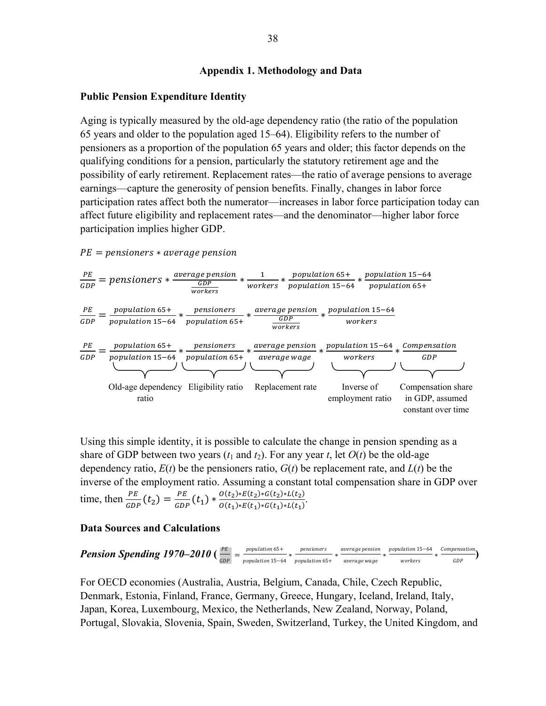### **Appendix 1. Methodology and Data**

#### **Public Pension Expenditure Identity**

Aging is typically measured by the old-age dependency ratio (the ratio of the population 65 years and older to the population aged 15–64). Eligibility refers to the number of pensioners as a proportion of the population 65 years and older; this factor depends on the qualifying conditions for a pension, particularly the statutory retirement age and the possibility of early retirement. Replacement rates—the ratio of average pensions to average earnings—capture the generosity of pension benefits. Finally, changes in labor force participation rates affect both the numerator—increases in labor force participation today can affect future eligibility and replacement rates—and the denominator—higher labor force participation implies higher GDP.

 $PE =$  pensioners  $*$  average pension  $\frac{PE}{GDP}$  = pensioners  $* \frac{average \text{ pension}}{GDP}$ workers  $*\frac{1}{works}*\frac{population 65+}{population 15-64}*\frac{population 15-64}{population 65+}$  $\frac{PE}{GDP} = \frac{population\ 65+}{population\ 15-64} * \frac{pensions}{population\ 65+} * \frac{average\ pension}{GDP}$ workers  $*\frac{population\ 15-64}{works}$ PE  $\frac{PE}{GDP} = \frac{population\ 65+}{population\ 15-64} * \frac{pensions}{population\ 65+} * \frac{average\ pension}{average\ wage} * \frac{population\ 15-64}{workers} * \frac{Compensation}{GDP}$ Compensation share in GDP, assumed constant over time Inverse of employment ratio Old-age dependency Eligibility ratio Replacement rate ratio

Using this simple identity, it is possible to calculate the change in pension spending as a share of GDP between two years  $(t_1$  and  $t_2$ ). For any year  $t$ , let  $O(t)$  be the old-age dependency ratio,  $E(t)$  be the pensioners ratio,  $G(t)$  be replacement rate, and  $L(t)$  be the inverse of the employment ratio. Assuming a constant total compensation share in GDP over time, then  $\frac{PE}{GDP}(t_2) = \frac{PE}{GDP}(t_1) * \frac{O(t_2) * E(t_2) * G(t_2) * L(t_2)}{O(t_1) * E(t_1) * G(t_1) * L(t_1)}$ 

#### **Data Sources and Calculations**

**Pension Spending 1970-2010** 
$$
\left(\frac{PE}{GDP}\right)
$$
 =  $\frac{population 65+}{population 15-64} * \frac{pensioners}{population 65+} * \frac{average pension}{average wage} * \frac{population 15-64}{workers} * \frac{Compensation}{GDP}$ 

For OECD economies (Australia, Austria, Belgium, Canada, Chile, Czech Republic, Denmark, Estonia, Finland, France, Germany, Greece, Hungary, Iceland, Ireland, Italy, Japan, Korea, Luxembourg, Mexico, the Netherlands, New Zealand, Norway, Poland, Portugal, Slovakia, Slovenia, Spain, Sweden, Switzerland, Turkey, the United Kingdom, and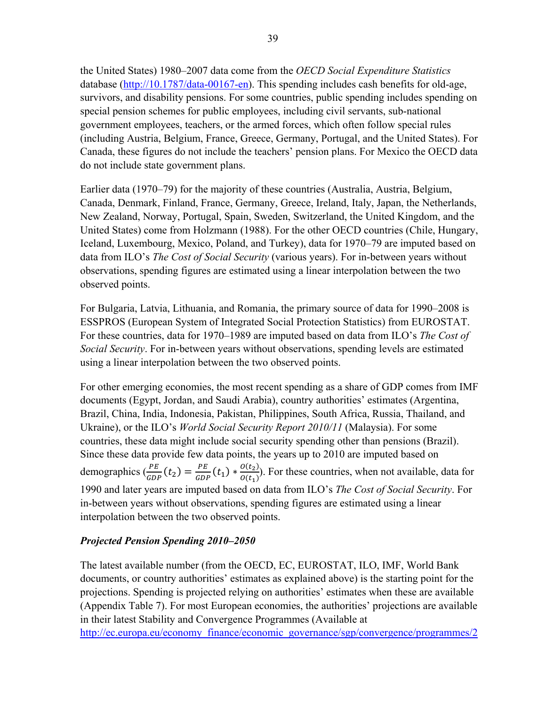the United States) 1980–2007 data come from the *OECD Social Expenditure Statistics* database (http://10.1787/data-00167-en). This spending includes cash benefits for old-age, survivors, and disability pensions. For some countries, public spending includes spending on special pension schemes for public employees, including civil servants, sub-national government employees, teachers, or the armed forces, which often follow special rules (including Austria, Belgium, France, Greece, Germany, Portugal, and the United States). For Canada, these figures do not include the teachers' pension plans. For Mexico the OECD data do not include state government plans.

Earlier data (1970–79) for the majority of these countries (Australia, Austria, Belgium, Canada, Denmark, Finland, France, Germany, Greece, Ireland, Italy, Japan, the Netherlands, New Zealand, Norway, Portugal, Spain, Sweden, Switzerland, the United Kingdom, and the United States) come from Holzmann (1988). For the other OECD countries (Chile, Hungary, Iceland, Luxembourg, Mexico, Poland, and Turkey), data for 1970–79 are imputed based on data from ILO's *The Cost of Social Security* (various years). For in-between years without observations, spending figures are estimated using a linear interpolation between the two observed points.

For Bulgaria, Latvia, Lithuania, and Romania, the primary source of data for 1990–2008 is ESSPROS (European System of Integrated Social Protection Statistics) from EUROSTAT. For these countries, data for 1970–1989 are imputed based on data from ILO's *The Cost of Social Security*. For in-between years without observations, spending levels are estimated using a linear interpolation between the two observed points.

For other emerging economies, the most recent spending as a share of GDP comes from IMF documents (Egypt, Jordan, and Saudi Arabia), country authorities' estimates (Argentina, Brazil, China, India, Indonesia, Pakistan, Philippines, South Africa, Russia, Thailand, and Ukraine), or the ILO's *World Social Security Report 2010/11* (Malaysia). For some countries, these data might include social security spending other than pensions (Brazil). Since these data provide few data points, the years up to 2010 are imputed based on demographics  $\left(\frac{PE}{GDP}(t_2) = \frac{PE}{GDP}(t_1) * \frac{O(t_2)}{O(t_1)}\right)$ . For these countries, when not available, data for 1990 and later years are imputed based on data from ILO's *The Cost of Social Security*. For in-between years without observations, spending figures are estimated using a linear interpolation between the two observed points.

# *Projected Pension Spending 2010–2050*

The latest available number (from the OECD, EC, EUROSTAT, ILO, IMF, World Bank documents, or country authorities' estimates as explained above) is the starting point for the projections. Spending is projected relying on authorities' estimates when these are available (Appendix Table 7). For most European economies, the authorities' projections are available in their latest Stability and Convergence Programmes (Available at http://ec.europa.eu/economy\_finance/economic\_governance/sgp/convergence/programmes/2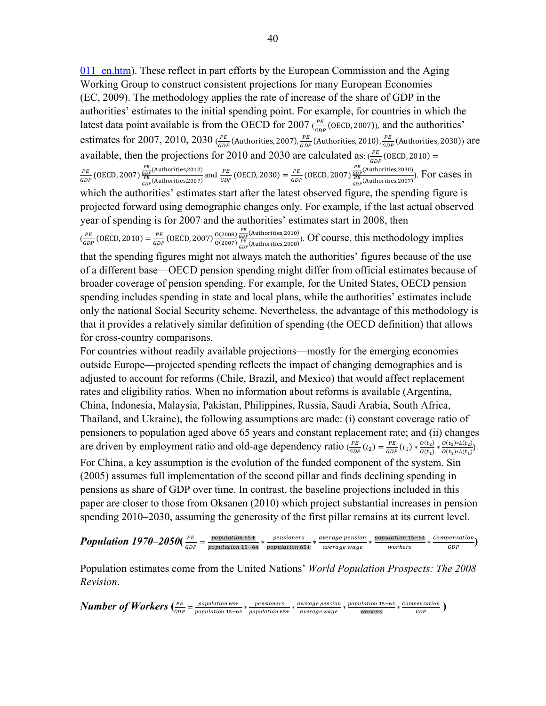011 en.htm). These reflect in part efforts by the European Commission and the Aging Working Group to construct consistent projections for many European Economies (EC, 2009). The methodology applies the rate of increase of the share of GDP in the authorities' estimates to the initial spending point. For example, for countries in which the latest data point available is from the OECD for 2007 ( $\frac{PE}{GDP}$  (OECD, 2007)), and the authorities' estimates for 2007, 2010, 2030 ( $\frac{PE}{GDP}$  (Authorities, 2007),  $\frac{PE}{GDP}$  (Authorities, 2010),  $\frac{PE}{GDP}$  (Authorities, 2030)) are available, then the projections for 2010 and 2030 are calculated as:  $\frac{PE}{GDP}$  (OECD, 2010) =  $\frac{PE}{GDP}$ (OECD, 2007) $\frac{\frac{PE}{GDP}($ Authorities,2010) and  $\frac{PE}{GDP}$ (OECD, 2030) =  $\frac{PE}{GDP}$ (OECD, 2007) $\frac{\frac{PE}{GDP}($ Authorities,2030). For cases in which the authorities' estimates start after the latest observed figure, the spending figure is projected forward using demographic changes only. For example, if the last actual observed year of spending is for 2007 and the authorities' estimates start in 2008, then  $\left(\frac{PE}{GDP}\right)$  (OECD, 2010) =  $\frac{PE}{GDP}$  (OECD, 2007)  $\frac{O(2008)}{O(2007)}$  $\frac{\frac{PE}{GDP}( \text{Authorities}, 2010)}{\frac{PE}{GDP}( \text{Authorities}, 2008)}$ . Of course, this methodology implies that the spending figures might not always match the authorities' figures because of the use of a different base—OECD pension spending might differ from official estimates because of broader coverage of pension spending. For example, for the United States, OECD pension

spending includes spending in state and local plans, while the authorities' estimates include only the national Social Security scheme. Nevertheless, the advantage of this methodology is that it provides a relatively similar definition of spending (the OECD definition) that allows for cross-country comparisons.

For countries without readily available projections—mostly for the emerging economies outside Europe—projected spending reflects the impact of changing demographics and is adjusted to account for reforms (Chile, Brazil, and Mexico) that would affect replacement rates and eligibility ratios. When no information about reforms is available (Argentina, China, Indonesia, Malaysia, Pakistan, Philippines, Russia, Saudi Arabia, South Africa, Thailand, and Ukraine), the following assumptions are made: (i) constant coverage ratio of pensioners to population aged above 65 years and constant replacement rate; and (ii) changes are driven by employment ratio and old-age dependency ratio  $\frac{PE}{GDP}(t_2) = \frac{PE}{GDP}(t_1) * \frac{O(t_2) * L(t_2)}{O(t_1) * L(t_1)}$ . For China, a key assumption is the evolution of the funded component of the system. Sin (2005) assumes full implementation of the second pillar and finds declining spending in pensions as share of GDP over time. In contrast, the baseline projections included in this paper are closer to those from Oksanen (2010) which project substantial increases in pension spending 2010–2030, assuming the generosity of the first pillar remains at its current level.

 $Population$   $1970-2050$   $(\frac{PE}{GDP} = \frac{population 65+}{population 15-64} * \frac{pensions}{population 65+} * \frac{average \text{ }pension}{average \text{ }wage})$   $*$   $\frac{loopulation 15-64}{GDP} * \frac{Compensation}{GDP})$ 

Population estimates come from the United Nations' *World Population Prospects: The 2008 Revision*.

*Number of Workers*  $\left(\frac{PE}{GDP} = \frac{population 65+}{population 15-64} * \frac{pensions}{population 65+} * \frac{average \text{ } was\text{ }a}}{average \text{ } wage \text{ } wages} * \frac{population 15-64}{workers} * \frac{Compensation}{GDP}\right)$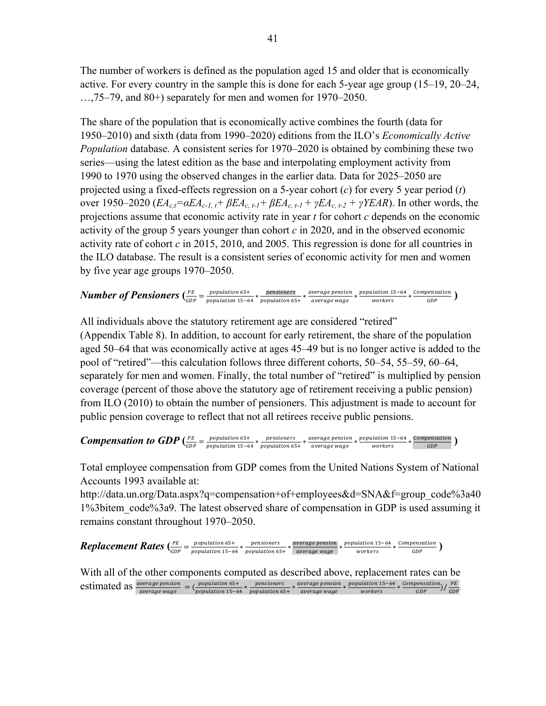The number of workers is defined as the population aged 15 and older that is economically active. For every country in the sample this is done for each 5-year age group (15–19, 20–24,  $..., 75-79$ , and  $80+)$  separately for men and women for  $1970-2050$ .

The share of the population that is economically active combines the fourth (data for 1950–2010) and sixth (data from 1990–2020) editions from the ILO's *Economically Active Population* database. A consistent series for 1970–2020 is obtained by combining these two series—using the latest edition as the base and interpolating employment activity from 1990 to 1970 using the observed changes in the earlier data. Data for 2025–2050 are projected using a fixed-effects regression on a 5-year cohort (*c*) for every 5 year period (*t*) over 1950–2020 (*EA<sub>ct</sub>*= $\alpha E A_{c}$ -*I, t* +  $\beta E A_{c}$ , *t*-*I* +  $\beta E A_{c}$ , *t*-*I* +  $\gamma E A_{c}$ , *t*-*2* +  $\gamma YE A R$ ). In other words, the projections assume that economic activity rate in year *t* for cohort *c* depends on the economic activity of the group 5 years younger than cohort *c* in 2020, and in the observed economic activity rate of cohort *c* in 2015, 2010, and 2005. This regression is done for all countries in the ILO database. The result is a consistent series of economic activity for men and women by five year age groups 1970–2050.

# *Number of Pensioners*  $\left(\frac{PE}{GDP} = \frac{population 65+}{population 15-64} * \frac{pensions}{population 65+} * \frac{average \text{ version}}{average \text{ wage \text{ wages}} * \frac{population 15-64}{workers} * \frac{Compensation}{GDP}\right)$

All individuals above the statutory retirement age are considered "retired"

(Appendix Table 8). In addition, to account for early retirement, the share of the population aged 50–64 that was economically active at ages 45–49 but is no longer active is added to the pool of "retired"—this calculation follows three different cohorts, 50–54, 55–59, 60–64, separately for men and women. Finally, the total number of "retired" is multiplied by pension coverage (percent of those above the statutory age of retirement receiving a public pension) from ILO (2010) to obtain the number of pensioners. This adjustment is made to account for public pension coverage to reflect that not all retirees receive public pensions.

**Compensation to GDP**  $\left(\frac{PE}{GDP} = \frac{population 65+}{population 15-64} * \frac{pensions}{population 65+} * \frac{average \text{ version}}{average \text{ wage \text{ wages}} * \frac{population 15-64}{workers} * \frac{Compensation}{GDP}\right)$ 

Total employee compensation from GDP comes from the United Nations System of National Accounts 1993 available at:

http://data.un.org/Data.aspx?q=compensation+of+employees&d=SNA&f=group\_code%3a40 1%3bitem\_code%3a9. The latest observed share of compensation in GDP is used assuming it remains constant throughout 1970–2050.

**Replacement Rates**  $\left(\frac{PE}{GDP} = \frac{population 65+}{population 15-64} * \frac{pensions}{population 65+}}{population 15-64} * \frac{pensions}{average wage} * \frac{population 15-64}{worker 3} * \frac{Compensation}{GDP}\right)$ 

With all of the other components computed as described above, replacement rates can be estimated as  $\frac{average \text{ pension}}{average \text{wa} \text{age}} = (\frac{population \text{ 65+}}{population \text{ 15-64}} * \frac{p \text{ensioners}}{population \text{ 65+}} * \frac{average \text{wa} \text{area}}{average \text{wa} \text{age} \text{ wage}} * \frac{p \text{population \text{ 15-64}}}{worker \text{where}} * \frac{Component \text{ 65+}}{GDP}) / \frac{PE}{GDP}$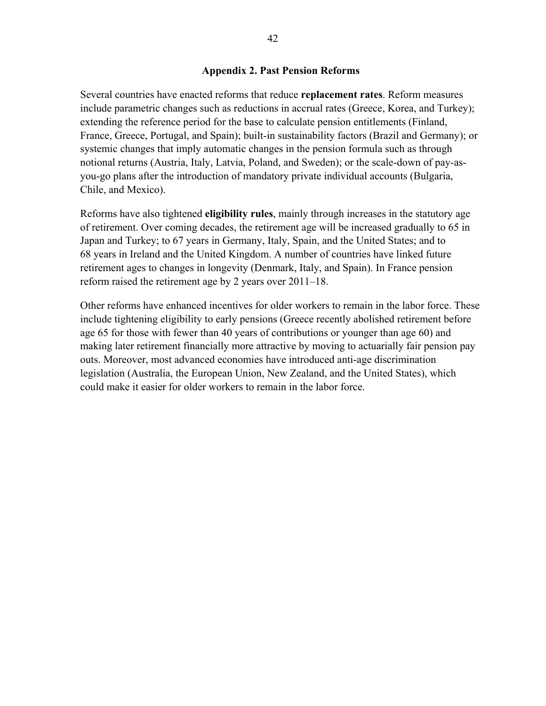#### **Appendix 2. Past Pension Reforms**

Several countries have enacted reforms that reduce **replacement rates**. Reform measures include parametric changes such as reductions in accrual rates (Greece, Korea, and Turkey); extending the reference period for the base to calculate pension entitlements (Finland, France, Greece, Portugal, and Spain); built-in sustainability factors (Brazil and Germany); or systemic changes that imply automatic changes in the pension formula such as through notional returns (Austria, Italy, Latvia, Poland, and Sweden); or the scale-down of pay-asyou-go plans after the introduction of mandatory private individual accounts (Bulgaria, Chile, and Mexico).

Reforms have also tightened **eligibility rules**, mainly through increases in the statutory age of retirement. Over coming decades, the retirement age will be increased gradually to 65 in Japan and Turkey; to 67 years in Germany, Italy, Spain, and the United States; and to 68 years in Ireland and the United Kingdom. A number of countries have linked future retirement ages to changes in longevity (Denmark, Italy, and Spain). In France pension reform raised the retirement age by 2 years over 2011–18.

Other reforms have enhanced incentives for older workers to remain in the labor force. These include tightening eligibility to early pensions (Greece recently abolished retirement before age 65 for those with fewer than 40 years of contributions or younger than age 60) and making later retirement financially more attractive by moving to actuarially fair pension pay outs. Moreover, most advanced economies have introduced anti-age discrimination legislation (Australia, the European Union, New Zealand, and the United States), which could make it easier for older workers to remain in the labor force.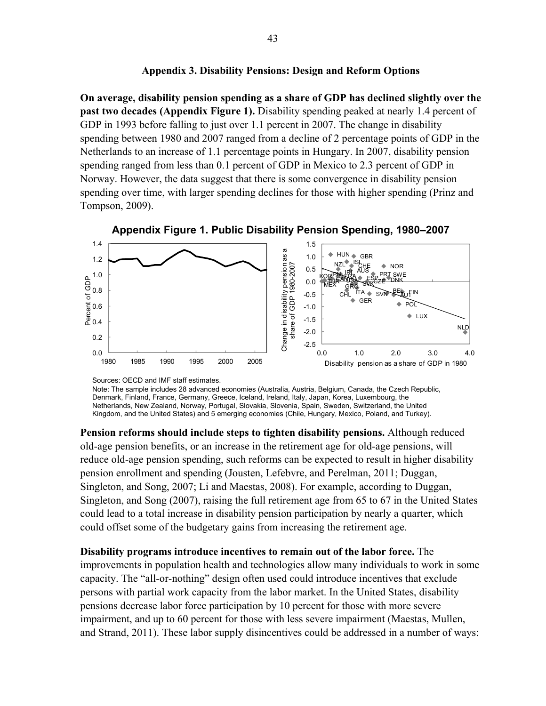#### **Appendix 3. Disability Pensions: Design and Reform Options**

**On average, disability pension spending as a share of GDP has declined slightly over the past two decades (Appendix Figure 1).** Disability spending peaked at nearly 1.4 percent of GDP in 1993 before falling to just over 1.1 percent in 2007. The change in disability spending between 1980 and 2007 ranged from a decline of 2 percentage points of GDP in the Netherlands to an increase of 1.1 percentage points in Hungary. In 2007, disability pension spending ranged from less than 0.1 percent of GDP in Mexico to 2.3 percent of GDP in Norway. However, the data suggest that there is some convergence in disability pension spending over time, with larger spending declines for those with higher spending (Prinz and Tompson, 2009).



**Appendix Figure 1. Public Disability Pension Spending, 1980–2007** 

Sources: OECD and IMF staff estimates.

Note: The sample includes 28 advanced economies (Australia, Austria, Belgium, Canada, the Czech Republic, Denmark, Finland, France, Germany, Greece, Iceland, Ireland, Italy, Japan, Korea, Luxembourg, the Netherlands, New Zealand, Norway, Portugal, Slovakia, Slovenia, Spain, Sweden, Switzerland, the United Kingdom, and the United States) and 5 emerging economies (Chile, Hungary, Mexico, Poland, and Turkey).

**Pension reforms should include steps to tighten disability pensions.** Although reduced old-age pension benefits, or an increase in the retirement age for old-age pensions, will reduce old-age pension spending, such reforms can be expected to result in higher disability pension enrollment and spending (Jousten, Lefebvre, and Perelman, 2011; Duggan, Singleton, and Song, 2007; Li and Maestas, 2008). For example, according to Duggan, Singleton, and Song (2007), raising the full retirement age from 65 to 67 in the United States could lead to a total increase in disability pension participation by nearly a quarter, which could offset some of the budgetary gains from increasing the retirement age.

**Disability programs introduce incentives to remain out of the labor force.** The improvements in population health and technologies allow many individuals to work in some capacity. The "all-or-nothing" design often used could introduce incentives that exclude persons with partial work capacity from the labor market. In the United States, disability pensions decrease labor force participation by 10 percent for those with more severe impairment, and up to 60 percent for those with less severe impairment (Maestas, Mullen, and Strand, 2011). These labor supply disincentives could be addressed in a number of ways: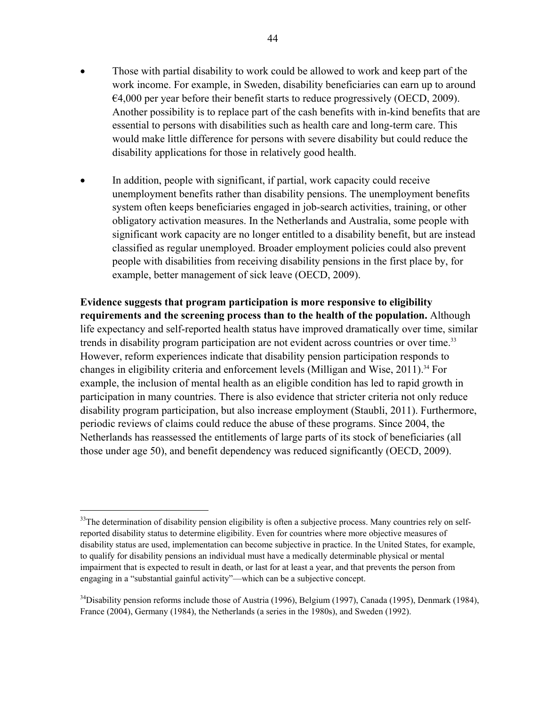- Those with partial disability to work could be allowed to work and keep part of the work income. For example, in Sweden, disability beneficiaries can earn up to around  $€4,000$  per year before their benefit starts to reduce progressively (OECD, 2009). Another possibility is to replace part of the cash benefits with in-kind benefits that are essential to persons with disabilities such as health care and long-term care. This would make little difference for persons with severe disability but could reduce the disability applications for those in relatively good health.
- In addition, people with significant, if partial, work capacity could receive unemployment benefits rather than disability pensions. The unemployment benefits system often keeps beneficiaries engaged in job-search activities, training, or other obligatory activation measures. In the Netherlands and Australia, some people with significant work capacity are no longer entitled to a disability benefit, but are instead classified as regular unemployed. Broader employment policies could also prevent people with disabilities from receiving disability pensions in the first place by, for example, better management of sick leave (OECD, 2009).

**Evidence suggests that program participation is more responsive to eligibility requirements and the screening process than to the health of the population.** Although life expectancy and self-reported health status have improved dramatically over time, similar trends in disability program participation are not evident across countries or over time.<sup>33</sup> However, reform experiences indicate that disability pension participation responds to changes in eligibility criteria and enforcement levels (Milligan and Wise, 2011).<sup>34</sup> For example, the inclusion of mental health as an eligible condition has led to rapid growth in participation in many countries. There is also evidence that stricter criteria not only reduce disability program participation, but also increase employment (Staubli, 2011). Furthermore, periodic reviews of claims could reduce the abuse of these programs. Since 2004, the Netherlands has reassessed the entitlements of large parts of its stock of beneficiaries (all those under age 50), and benefit dependency was reduced significantly (OECD, 2009).

 $33$ The determination of disability pension eligibility is often a subjective process. Many countries rely on selfreported disability status to determine eligibility. Even for countries where more objective measures of disability status are used, implementation can become subjective in practice. In the United States, for example, to qualify for disability pensions an individual must have a medically determinable physical or mental impairment that is expected to result in death, or last for at least a year, and that prevents the person from engaging in a "substantial gainful activity"—which can be a subjective concept.

 $34$ Disability pension reforms include those of Austria (1996), Belgium (1997), Canada (1995), Denmark (1984), France (2004), Germany (1984), the Netherlands (a series in the 1980s), and Sweden (1992).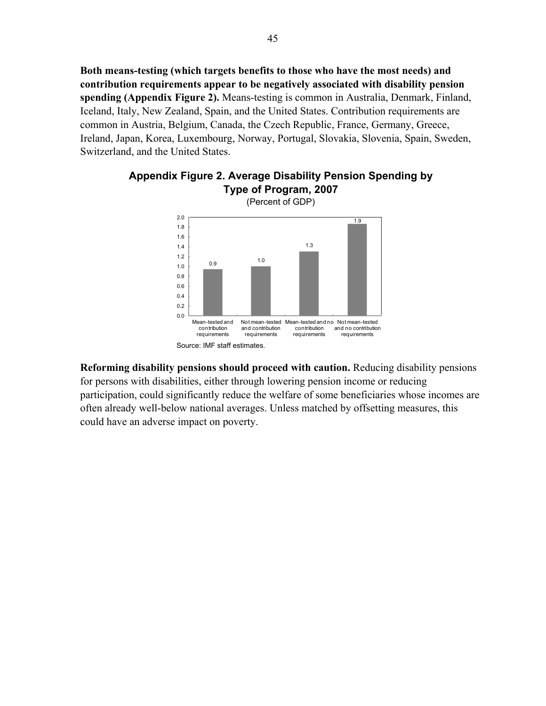**Both means-testing (which targets benefits to those who have the most needs) and contribution requirements appear to be negatively associated with disability pension spending (Appendix Figure 2).** Means-testing is common in Australia, Denmark, Finland, Iceland, Italy, New Zealand, Spain, and the United States. Contribution requirements are common in Austria, Belgium, Canada, the Czech Republic, France, Germany, Greece, Ireland, Japan, Korea, Luxembourg, Norway, Portugal, Slovakia, Slovenia, Spain, Sweden, Switzerland, and the United States.





**Reforming disability pensions should proceed with caution.** Reducing disability pensions for persons with disabilities, either through lowering pension income or reducing participation, could significantly reduce the welfare of some beneficiaries whose incomes are often already well-below national averages. Unless matched by offsetting measures, this could have an adverse impact on poverty.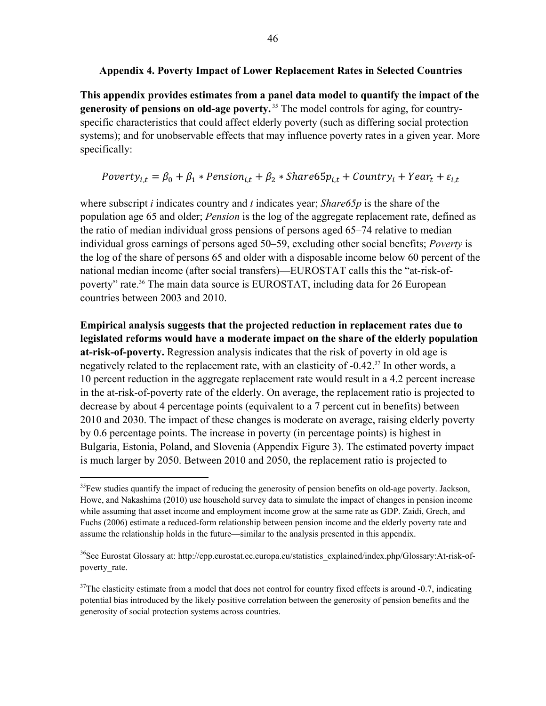# **Appendix 4. Poverty Impact of Lower Replacement Rates in Selected Countries**

**This appendix provides estimates from a panel data model to quantify the impact of the generosity of pensions on old-age poverty.** <sup>35</sup> The model controls for aging, for countryspecific characteristics that could affect elderly poverty (such as differing social protection systems); and for unobservable effects that may influence poverty rates in a given year. More specifically:

 $Powerty_{i,t} = \beta_0 + \beta_1 * Pension_{i,t} + \beta_2 * Share65p_{i,t} + Country_i + Year_t + \varepsilon_{i,t}$ 

where subscript *i* indicates country and *t* indicates year; *Share65p* is the share of the population age 65 and older; *Pension* is the log of the aggregate replacement rate, defined as the ratio of median individual gross pensions of persons aged 65–74 relative to median individual gross earnings of persons aged 50–59, excluding other social benefits; *Poverty* is the log of the share of persons 65 and older with a disposable income below 60 percent of the national median income (after social transfers)—EUROSTAT calls this the "at-risk-ofpoverty" rate.<sup>36</sup> The main data source is EUROSTAT, including data for 26 European countries between 2003 and 2010.

**Empirical analysis suggests that the projected reduction in replacement rates due to legislated reforms would have a moderate impact on the share of the elderly population at-risk-of-poverty.** Regression analysis indicates that the risk of poverty in old age is negatively related to the replacement rate, with an elasticity of -0.42.<sup>37</sup> In other words, a 10 percent reduction in the aggregate replacement rate would result in a 4.2 percent increase in the at-risk-of-poverty rate of the elderly. On average, the replacement ratio is projected to decrease by about 4 percentage points (equivalent to a 7 percent cut in benefits) between 2010 and 2030. The impact of these changes is moderate on average, raising elderly poverty by 0.6 percentage points. The increase in poverty (in percentage points) is highest in Bulgaria, Estonia, Poland, and Slovenia (Appendix Figure 3). The estimated poverty impact is much larger by 2050. Between 2010 and 2050, the replacement ratio is projected to

<sup>&</sup>lt;sup>35</sup>Few studies quantify the impact of reducing the generosity of pension benefits on old-age poverty. Jackson, Howe, and Nakashima (2010) use household survey data to simulate the impact of changes in pension income while assuming that asset income and employment income grow at the same rate as GDP. Zaidi, Grech, and Fuchs (2006) estimate a reduced-form relationship between pension income and the elderly poverty rate and assume the relationship holds in the future—similar to the analysis presented in this appendix.

<sup>&</sup>lt;sup>36</sup>See Eurostat Glossary at: http://epp.eurostat.ec.europa.eu/statistics\_explained/index.php/Glossary:At-risk-ofpoverty\_rate.

 $37$ The elasticity estimate from a model that does not control for country fixed effects is around -0.7, indicating potential bias introduced by the likely positive correlation between the generosity of pension benefits and the generosity of social protection systems across countries.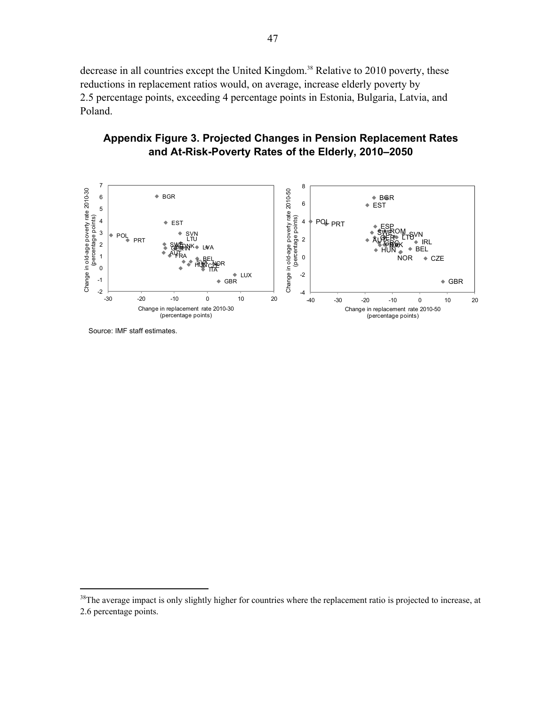decrease in all countries except the United Kingdom.<sup>38</sup> Relative to 2010 poverty, these reductions in replacement ratios would, on average, increase elderly poverty by 2.5 percentage points, exceeding 4 percentage points in Estonia, Bulgaria, Latvia, and Poland.

# **Appendix Figure 3. Projected Changes in Pension Replacement Rates and At-Risk-Poverty Rates of the Elderly, 2010–2050**



Source: IMF staff estimates.

<sup>&</sup>lt;sup>38</sup>The average impact is only slightly higher for countries where the replacement ratio is projected to increase, at 2.6 percentage points.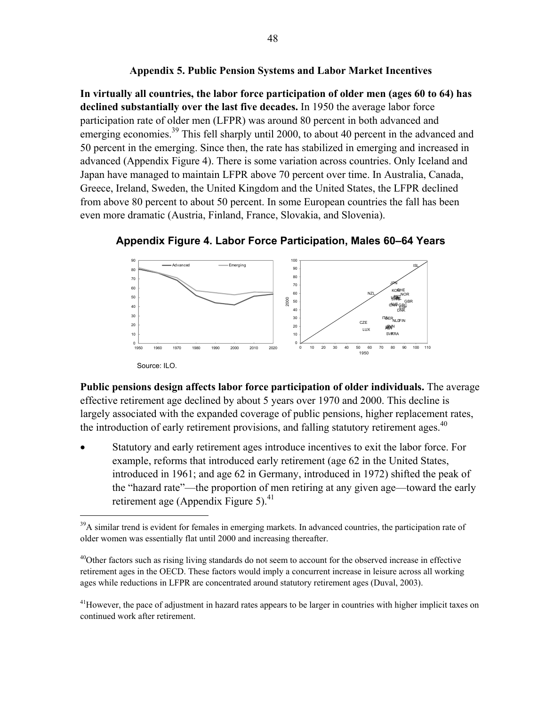# **Appendix 5. Public Pension Systems and Labor Market Incentives**

**In virtually all countries, the labor force participation of older men (ages 60 to 64) has declined substantially over the last five decades.** In 1950 the average labor force participation rate of older men (LFPR) was around 80 percent in both advanced and emerging economies.<sup>39</sup> This fell sharply until 2000, to about 40 percent in the advanced and 50 percent in the emerging. Since then, the rate has stabilized in emerging and increased in advanced (Appendix Figure 4). There is some variation across countries. Only Iceland and Japan have managed to maintain LFPR above 70 percent over time. In Australia, Canada, Greece, Ireland, Sweden, the United Kingdom and the United States, the LFPR declined from above 80 percent to about 50 percent. In some European countries the fall has been even more dramatic (Austria, Finland, France, Slovakia, and Slovenia).



**Appendix Figure 4. Labor Force Participation, Males 60–64 Years** 

**Public pensions design affects labor force participation of older individuals.** The average effective retirement age declined by about 5 years over 1970 and 2000. This decline is largely associated with the expanded coverage of public pensions, higher replacement rates, the introduction of early retirement provisions, and falling statutory retirement ages.<sup>40</sup>

 Statutory and early retirement ages introduce incentives to exit the labor force. For example, reforms that introduced early retirement (age 62 in the United States, introduced in 1961; and age 62 in Germany, introduced in 1972) shifted the peak of the "hazard rate"—the proportion of men retiring at any given age—toward the early retirement age (Appendix Figure 5). $^{41}$ 

1

<sup>&</sup>lt;sup>39</sup>A similar trend is evident for females in emerging markets. In advanced countries, the participation rate of older women was essentially flat until 2000 and increasing thereafter.

<sup>&</sup>lt;sup>40</sup>Other factors such as rising living standards do not seem to account for the observed increase in effective retirement ages in the OECD. These factors would imply a concurrent increase in leisure across all working ages while reductions in LFPR are concentrated around statutory retirement ages (Duval, 2003).

<sup>&</sup>lt;sup>41</sup>However, the pace of adjustment in hazard rates appears to be larger in countries with higher implicit taxes on continued work after retirement.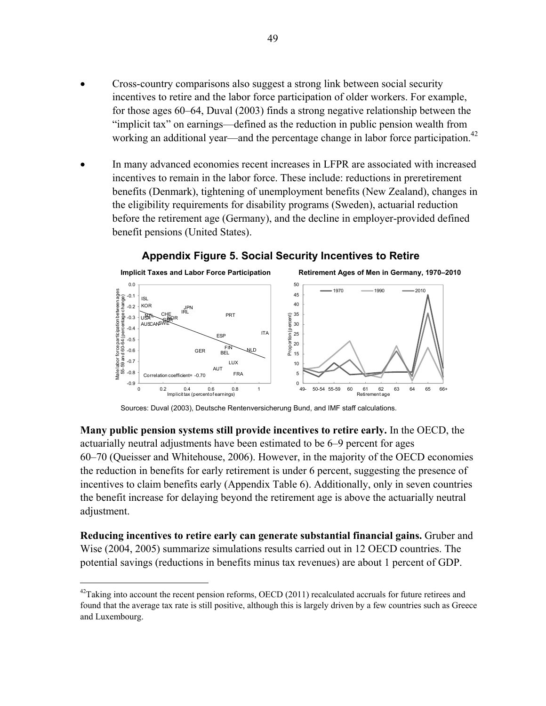- Cross-country comparisons also suggest a strong link between social security incentives to retire and the labor force participation of older workers. For example, for those ages 60–64, Duval (2003) finds a strong negative relationship between the "implicit tax" on earnings—defined as the reduction in public pension wealth from working an additional year—and the percentage change in labor force participation.<sup>42</sup>
- In many advanced economies recent increases in LFPR are associated with increased incentives to remain in the labor force. These include: reductions in preretirement benefits (Denmark), tightening of unemployment benefits (New Zealand), changes in the eligibility requirements for disability programs (Sweden), actuarial reduction before the retirement age (Germany), and the decline in employer-provided defined benefit pensions (United States).



# **Appendix Figure 5. Social Security Incentives to Retire**

Sources: Duval (2003), Deutsche Rentenversicherung Bund, and IMF staff calculations.

**Many public pension systems still provide incentives to retire early.** In the OECD, the actuarially neutral adjustments have been estimated to be 6–9 percent for ages 60–70 (Queisser and Whitehouse, 2006). However, in the majority of the OECD economies the reduction in benefits for early retirement is under 6 percent, suggesting the presence of incentives to claim benefits early (Appendix Table 6). Additionally, only in seven countries the benefit increase for delaying beyond the retirement age is above the actuarially neutral adjustment.

**Reducing incentives to retire early can generate substantial financial gains.** Gruber and Wise (2004, 2005) summarize simulations results carried out in 12 OECD countries. The potential savings (reductions in benefits minus tax revenues) are about 1 percent of GDP.

 $^{42}$ Taking into account the recent pension reforms, OECD (2011) recalculated accruals for future retirees and found that the average tax rate is still positive, although this is largely driven by a few countries such as Greece and Luxembourg.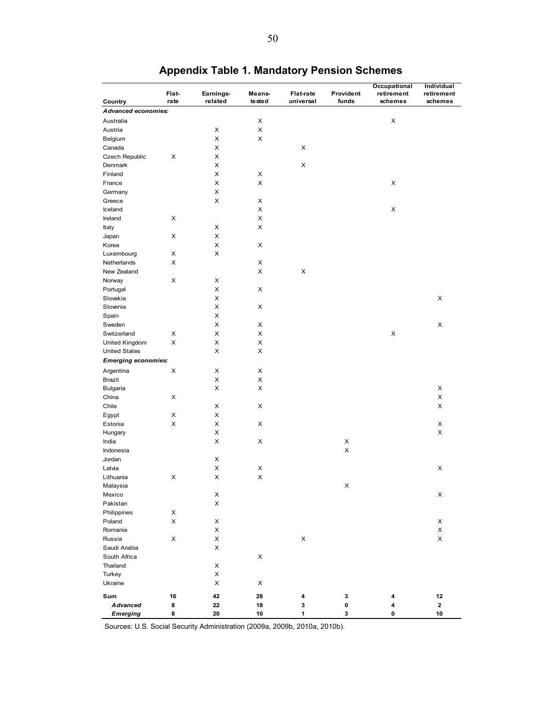|                            |       |            |                           |                  |                    | Occupational | Individual |
|----------------------------|-------|------------|---------------------------|------------------|--------------------|--------------|------------|
|                            | Flat- | Earnings-  | Means-                    | <b>Flat-rate</b> | Provident          | retirement   | retirement |
| Country                    | rate  | related    | tested                    | universal        | funds              | schemes      | schemes    |
| <b>Advanced economies:</b> |       |            |                           |                  |                    |              |            |
| Australia                  |       |            | X                         |                  |                    | X            |            |
| Austria                    |       | X          | $\pmb{\times}$            |                  |                    |              |            |
| Belgium                    |       | X          | X                         |                  |                    |              |            |
| Canada                     |       | X          |                           | X                |                    |              |            |
| Czech Republic             | X     | X          |                           |                  |                    |              |            |
| Denmark                    |       | X          |                           | X                |                    |              |            |
| Finland                    |       | X          | X                         |                  |                    |              |            |
| France                     |       | X          | $\boldsymbol{\mathsf{X}}$ |                  |                    | X            |            |
|                            |       | X          |                           |                  |                    |              |            |
| Germany                    |       |            |                           |                  |                    |              |            |
| Greece                     |       | X          | X                         |                  |                    |              |            |
| Iceland                    |       |            | X                         |                  |                    | X            |            |
| Ireland                    | X     |            | X                         |                  |                    |              |            |
| Italy                      |       | X          | X                         |                  |                    |              |            |
| Japan                      | X     | X          |                           |                  |                    |              |            |
| Korea                      |       | X          | X                         |                  |                    |              |            |
| Luxembourg                 | х     | X          |                           |                  |                    |              |            |
| Netherlands                | X     |            | X                         |                  |                    |              |            |
| New Zealand                |       |            | X                         | X                |                    |              |            |
| Norway                     | X     | x          |                           |                  |                    |              |            |
| Portugal                   |       | X          | X                         |                  |                    |              |            |
| Slovakia                   |       | X          |                           |                  |                    |              | X          |
| Slovenia                   |       | X          | X                         |                  |                    |              |            |
| Spain                      |       | X          |                           |                  |                    |              |            |
| Sweden                     |       | X          | Х                         |                  |                    |              | X          |
| Switzerland                | X     | X          | X                         |                  |                    | X            |            |
| United Kingdom             | X     | X          | X                         |                  |                    |              |            |
| <b>United States</b>       |       | X          | X                         |                  |                    |              |            |
|                            |       |            |                           |                  |                    |              |            |
| <b>Emerging economies:</b> |       |            |                           |                  |                    |              |            |
| Argentina                  | X     | X          | X                         |                  |                    |              |            |
| Brazil                     |       | X          | X                         |                  |                    |              |            |
| Bulgaria                   |       | X          | X                         |                  |                    |              | X          |
| China                      | X     |            |                           |                  |                    |              | X          |
| Chile                      |       | x          | Х                         |                  |                    |              | x          |
| Egypt                      | х     | X          |                           |                  |                    |              |            |
| Estonia                    | X     | X          | X                         |                  |                    |              | x          |
| Hungary                    |       | X          |                           |                  |                    |              | X          |
| India                      |       | X          | X                         |                  | X                  |              |            |
| Indonesia                  |       |            |                           |                  | $\pmb{\times}$     |              |            |
| Jordan                     |       | x          |                           |                  |                    |              |            |
| Latvia                     |       | X          | X                         |                  |                    |              | X          |
| Lithuania                  | х     | X          | $\boldsymbol{\mathsf{X}}$ |                  |                    |              |            |
|                            |       |            |                           |                  |                    |              |            |
| Malaysia                   |       |            |                           |                  | $\pmb{\mathsf{X}}$ |              |            |
| Mexico                     |       | X          |                           |                  |                    |              | x          |
| Pakistan                   |       | X          |                           |                  |                    |              |            |
| Philippines                | х     |            |                           |                  |                    |              |            |
| Poland                     | X     | х          |                           |                  |                    |              | х          |
| Romania                    |       | X          |                           |                  |                    |              | X          |
| Russia                     | X     | X          |                           | X                |                    |              | X          |
| Saudi Arabia               |       | X          |                           |                  |                    |              |            |
| South Africa               |       |            | X                         |                  |                    |              |            |
| Thailand                   |       | X          |                           |                  |                    |              |            |
| Turkey                     |       | X          |                           |                  |                    |              |            |
| Ukraine                    |       | X          | Х                         |                  |                    |              |            |
| Sum                        | 16    | 42         | 28                        | 4                | 3                  | 4            | 12         |
| <b>Advanced</b>            | 8     | ${\bf 22}$ |                           | 3                | 0                  | 4            | 2          |
|                            | 8     |            | 18<br>10                  | 1                | 3                  | 0            | 10         |
| <b>Emerging</b>            |       | 20         |                           |                  |                    |              |            |

# **Appendix Table 1. Mandatory Pension Schemes**

Sources: U.S. Social Security Administration (2009a, 2009b, 2010a, 2010b).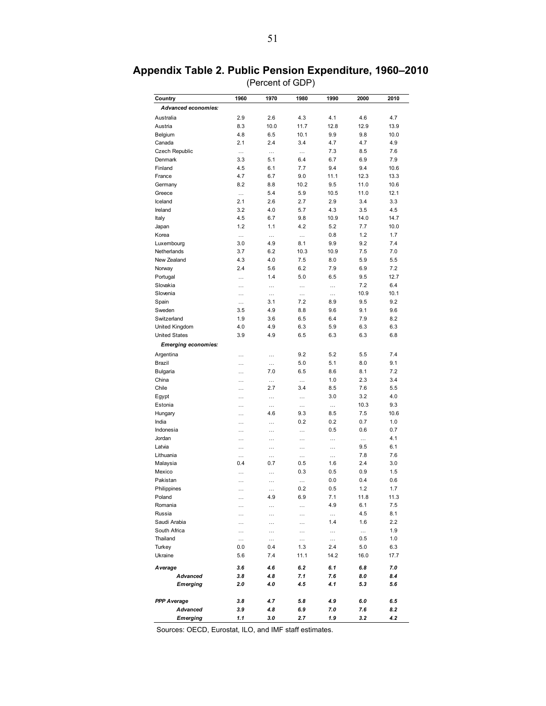| Country                    | 1960            | 1970            | 1980            | 1990            | 2000            | 2010        |
|----------------------------|-----------------|-----------------|-----------------|-----------------|-----------------|-------------|
| <b>Advanced economies:</b> |                 |                 |                 |                 |                 |             |
| Australia                  | 2.9             | 2.6             | 4.3             | 4.1             | 4.6             | 4.7         |
| Austria                    | 8.3             | 10.0            | 11.7            | 12.8            | 12.9            | 13.9        |
| Belgium                    | 4.8             | 6.5             | 10.1            | 9.9             | 9.8             | 10.0        |
| Canada                     | 2.1             | 2.4             | 3.4             | 4.7             | 4.7             | 4.9         |
| Czech Republic             | $\cdots$        | $\cdots$        | $\cdots$        | 7.3             | 8.5             | 7.6         |
| Denmark                    | 3.3             | 5.1             | 6.4             | 6.7             | 6.9             | 7.9         |
| Finland                    | 4.5             | 6.1             | 7.7             | 9.4             | 9.4             | 10.6        |
| France                     | 4.7             | 6.7             | 9.0             | 11.1            | 12.3            | 13.3        |
| Germany                    | 8.2             | 8.8             | 10.2            | 9.5             | 11.0            | 10.6        |
| Greece                     | $\cdots$        | 5.4             | 5.9             | 10.5            | 11.0            | 12.1        |
| Iceland                    | 2.1             | 2.6             | 2.7             | 2.9             | 3.4             | 3.3         |
| Ireland                    | 3.2             | 4.0             | 5.7             | 4.3             | 3.5             | 4.5         |
| Italy                      | 4.5             | 6.7             | 9.8             | 10.9            | 14.0            | 14.7        |
| Japan                      | 1.2             | 1.1             | 4.2             | 5.2             | 7.7             | 10.0        |
| Korea                      | $\cdots$        | $\cdots$        | $\cdots$        | 0.8             | 1.2             | 1.7         |
| Luxembourg                 | 3.0             | 4.9             | 8.1             | 9.9             | 9.2             | 7.4         |
| Netherlands                | 3.7             | 6.2             | 10.3            | 10.9            | 7.5             | 7.0         |
| New Zealand                | 4.3             | 4.0             | 7.5             | 8.0             | 5.9             | 5.5         |
| Norway                     | 2.4             | 5.6             | 6.2             | 7.9             | 6.9             | 7.2         |
| Portugal                   | $\cdots$        | 1.4             | 5.0             | 6.5             | 9.5             | 12.7        |
| Slovakia                   | $\cdots$        | $\cdots$        | $\cdots$        | $\cdots$        | 7.2             | 6.4         |
| Slovenia                   | $\cdots$        | $\cdots$        | $\cdots$        |                 | 10.9            | 10.1        |
| Spain                      | $\cdots$        | 3.1             | 7.2             | 8.9             | 9.5             | 9.2         |
| Sweden                     | 3.5             | 4.9             | 8.8             | 9.6             | 9.1             | 9.6         |
| Switzerland                | 1.9             | 3.6             | 6.5             | 6.4             | 7.9             | 8.2         |
| United Kingdom             | 4.0             | 4.9             | 6.3             | 5.9             | 6.3             | 6.3         |
| <b>United States</b>       | 3.9             | 4.9             | 6.5             | 6.3             | 6.3             | 6.8         |
| <b>Emerging economies:</b> |                 |                 |                 |                 |                 |             |
|                            |                 |                 |                 |                 |                 | 7.4         |
| Argentina<br>Brazil        | .               |                 | 9.2<br>5.0      | 5.2<br>5.1      | 5.5<br>8.0      | 9.1         |
|                            | $\cdots$        | $\cdots$<br>7.0 | 6.5             | 8.6             | 8.1             | 7.2         |
| Bulgaria<br>China          | $\cdots$        |                 |                 | 1.0             | 2.3             | 3.4         |
| Chile                      | .               | $\cdots$<br>2.7 | $\cdots$<br>3.4 | 8.5             | 7.6             | 5.5         |
|                            | $\cdots$        |                 |                 | 3.0             | 3.2             | 4.0         |
| Egypt                      | $\cdots$        | $\cdots$        | $\cdots$        |                 |                 | 9.3         |
| Estonia                    | .               | $\cdots$<br>4.6 | $\cdots$<br>9.3 | $\cdots$<br>8.5 | 10.3<br>7.5     | 10.6        |
| Hungary<br>India           | .               |                 | 0.2             | 0.2             | 0.7             | 1.0         |
|                            | .               | .               |                 |                 |                 |             |
| Indonesia<br>Jordan        | $\cdots$        | $\cdots$        | $\cdots$        | 0.5             | 0.6             | 0.7<br>4.1  |
| Latvia                     | $\cdots$        | $\cdots$        | $\cdots$        | $\cdots$        | $\cdots$<br>9.5 | 6.1         |
| Lithuania                  | $\cdots$        | .               | $\cdots$        | $\cdots$        | 7.8             | 7.6         |
| Malaysia                   | $\cdots$<br>0.4 | $\cdots$<br>0.7 | .<br>0.5        | $\cdots$<br>1.6 | 2.4             | 3.0         |
| Mexico                     |                 |                 | 0.3             | 0.5             | 0.9             | 1.5         |
| Pakistan                   | $\cdots$        | $\ddotsc$       |                 | 0.0             | 0.4             | 0.6         |
|                            | .               | .               | .               |                 |                 |             |
| Philippines                | $\cdots$        | $\cdots$        | 0.2             | 0.5             | 1.2             | 1.7         |
| Poland<br>Romania          | $\cdots$        | 4.9             | 6.9             | 7.1<br>4.9      | 11.8<br>6.1     | 11.3<br>7.5 |
| Russia                     | .               | $\cdots$        | $\cdots$        |                 | 4.5             | 8.1         |
| Saudi Arabia               | .               | $\cdots$        | $\cdots$        | $\cdots$<br>1.4 | 1.6             | 2.2         |
| South Africa               | $\cdots$        | $\cdots$        | $\cdots$        |                 |                 | 1.9         |
|                            | $\cdots$        | $\cdots$        | $\cdots$        | $\cdots$        | $\cdots$        |             |
| Thailand                   | $\cdots$        | $\cdots$        | $\cdots$<br>1.3 | $\cdots$<br>2.4 | 0.5             | 1.0         |
| Turkey                     | 0.0             | 0.4             |                 |                 | 5.0             | 6.3         |
| Ukraine                    | 5.6             | 7.4             | 11.1            | 14.2            | 16.0            | 17.7        |
| Average                    | 3.6             | 4.6             | 6.2             | 6.1             | 6.8             | 7.0         |
| <b>Advanced</b>            | 3.8             | 4.8             | 7.1             | 7.6             | 8.0             | 8.4         |
| Emerging                   | 2.0             | 4.0             | 4.5             | 4.1             | 5.3             | 5.6         |
|                            |                 |                 |                 |                 |                 |             |
| <b>PPP Average</b>         | 3.8             | 4.7             | 5.8             | 4.9             | 6.0             | 6.5         |
| Advanced                   | 3.9             | 4.8             | 6.9             | 7.0             | 7.6             | 8.2         |

# **Appendix Table 2. Public Pension Expenditure, 1960–2010**

(Percent of GDP)

Sources: OECD, Eurostat, ILO, and IMF staff estimates.

*Emerging 1.1 3.0 2.7 1.9 3.2 4.2*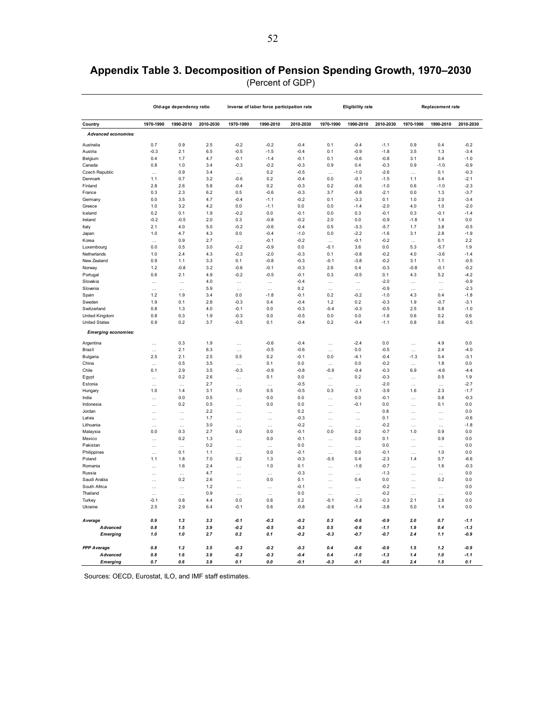# **Appendix Table 3. Decomposition of Pension Spending Growth, 1970–2030**

| (Percent of GDP) |  |
|------------------|--|
|------------------|--|

|                            |                     | Old-age dependency ratio |            |                  | Inverse of labor force participation rate |                  |                    | <b>Eligibility rate</b> |                  | Replacement rate |                 |                  |
|----------------------------|---------------------|--------------------------|------------|------------------|-------------------------------------------|------------------|--------------------|-------------------------|------------------|------------------|-----------------|------------------|
| Country                    | 1970-1990           | 1990-2010                | 2010-2030  | 1970-1990        | 1990-2010                                 | 2010-2030        | 1970-1990          | 1990-2010               | 2010-2030        | 1970-1990        | 1990-2010       | 2010-2030        |
| <b>Advanced economies:</b> |                     |                          |            |                  |                                           |                  |                    |                         |                  |                  |                 |                  |
| Australia                  | 0.7                 | 0.9                      | 2.5        | $-0.2$           | $-0.2$                                    | $-0.4$           | 0.1                | $-0.4$                  | $-1.1$           | 0.9              | 0.4             | $-0.2$           |
| Austria                    | $-0.3$              | 2.1                      | 6.5        | $-0.5$           | $-1.5$                                    | $-0.4$           | 0.1                | $-0.9$                  | $-1.8$           | 3.5              | 1.3             | $-3.4$           |
| Belgium                    | 0.4                 | 1.7                      | 4.7        | $-0.1$           | $-1.4$                                    | $-0.1$           | 0.1                | $-0.6$                  | $-0.8$           | 3.1              | 0.4             | $-1.0$           |
| Canada                     | 0.8                 | 1.0                      | 3.4        | $-0.3$           | $-0.2$                                    | $-0.3$           | 0.9                | 0.4                     | $-0.3$           | 0.9              | $-1.0$          | $-0.9$           |
| Czech Republic             |                     | 0.9                      | 3.4        | $\ddotsc$        | 0.2                                       | $-0.5$           |                    | $-1.0$                  | $-2.6$           |                  | 0.1             | $-0.3$           |
| Denmark                    | 1.1                 | 0.7                      | 3.2        | $-0.6$           | 0.2                                       | $-0.4$           | 0.0                | $-0.1$                  | $-1.5$           | 1.1              | 0.4             | $-2.1$           |
| Finland                    | 2.8                 | 2.6                      | 5.8        | $-0.4$           | 0.2                                       | $-0.3$           | 0.2                | $-0.6$                  | $-1.0$           | 0.6              | $-1.0$          | $-2.3$           |
| France                     | 0.3                 | 2.3                      | 6.2        | 0.5              | $-0.6$                                    | $-0.3$           | 3.7                | $-0.8$                  | $-2.1$           | 0.0              | 1.3             | $-3.7$           |
| Germany                    | 0.0                 | 3.5                      | 4.7        | $-0.4$           | $-1.1$                                    | $-0.2$           | 0.1                | $-3.3$                  | 0.1              | 1.0              | 2.0             | $-3.4$           |
| Greece                     | 1.0                 | 3.2                      | 4.2        | 0.0              | $-1.1$                                    | 0.0              | 0.0                | $-1.4$                  | $-2.0$           | 4.0              | 1.0             | $-2.0$           |
| Iceland                    | 0.2                 | 0.1                      | 1.9        | $-0.2$           | 0.0                                       | $-0.1$           | 0.0                | 0.3                     | $-0.1$           | 0.3              | $-0.1$          | $-1.4$           |
| Ireland                    | $-0.2$              | $-0.5$                   | 2.0        | 0.3              | $-0.8$                                    | $-0.2$           | 2.0                | 0.0                     | $-0.9$           | $-1.8$           | 1.4             | 0.0              |
| Italy                      | 2.1                 | 4.0                      | 5.0        | $-0.2$           | $-0.6$                                    | $-0.4$           | 0.5                | $-3.3$                  | $-5.7$           | 1.7              | 3.8             | $-0.5$           |
| Japan                      | 1.0                 | 4.7                      | 4.3        | 0.0              | $-0.4$                                    | $-1.0$           | 0.0                | $-2.2$                  | $-1.6$           | 3.1              | 2.8             | $-1.9$           |
| Korea                      |                     | 0.9                      | 2.7        | $\cdots$         | $-0.1$                                    | $-0.2$           | $\cdots$           | $-0.1$                  | $-0.2$           | $\ddotsc$        | 0.1             | 2.2              |
| Luxembourg                 | 0.0                 | 0.5                      | 3.0        | $-0.2$           | $-0.9$                                    | 0.0              | $-0.1$             | 3.6                     | 0.0              | 5.3              | $-5.7$          | 1.9              |
| Netherlands                | 1.0                 | 2.4                      | 4.3        | $-0.3$           | $-2.0$                                    | $-0.3$           | 0.1                | $-0.8$                  | $-0.2$           | 4.0              | $-3.6$          | $-1.4$           |
| New Zealand                | 0.9                 | 1.1                      | 3.3        | 0.1              | $-0.8$                                    | $-0.3$           | $-0.1$             | $-3.8$                  | $-0.2$           | 3.1              | 1.1             | $-0.5$           |
| Norway                     | 1.2                 | $-0.8$                   | 3.2        | $-0.6$           | $-0.1$                                    | $-0.3$           | 2.6                | 0.4                     | $-0.3$           | $-0.8$           | $-0.1$          | $-0.2$           |
| Portugal                   | 0.6                 | 2.1                      | 4.9        | $-0.2$           | $-0.5$                                    | $-0.1$           | 0.3                | $-0.5$                  | 0.1              | 4.3              | 5.2             | $-4.2$           |
| Slovakia                   | $\cdots$            | $\cdots$                 | 4.0        | $\ldots$         | $\ldots$                                  | $-0.4$           | $\cdots$           | $\cdots$                | $-2.0$           | $\cdots$         | $\ldots$        | $-0.9$           |
| Slovenia                   | $\ddotsc$           | $\ddotsc$                | 5.9        | $\cdots$         | $\cdots$                                  | 0.2              | $\ddotsc$          | $\ddotsc$               | $-0.9$           | $\cdots$         | $\cdots$        | $-2.3$           |
| Spain                      | 1.2                 | 1.9                      | 3.4        | 0.0              | $-1.8$                                    | $-0.1$           | 0.2                | $-0.2$                  | $-1.0$           | 4.3              | 0.4             | $-1.8$           |
| Sweden                     | 1.9                 | 0.1                      | 2.8        | $-0.3$           | 0.4                                       | $-0.4$           | 1.2                | 0.2                     | $-0.3$           | 1.9              | $-0.7$          | $-3.1$           |
| Switzerland                | 0.8                 | 1.3                      | 4.0        | $-0.1$           | 0.0                                       | $-0.3$           | $-0.4$             | $-0.3$                  | $-0.5$           | 2.5              | 0.8             | $-1.0$           |
| United Kingdom             | $0.8\,$             | 0.3                      | 1.9        | $-0.3$           | $0.0\,$                                   | $-0.5$           | 0.0                | 0.0                     | $-1.6$           | 0.6              | 0.2             | 0.6              |
| <b>United States</b>       | 0.9                 | 0.2                      | 3.7        | $-0.5$           | 0.1                                       | $-0.4$           | 0.2                | $-0.4$                  | $-1.1$           | 0.8              | 0.6             | $-0.5$           |
| <b>Emerging economies:</b> |                     |                          |            |                  |                                           |                  |                    |                         |                  |                  |                 |                  |
| Argentina                  | .                   | 0.3                      | 1.9        |                  | $-0.6$                                    | $-0.4$           |                    | $-2.4$                  | 0.0              |                  | 4.9             | 0.0              |
| Brazil                     | $\cdots$            | 2.1                      | $6.3\,$    | $\cdots$         | $-0.5$                                    | $-0.6$           | $\cdots$           | 0.0                     | $-0.5$           | $\cdots$         | 2.4             | $-4.0$           |
| Bulgaria                   | 2.5                 | 2.1                      | 2.5        | 0.5              | 0.2                                       | $-0.1$           | 0.0                | $-4.1$                  | $-0.4$           | $-1.3$           | 0.4             | $-3.1$           |
| China                      | $\ldots$            | 0.5                      | 3.5        | $\cdots$         | 0.1                                       | 0.0              | $\cdots$           | 0.0                     | $-0.2$           | $\ddotsc$        | 1.8             | 0.0              |
| Chile                      | 0.1                 | 2.9                      | 3.5        | $-0.3$           | $-0.9$                                    | $-0.8$           | $-0.9$             | $-0.4$                  | $-0.3$           | 6.9              | $-4.6$          | $-4.4$           |
| Egypt                      | .                   | 0.2                      | 2.6        |                  | 0.1                                       | 0.0              | Ω,                 | 0.2                     | $-0.3$           | $\ddotsc$        | 0.5             | 1.9              |
| Estonia                    | $\cdots$            | $\ddotsc$                | 2.7        | $\cdots$         |                                           | $-0.5$           | $\cdots$           | $\cdots$                | $-2.0$           | $\ddotsc$        | $\cdots$        | $-2.7$           |
| Hungary                    | 1.0                 | 1.4                      | 3.1        | 1.0              | 0.5                                       | $-0.5$           | 0.3                | $-2.1$                  | $-3.9$           | 1.6              | 2.3             | $-1.7$           |
| India                      | $\cdots$            | 0.0                      | 0.5        | $\cdots$         | 0.0                                       | 0.0              | $\cdots$           | 0.0                     | $-0.1$           | $\ddotsc$        | 0.8             | $-0.3$           |
| Indonesia                  | $\cdots$            | 0.2                      | 0.5        | $\cdots$         | 0.0                                       | 0.0              | $\cdots$           | $-0.1$                  | 0.0              | $\ddotsc$        | 0.1             | 0.0              |
| Jordan                     |                     | $\ddotsc$                | 2.2        |                  | .                                         | 0.2              |                    |                         | 0.8              | $\ddotsc$        | $\ddotsc$       | 0.0              |
| Latvia                     | $\cdots$            | $\cdots$                 | 1.7        | $\cdots$         | $\cdots$                                  | $-0.3$           | $\cdots$           | $\cdots$                | 0.1              | $\cdots$         | $\cdots$        | $-0.6$           |
| Lithuania                  | $\cdots$            | $\ddotsc$                | 3.0        | $\cdots$         | $\cdots$                                  | $-0.2$           | $\ddotsc$          | $\ddotsc$               | $-0.2$           | $\ddotsc$        | $\ddotsc$       | $-1.8$           |
| Malaysia                   | 0.0                 | 0.3                      | 2.7        | 0.0              | 0.0                                       | $-0.1$           | 0.0                | 0.2                     | $-0.7$           | 1.0              | 0.9             | 0.0              |
| Mexico                     | $\ddotsc$           | 0.2                      | 1.3        | $\cdots$         | 0.0                                       | $-0.1$           | $\cdots$           | 0.0                     | 0.1              | $\ddotsc$        | 0.9             | 0.0              |
| Pakistan                   | $\ldots$            | $\ddotsc$                | 0.2        |                  | .                                         | 0.0              |                    | $\ddotsc$               | 0.0              | $\ddotsc$        |                 | 0.0              |
| Philippines                | $\cdots$            | 0.1                      | 1.1        | $\cdots$         | 0.0                                       | $-0.1$           | $\cdots$           | 0.0                     | $-0.1$           | $\ddotsc$        | 1.0             | 0.0              |
| Poland                     | 1.1                 | 1.8                      | 7.0        | 0.2              | 1.3                                       | $-0.3$           | $-0.5$             | 0.4                     | $-2.3$           | 1.4              | 0.7             | $-6.6$           |
| Romania                    | $\ddotsc$           | 1.6                      | 2.4<br>4.7 |                  | 1.0                                       | 0.1<br>$-0.3$    |                    | $-1.6$                  | $-0.7$           | $\ddotsc$        | 1.6             | $-0.3$<br>0.0    |
| Russia<br>Saudi Arabia     | $\ddotsc$           | $\ddotsc$<br>0.2         | 2.6        | $\cdots$         | $\cdots$<br>0.0                           | 0.1              | $\ddotsc$          | $\ddotsc$<br>0.4        | $-1.3$<br>0.0    | $\ddotsc$        | $\ddots$<br>0.2 | 0.0              |
| South Africa               |                     |                          | 1.2        |                  |                                           | $-0.1$           |                    |                         | $-0.2$           | $\ddotsc$        |                 | 0.0              |
| Thailand                   | $\cdots$            | $\cdots$                 | 0.9        | $\cdots$         | $\ldots$                                  | 0.0              | $\cdots$           | $\ldots$                | $-0.2$           | $\cdots$         | $\ldots$        | 0.0              |
| Turkey                     | $\ddotsc$<br>$-0.1$ | $\ddotsc$<br>0.8         | 4.4        | $\cdots$<br>0.0  | $\cdots$<br>0.6                           | 0.2              | $\cdots$<br>$-0.1$ | $\ddotsc$<br>$-0.3$     | $-0.3$           | $\ddotsc$<br>2.1 | $\cdots$<br>2.8 | 0.0              |
| Ukraine                    | 2.5                 | 2.9                      | 6.4        | $-0.1$           | 0.6                                       | $-0.8$           | $-0.6$             | $-1.4$                  | $-3.8$           | 5.0              | 1.4             | 0.0              |
|                            |                     |                          |            |                  |                                           |                  |                    |                         |                  |                  |                 |                  |
| Average<br>Advanced        | 0.9<br>0.8          | 1.3<br>1.5               | 3.3<br>3.9 | $-0.1$<br>$-0.2$ | $-0.3$<br>$-0.5$                          | $-0.2$<br>$-0.3$ | 0.3<br>0.5         | $-0.6$<br>$-0.6$        | $-0.9$<br>$-1.1$ | 2.0<br>1.9       | 0.7<br>0.4      | $-1.1$<br>$-1.3$ |
| <b>Emerging</b>            | 1.0                 | 1.0                      | 2.7        | 0.2              | 0.1                                       | $-0.2$           | $-0.3$             | $-0.7$                  | $-0.7$           | 2.4              | 1.1             | -0.9             |
|                            |                     |                          |            |                  |                                           |                  |                    |                         |                  |                  |                 |                  |
| <b>PPP</b> Average         | 0.8                 | 1.2                      | 3.5        | $-0.3$           | $-0.2$                                    | $-0.3$           | 0.4                | $-0.6$                  | $-0.9$           | 1.5              | 1.2             | $-0.9$           |
| Advanced                   | 0.8                 | 1.6                      | 3.9        | $-0.3$           | $-0.3$                                    | $-0.4$           | 0.4                | $-1.0$                  | $-1.3$           | 1.4              | 1.0             | $-1.1$           |
| <b>Emerging</b>            | 0.7                 | 0.6                      | 3.9        | 0.1              | 0.0                                       | $-0.1$           | $-0.3$             | $-0.1$                  | $-0.5$           | 2.4              | 1.5             | 0.1              |

Sources: OECD, Eurostat, ILO, and IMF staff estimates.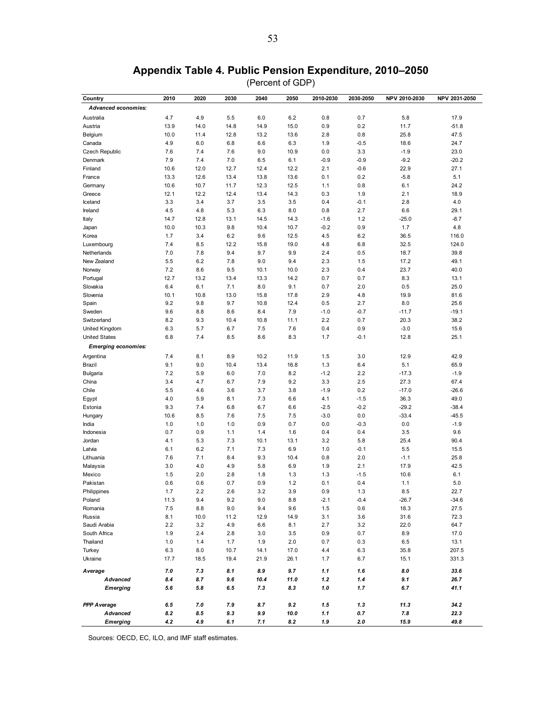#### **Appendix Table 4. Public Pension Expenditure, 2010–2050**

(Percent of GDP)

| Country                    | 2010 | 2020 | 2030 | 2040 | 2050 | 2010-2030 | 2030-2050 | NPV 2010-2030 | NPV 2031-2050 |
|----------------------------|------|------|------|------|------|-----------|-----------|---------------|---------------|
| Advanced economies:        |      |      |      |      |      |           |           |               |               |
| Australia                  | 4.7  | 4.9  | 5.5  | 6.0  | 6.2  | 0.8       | 0.7       | 5.8           | 17.9          |
| Austria                    | 13.9 | 14.0 | 14.8 | 14.9 | 15.0 | 0.9       | 0.2       | 11.7          | $-51.8$       |
| Belgium                    | 10.0 | 11.4 | 12.8 | 13.2 | 13.6 | 2.8       | 0.8       | 25.8          | 47.5          |
| Canada                     | 4.9  | 6.0  | 6.8  | 6.6  | 6.3  | 1.9       | $-0.5$    | 18.6          | 24.7          |
| <b>Czech Republic</b>      | 7.6  | 7.4  | 7.6  | 9.0  | 10.9 | 0.0       | 3.3       | $-1.9$        | 23.0          |
| Denmark                    | 7.9  | 7.4  | 7.0  | 6.5  | 6.1  | $-0.9$    | $-0.9$    | $-9.2$        | $-20.2$       |
| Finland                    | 10.6 | 12.0 | 12.7 | 12.4 | 12.2 | 2.1       | $-0.6$    | 22.9          | 27.1          |
| France                     | 13.3 | 12.6 | 13.4 | 13.8 | 13.6 | 0.1       | 0.2       | $-5.8$        | 5.1           |
| Germany                    | 10.6 | 10.7 | 11.7 | 12.3 | 12.5 | 1.1       | 0.8       | 6.1           | 24.2          |
| Greece                     | 12.1 | 12.2 | 12.4 | 13.4 | 14.3 | 0.3       | 1.9       | 2.1           | 18.9          |
| Iceland                    | 3.3  | 3.4  | 3.7  | 3.5  | 3.5  | 0.4       | $-0.1$    | 2.8           | 4.0           |
| Ireland                    | 4.5  | 4.8  | 5.3  | 6.3  | 8.0  | 0.8       | 2.7       | 6.6           | 29.1          |
| Italy                      | 14.7 | 12.8 | 13.1 | 14.5 | 14.3 | $-1.6$    | 1.2       | $-25.0$       | $-8.7$        |
| Japan                      | 10.0 | 10.3 | 9.8  | 10.4 | 10.7 | $-0.2$    | 0.9       | 1.7           | 4.8           |
| Korea                      | 1.7  | 3.4  | 6.2  | 9.6  | 12.5 | 4.5       | 6.2       | 36.5          | 116.0         |
| Luxembourg                 | 7.4  | 8.5  | 12.2 | 15.8 | 19.0 | 4.8       | 6.8       | 32.5          | 124.0         |
| Netherlands                | 7.0  | 7.8  | 9.4  | 9.7  | 9.9  | 2.4       | 0.5       | 18.7          | 39.8          |
| New Zealand                | 5.5  | 6.2  | 7.8  | 9.0  | 9.4  | 2.3       | 1.5       | 17.2          | 49.1          |
| Norway                     | 7.2  | 8.6  | 9.5  | 10.1 | 10.0 | 2.3       | 0.4       | 23.7          | 40.0          |
| Portugal                   | 12.7 | 13.2 | 13.4 | 13.3 | 14.2 | 0.7       | 0.7       | 8.3           | 13.1          |
| Slovakia                   | 6.4  | 6.1  | 7.1  | 8.0  | 9.1  | 0.7       | 2.0       | 0.5           | 25.0          |
| Slovenia                   | 10.1 | 10.8 | 13.0 | 15.8 | 17.8 | 2.9       | 4.8       | 19.9          | 81.6          |
| Spain                      | 9.2  | 9.8  | 9.7  | 10.8 | 12.4 | 0.5       | 2.7       | 8.0           | 25.6          |
| Sweden                     | 9.6  | 8.8  | 8.6  | 8.4  | 7.9  | $-1.0$    | $-0.7$    | $-11.7$       | $-19.1$       |
| Switzerland                | 8.2  | 9.3  | 10.4 | 10.8 | 11.1 | 2.2       | 0.7       | 20.3          | 38.2          |
| United Kingdom             | 6.3  | 5.7  | 6.7  | 7.5  | 7.6  | 0.4       | 0.9       | $-3.0$        | 15.6          |
| <b>United States</b>       | 6.8  | 7.4  | 8.5  | 8.6  | 8.3  | 1.7       | $-0.1$    | 12.8          | 25.1          |
| <b>Emerging economies:</b> |      |      |      |      |      |           |           |               |               |
| Argentina                  | 7.4  | 8.1  | 8.9  | 10.2 | 11.9 | 1.5       | 3.0       | 12.9          | 42.9          |
| <b>Brazil</b>              | 9.1  | 9.0  | 10.4 | 13.4 | 16.8 | 1.3       | 6.4       | 5.1           | 65.9          |
| <b>Bulgaria</b>            | 7.2  | 5.9  | 6.0  | 7.0  | 8.2  | $-1.2$    | 2.2       | $-17.3$       | $-1.9$        |
| China                      | 3.4  | 4.7  | 6.7  | 7.9  | 9.2  | 3.3       | 2.5       | 27.3          | 67.4          |
| Chile                      | 5.5  | 4.6  | 3.6  | 3.7  | 3.8  | $-1.9$    | 0.2       | $-17.0$       | $-26.6$       |
| Egypt                      | 4.0  | 5.9  | 8.1  | 7.3  | 6.6  | 4.1       | $-1.5$    | 36.3          | 49.0          |
| Estonia                    | 9.3  | 7.4  | 6.8  | 6.7  | 6.6  | $-2.5$    | $-0.2$    | $-29.2$       | $-38.4$       |
| Hungary                    | 10.6 | 8.5  | 7.6  | 7.5  | 7.5  | $-3.0$    | 0.0       | $-33.4$       | $-45.5$       |
| India                      | 1.0  | 1.0  | 1.0  | 0.9  | 0.7  | 0.0       | $-0.3$    | 0.0           | $-1.9$        |
| Indonesia                  | 0.7  | 0.9  | 1.1  | 1.4  | 1.6  | 0.4       | 0.4       | 3.5           | 9.6           |
| Jordan                     | 4.1  | 5.3  | 7.3  | 10.1 | 13.1 | 3.2       | 5.8       | 25.4          | 90.4          |
| Latvia                     | 6.1  | 6.2  | 7.1  | 7.3  | 6.9  | 1.0       | $-0.1$    | 5.5           | 15.5          |
| Lithuania                  | 7.6  | 7.1  | 8.4  | 9.3  | 10.4 | 0.8       | 2.0       | $-1.1$        | 25.8          |
| Malaysia                   | 3.0  | 4.0  | 4.9  | 5.8  | 6.9  | 1.9       | 2.1       | 17.9          | 42.5          |
| Mexico                     | 1.5  | 2.0  | 2.8  | 1.8  | 1.3  | 1.3       | $-1.5$    | 10.6          | 6.1           |
| Pakistan                   | 0.6  | 0.6  | 0.7  | 0.9  | 1.2  | 0.1       | 0.4       | 1.1           | 5.0           |
| Philippines                | 1.7  | 2.2  | 2.6  | 3.2  | 3.9  | 0.9       | 1.3       | 8.5           | 22.7          |
| Poland                     | 11.3 | 9.4  | 9.2  | 9.0  | 8.8  | $-2.1$    | $-0.4$    | $-26.7$       | $-34.6$       |
| Romania                    | 7.5  | 8.8  | 9.0  | 9.4  | 9.6  | 1.5       | 0.6       | 18.3          | 27.5          |
| Russia                     | 8.1  | 10.0 | 11.2 | 12.9 | 14.9 | 3.1       | 3.6       | 31.6          | 72.3          |
| Saudi Arabia               | 2.2  | 3.2  | 4.9  | 6.6  | 8.1  | 2.7       | 3.2       | 22.0          | 64.7          |
| South Africa               | 1.9  | 2.4  | 2.8  | 3.0  | 3.5  | 0.9       | 0.7       | 8.9           | 17.0          |
| Thailand                   | 1.0  | 1.4  | 1.7  | 1.9  | 2.0  | 0.7       | 0.3       | 6.5           | 13.1          |
| Turkey                     | 6.3  | 8.0  | 10.7 | 14.1 | 17.0 | 4.4       | 6.3       | 35.8          | 207.5         |
| Ukraine                    | 17.7 | 18.5 | 19.4 | 21.9 | 26.1 | 1.7       | 6.7       | 15.1          | 331.3         |
|                            |      |      |      |      |      |           |           |               |               |
| Average                    | 7.0  | 7.3  | 8.1  | 8.9  | 9.7  | 1.1       | 1.6       | 8.0           | 33.6          |
| Advanced                   | 8.4  | 8.7  | 9.6  | 10.4 | 11.0 | 1.2       | 1.4       | 9.1           | 26.7          |
| <b>Emerging</b>            | 5.6  | 5.8  | 6.5  | 7.3  | 8.3  | 1.0       | 1.7       | 6.7           | 41.1          |
| <b>PPP Average</b>         | 6.5  | 7.0  | 7.9  | 8.7  | 9.2  | 1.5       | 1.3       | 11.3          | 34.2          |
| Advanced                   | 8.2  | 8.5  | 9.3  | 9.9  | 10.0 | 1.1       | 0.7       | 7.8           | 22.3          |
| <b>Emerging</b>            | 4.2  | 4.9  | 6.1  | 7.1  | 8.2  | 1.9       | 2.0       | 15.9          | 49.8          |

Sources: OECD, EC, ILO, and IMF staff estimates.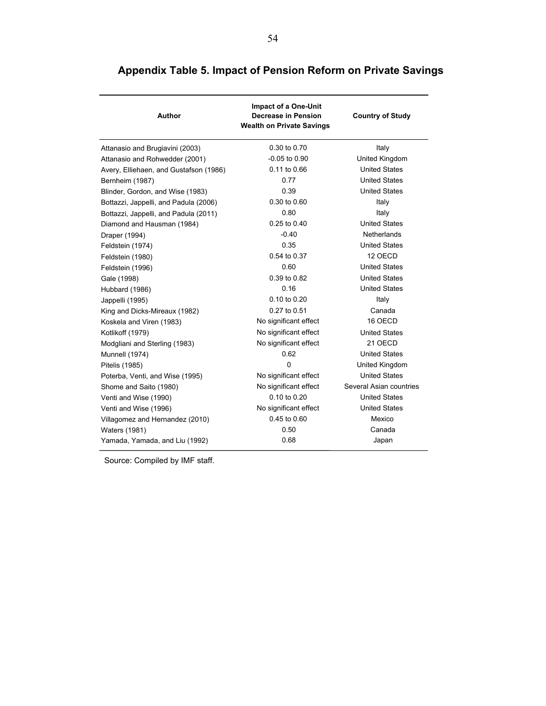| <b>Author</b>                          | <b>Impact of a One-Unit</b><br><b>Decrease in Pension</b><br><b>Wealth on Private Savings</b> | <b>Country of Study</b> |
|----------------------------------------|-----------------------------------------------------------------------------------------------|-------------------------|
| Attanasio and Brugiavini (2003)        | 0.30 to 0.70                                                                                  | Italy                   |
| Attanasio and Rohwedder (2001)         | $-0.05$ to $0.90$                                                                             | United Kingdom          |
| Avery, Elliehaen, and Gustafson (1986) | 0.11 to 0.66                                                                                  | <b>United States</b>    |
| Bernheim (1987)                        | 0.77                                                                                          | <b>United States</b>    |
| Blinder, Gordon, and Wise (1983)       | 0.39                                                                                          | <b>United States</b>    |
| Bottazzi, Jappelli, and Padula (2006)  | 0.30 to 0.60                                                                                  | Italy                   |
| Bottazzi, Jappelli, and Padula (2011)  | 0.80                                                                                          | Italy                   |
| Diamond and Hausman (1984)             | 0.25 to 0.40                                                                                  | <b>United States</b>    |
| Draper (1994)                          | $-0.40$                                                                                       | Netherlands             |
| Feldstein (1974)                       | 0.35                                                                                          | <b>United States</b>    |
| Feldstein (1980)                       | 0.54 to 0.37                                                                                  | 12 OECD                 |
| Feldstein (1996)                       | 0.60                                                                                          | <b>United States</b>    |
| Gale (1998)                            | 0.39 to 0.82                                                                                  | <b>United States</b>    |
| Hubbard (1986)                         | 0.16                                                                                          | <b>United States</b>    |
| Jappelli (1995)                        | 0.10 to 0.20                                                                                  | Italy                   |
| King and Dicks-Mireaux (1982)          | 0.27 to 0.51                                                                                  | Canada                  |
| Koskela and Viren (1983)               | No significant effect                                                                         | 16 OECD                 |
| Kotlikoff (1979)                       | No significant effect                                                                         | <b>United States</b>    |
| Modgliani and Sterling (1983)          | No significant effect                                                                         | 21 OECD                 |
| Munnell (1974)                         | 0.62                                                                                          | <b>United States</b>    |
| Pitelis (1985)                         | 0                                                                                             | United Kingdom          |
| Poterba, Venti, and Wise (1995)        | No significant effect                                                                         | <b>United States</b>    |
| Shome and Saito (1980)                 | No significant effect                                                                         | Several Asian countries |
| Venti and Wise (1990)                  | 0.10 to 0.20                                                                                  | <b>United States</b>    |
| Venti and Wise (1996)                  | No significant effect                                                                         | <b>United States</b>    |
| Villagomez and Hernandez (2010)        | 0.45 to 0.60                                                                                  | Mexico                  |
| Waters (1981)                          | 0.50                                                                                          | Canada                  |
| Yamada, Yamada, and Liu (1992)         | 0.68                                                                                          | Japan                   |

# **Appendix Table 5. Impact of Pension Reform on Private Savings**

Source: Compiled by IMF staff.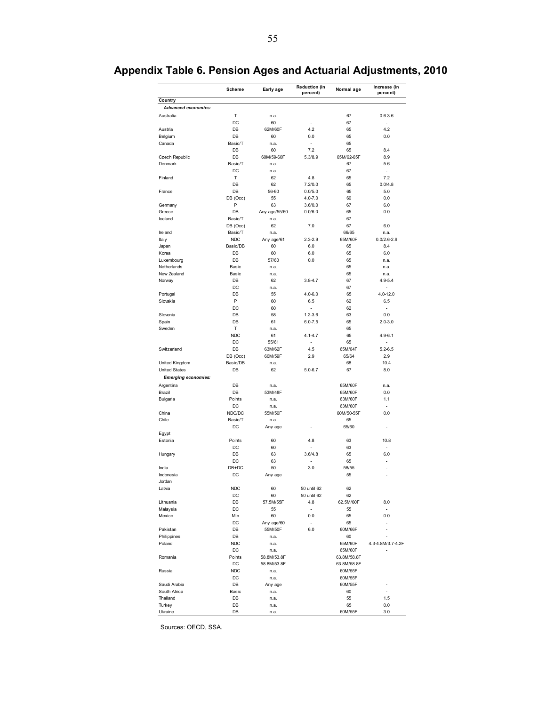|                                       | Scheme                | Early age       | <b>Reduction (in</b> | Normal age  | Increase (in             |
|---------------------------------------|-----------------------|-----------------|----------------------|-------------|--------------------------|
|                                       |                       |                 | percent)             |             | percent)                 |
| Country<br><b>Advanced economies:</b> |                       |                 |                      |             |                          |
| Australia                             | Т                     | n.a.            |                      | 67          | $0.6 - 3.6$              |
|                                       | DC                    | 60              |                      | 67          |                          |
| Austria                               | DB                    | 62M/60F         | 4.2                  | 65          | 4.2                      |
| Belgium                               | DB                    | 60              | 0.0                  | 65          | 0.0                      |
| Canada                                | Basic/T               | n.a.            | ÷,                   | 65          |                          |
|                                       | DB                    | 60              | 7.2                  | 65          | 8.4                      |
| Czech Republic                        | DB                    | 60M/59-60F      | 5.3/8.9              | 65M/62-65F  | 8.9                      |
| Denmark                               | Basic/T               | n.a.            |                      | 67          | 5.6                      |
|                                       | DC                    | n.a.            |                      | 67          |                          |
| Finland                               | Т                     | 62              | 4.8                  | 65          | 7.2                      |
|                                       | DB                    | 62              | 7.2/0.0              | 65          | 0.0/4.8                  |
| France                                | DB                    | 56-60           | 0.0/5.0              | 65          | 5.0                      |
|                                       | DB (Occ)              | 55              | $4.0 - 7.0$          | 60          | 0.0                      |
| Germany                               | P                     | 63              | 3.6/0.0              | 67          | 6.0                      |
| Greece                                | DB                    | Any age/55/60   | 0.0/6.0              | 65          | 0.0                      |
| Iceland                               | Basic/T               | n.a.            |                      | 67          |                          |
|                                       | DB (Occ)              | 62              | 7.0                  | 67          | 6.0                      |
|                                       |                       |                 |                      |             |                          |
| Ireland                               | Basic/T<br><b>NDC</b> | n.a.            |                      | 66/65       | n.a.                     |
| Italy                                 |                       | Any age/61      | $2.3 - 2.9$          | 65M/60F     | $0.0/2.6 - 2.9$          |
| Japan                                 | Basic/DB              | 60              | 6.0                  | 65          | 8.4                      |
| Korea                                 | DB                    | 60              | 6.0                  | 65          | 6.0                      |
| Luxembourg                            | DB                    | 57/60           | 0.0                  | 65          | n.a.                     |
| Netherlands                           | Basic                 | n.a.            |                      | 65          | n.a.                     |
| New Zealand                           | Basic                 | n.a.            |                      | 65          | n.a.                     |
| Norway                                | DB                    | 62              | $3.8 - 4.7$          | 67          | $4.9 - 5.4$              |
|                                       | DC                    | n.a.            |                      | 67          | L                        |
| Portugal                              | DB                    | 55              | $4.0 - 6.0$          | 65          | 4.0-12.0                 |
| Slovakia                              | P                     | 60              | 6.5                  | 62          | 6.5                      |
|                                       | DC                    | 60              | l,                   | 62          | ä,                       |
| Slovenia                              | DB                    | 58              | $1.2 - 3.6$          | 63          | 0.0                      |
| Spain                                 | DB                    | 61              | $6.0 - 7.5$          | 65          | $2.0 - 3.0$              |
| Sweden                                | Т                     | n.a.            |                      | 65          |                          |
|                                       | <b>NDC</b>            | 61              | 4.1-4.7              | 65          | $4.9 - 6.1$              |
|                                       | DC                    | 55/61           |                      | 65          |                          |
| Switzerland                           | DB                    | 63M/62F         | 4.5                  | 65M/64F     | $5.2 - 6.5$              |
|                                       | DB (Occ)              | 60M/59F         | 2.9                  | 65/64       | 2.9                      |
| United Kingdom                        | Basic/DB              | n.a.            |                      | 68          | 10.4                     |
| <b>United States</b>                  | DB                    | 62              | $5.0 - 6.7$          | 67          | 8.0                      |
| <b>Emerging economies:</b>            |                       |                 |                      |             |                          |
|                                       | DB                    |                 |                      | 65M/60F     |                          |
| Argentina                             | DB                    | n.a.<br>53M/48F |                      |             | n.a.<br>0.0              |
| Brazil                                |                       |                 |                      | 65M/60F     |                          |
| <b>Bulgaria</b>                       | Points                | n.a.            |                      | 63M/60F     | 1.1                      |
|                                       | DC                    | n.a.            |                      | 63M/60F     |                          |
| China                                 | NDC/DC                | 55M/50F         |                      | 60M/50-55F  | 0.0                      |
| Chile                                 | Basic/T               | n.a.            |                      | 65          |                          |
|                                       | DC                    | Any age         | ٠                    | 65/60       | ٠                        |
| Egypt                                 |                       |                 |                      |             |                          |
| Estonia                               | Points                | 60              | 4.8                  | 63          | 10.8                     |
|                                       | DC                    | 60              |                      | 63          | ä,                       |
| Hungary                               | DB                    | 63              | 3.6/4.8              | 65          | 6.0                      |
|                                       | DC                    | 63              |                      | 65          |                          |
| India                                 | $DB+DC$               | 50              | 3.0                  | 58/55       |                          |
| Indonesia                             | DC                    | Any age         |                      | 55          |                          |
| Jordan                                |                       |                 |                      |             |                          |
| Latvia                                | <b>NDC</b>            | 60              | 50 until 62          | 62          |                          |
|                                       | DC                    | 60              | 50 until 62          | 62          |                          |
| Lithuania                             | DB                    | 57.5M/55F       | 4.8                  | 62.5M/60F   | 8.0                      |
| Malaysia                              | DC                    | 55              | ÷.                   | 55          | $\overline{\phantom{a}}$ |
| Mexico                                | Min                   | 60              | 0.0                  | 65          | 0.0                      |
|                                       | DC                    | Any age/60      | ÷,                   | 65          | $\overline{a}$           |
| Pakistan                              | DB                    | 55M/50F         | 6.0                  | 60M/66F     |                          |
| Philippines                           | DB                    | n.a.            |                      | 60          |                          |
| Poland                                | <b>NDC</b>            | n.a.            |                      | 65M/60F     | 4.3-4.8M/3.7-4.2F        |
|                                       | DC                    | n.a.            |                      | 65M/60F     |                          |
| Romania                               | Points                | 58.8M/53.8F     |                      | 63.8M/58.8F |                          |
|                                       | DC                    | 58.8M/53.8F     |                      | 63.8M/58.8F |                          |
| Russia                                | <b>NDC</b>            | n.a.            |                      | 60M/55F     |                          |
|                                       | DC                    |                 |                      |             |                          |
|                                       |                       | n.a.            |                      | 60M/55F     |                          |
| Saudi Arabia                          | DB                    | Any age         |                      | 60M/55F     |                          |
| South Africa                          | Basic                 | n.a.            |                      | 60          | -                        |
| Thailand                              | DB                    | n.a.            |                      | 55          | 1.5                      |
| Turkey                                | DB                    | n.a.            |                      | 65          | 0.0                      |
| Ukraine                               | DB                    | n.a.            |                      | 60M/55F     | 3.0                      |

# **Appendix Table 6. Pension Ages and Actuarial Adjustments, 2010**

Sources: OECD, SSA.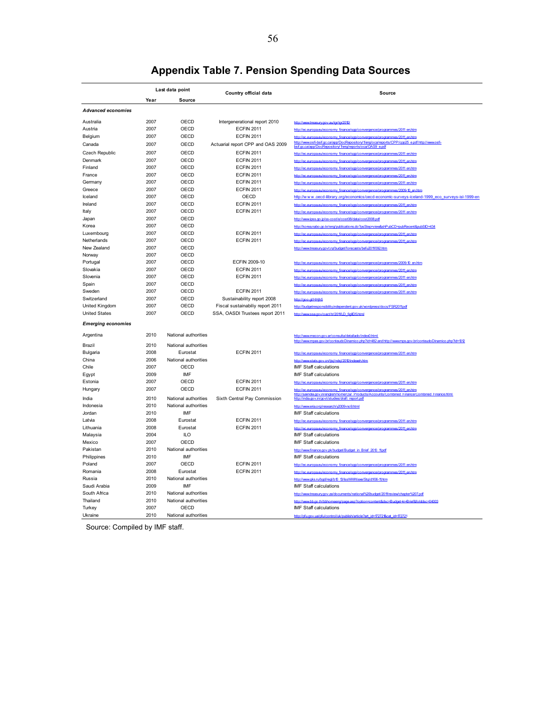| Last data point           |      |                      |                                   |                                                                                                                                                                    |  |  |  |
|---------------------------|------|----------------------|-----------------------------------|--------------------------------------------------------------------------------------------------------------------------------------------------------------------|--|--|--|
|                           | Year | Source               | Country official data             | Source                                                                                                                                                             |  |  |  |
|                           |      |                      |                                   |                                                                                                                                                                    |  |  |  |
| <b>Advanced economies</b> |      |                      |                                   |                                                                                                                                                                    |  |  |  |
| Australia                 | 2007 | OECD                 | Intergenerational report 2010     | http://www.treasury.gov.au/igr/igr2010                                                                                                                             |  |  |  |
| Austria                   | 2007 | OECD                 | <b>ECFIN 2011</b>                 | http://ec.europa.eu/economy_finance/sgp/convergence/programmes/2011_en.htm                                                                                         |  |  |  |
| Belgium                   | 2007 | OECD                 | <b>ECFIN 2011</b>                 | http://ec.europa.eu/economy_finance/sgp/convergence/programmes/2011_en.htm                                                                                         |  |  |  |
| Canada                    | 2007 | OECD                 | Actuarial report CPP and OAS 2009 | http://www.osfi-bsif.gc.ca/app/DocRepository/feng/oca/reports/CPP/cpp25_e.pdf http://www.osfi-<br>hsif gc.ca/app/DocRepository/feng/reports/oca/OAS9_e.pdf         |  |  |  |
| Czech Republic            | 2007 | OECD                 | <b>ECFIN 2011</b>                 | http://ec.europa.eu/economy_finance/sgp/convergence/programmes/2011_en.htm                                                                                         |  |  |  |
| Denmark                   | 2007 | OECD                 | <b>ECFIN 2011</b>                 | http://ec.europa.eu/economy_finance/sgp/convergence/programmes/2011_en.htm                                                                                         |  |  |  |
| Finland                   | 2007 | OECD                 | <b>ECFIN 2011</b>                 | http://ec.europa.eu/economy_finance/son/convergence/programmes/2011_en.htm                                                                                         |  |  |  |
| France                    | 2007 | OECD                 | <b>ECFIN 2011</b>                 | http://ec.europa.eu/economy_finan<br>e/son/convergence/program                                                                                                     |  |  |  |
| Germany                   | 2007 | OECD                 | <b>ECFIN 2011</b>                 | http://ec.europa.eu/economy_finance/sgp/convergence/programmes/2011_en.htm                                                                                         |  |  |  |
| Greece                    | 2007 | OECD                 | <b>ECFIN 2011</b>                 | http://ec.europa.eu/economy_finance/sgp/convergence/programmes/2009-10_en.htm                                                                                      |  |  |  |
| Iceland                   | 2007 | OECD                 | OECD                              | http://www.oecd-ilibrary.org/economics/oecd-economic-surveys-iceland-1999_eco_surveys-isl-1999-en                                                                  |  |  |  |
| Ireland                   | 2007 | OECD                 | <b>ECFIN 2011</b>                 | http://ec.europa.eu/economy_finance/son/convergence/programmes/2011_en.htm                                                                                         |  |  |  |
| Italy                     | 2007 | OECD                 | <b>ECFIN 2011</b>                 | http://ec.europa.eu/economy_finance/sgp/convergence/programmes/2011_en.htm                                                                                         |  |  |  |
| Japan                     | 2007 | OECD                 |                                   | http://www.ipss.go.jp/ss-cost/e/cost08/data/cost2008.ndf                                                                                                           |  |  |  |
| Korea                     | 2007 | OECD                 |                                   | http://korea.nabo.go.kr/eng/publications.do?psStep=view&shPubCD=pubRecent&pubSID=434                                                                               |  |  |  |
| Luxembourg                | 2007 | OECD                 | <b>ECFIN 2011</b>                 | http://ec.europa.eu/economy_finance/sgp/convergence/programmes/2011_en.htm                                                                                         |  |  |  |
| Netherlands               | 2007 | OECD                 | <b>ECFIN 2011</b>                 | e/2011 en htm<br>http://ec.europa.eu/economy_finance/sop/convergence/pro                                                                                           |  |  |  |
| New Zealand               | 2007 | OECD                 |                                   | http://www.treasury.govt.nz/budget/forecasts/befu2011/092.htm                                                                                                      |  |  |  |
| Norway                    | 2007 | OECD                 |                                   |                                                                                                                                                                    |  |  |  |
| Portugal                  | 2007 | OECD                 | ECFIN 2009-10                     | http://ec.europa.eu/economy_finance/sgp/convergence/programmes/2009-10_en.htm                                                                                      |  |  |  |
| Slovakia                  | 2007 | OECD                 | <b>ECFIN 2011</b>                 | http://ec.europa.eu/economy_finance/sgp/convergence/programmes/2011_en.htm                                                                                         |  |  |  |
| Slovenia                  | 2007 | OECD                 | <b>ECFIN 2011</b>                 | http://ec.europa.eu/economy_finance/sop/convergence/programmes/2011_en.htm                                                                                         |  |  |  |
| Spain                     | 2007 | OECD                 |                                   | http://ec.europa.eu/economy_finance/sgp/convergence/programmes/2011_en.htm                                                                                         |  |  |  |
| Sweden                    | 2007 | OECD                 | <b>ECFIN 2011</b>                 | http://ec.europa.eu/economy_finance/sop/convergence/programmes/2011_en.htm                                                                                         |  |  |  |
| Switzerland               | 2007 | OECD                 | Sustainability report 2008        | http://goo.gl/HHih5                                                                                                                                                |  |  |  |
| <b>United Kingdom</b>     | 2007 | OECD                 | Fiscal sustainabiliy report 2011  | http://budgetresponsibility.independent.gov.uk/wordpress/docs/ESR2011pdf                                                                                           |  |  |  |
| <b>United States</b>      | 2007 | OECD                 | SSA, OASDI Trustees report 2011   | http://www.ssa.gov/oact/tr/2011/LD_figlID5.html                                                                                                                    |  |  |  |
| <b>Emerging economies</b> |      |                      |                                   |                                                                                                                                                                    |  |  |  |
|                           |      |                      |                                   |                                                                                                                                                                    |  |  |  |
| Argentina                 | 2010 | National authorities |                                   | http://www.mecon.gov.ar/consulta/detallado/index0.htm<br>http://www.mpas.gov.br/conteudoDinamico.php?id=482 and http://www.mps.gov.br/conteudoDinamico.php?id=1012 |  |  |  |
| Brazil                    | 2010 | National authorities |                                   |                                                                                                                                                                    |  |  |  |
| Bulgaria                  | 2008 | Eurostat             | <b>ECFIN 2011</b>                 | http://ec.europa.eu/economy_finance/sop/convergence/programmes/2011_en.htm                                                                                         |  |  |  |
| China                     | 2006 | National authorities |                                   | http://www.stats.gov.cn/tisi/ndsi/2010/indexeh.htm                                                                                                                 |  |  |  |
| Chile                     | 2007 | OECD                 |                                   | <b>IMF Staff calculations</b>                                                                                                                                      |  |  |  |
| Egypt                     | 2009 | IMF                  |                                   | <b>IMF Staff calculations</b>                                                                                                                                      |  |  |  |
| Estonia                   | 2007 | OECD                 | <b>ECFIN 2011</b>                 | http://ec.europa.eu/economy_finance/sgp/convergence/programmes/2011_en.htm                                                                                         |  |  |  |
| Hungary                   | 2007 | OECD                 | <b>ECFIN 2011</b>                 | http://ec.europa.eu/economy_finance/sgp/convergence/programmes/2011_en.htm                                                                                         |  |  |  |
| India                     | 2010 | National authorities | Sixth Central Pay Commission      | http://saiindia.gov.in/english/home/Our_Products/Accounts/Combined_Fina<br>ed Finance html                                                                         |  |  |  |
| Indonesia                 | 2010 | National authorities |                                   | http://www.eria.org/research/y2009-no9.html                                                                                                                        |  |  |  |
| Jordan                    | 2010 | <b>IMF</b>           |                                   | <b>IMF Staff calculations</b>                                                                                                                                      |  |  |  |
| Latvia                    | 2008 | Eurostat             | <b>ECFIN 2011</b>                 | http://ec.europa.eu/economy_finance/sgp/convergence/programmes/2011_en.htm                                                                                         |  |  |  |
| Lithuania                 | 2008 | Eurostat             | <b>ECFIN 2011</b>                 | http://ec.europa.eu/economy_finance/sop/convergence/programmes/2011_en.htm                                                                                         |  |  |  |
| Malaysia                  | 2004 | ILO                  |                                   | <b>IMF Staff calculations</b>                                                                                                                                      |  |  |  |
| Mexico                    | 2007 | OECD                 |                                   | <b>IMF Staff calculations</b>                                                                                                                                      |  |  |  |
| Pakistan                  | 2010 | National authorities |                                   | http://www.finance.gov.pk/budget/Budget_in_Brief_2010_11pdf                                                                                                        |  |  |  |
| Philippines               | 2010 | IMF                  |                                   | <b>IMF Staff calculations</b>                                                                                                                                      |  |  |  |
| Poland                    | 2007 | OECD                 | <b>ECFIN 2011</b>                 | http://ec.europa.eu/economy_finance/sop/convergence/programp<br>es/2011 en htm                                                                                     |  |  |  |
| Romania                   | 2008 | Eurostat             | <b>ECFIN 2011</b>                 | http://ec.europa.eu/economy_finance/sgp/convergence/programmes/2011_en.htm                                                                                         |  |  |  |
| Russia                    | 2010 | National authorities |                                   | http://www.gks.nu/hgd/regl/h10_13/lss\MMMexe/Stg/d1/06-11htm                                                                                                       |  |  |  |
| Saudi Arabia              | 2009 | IMF                  |                                   | <b>IMF Staff calculations</b>                                                                                                                                      |  |  |  |
| South Africa              | 2010 | National authorities |                                   | http://www.treasurv.gov.za/documents/national%20budget/2011/review/chapter%207.pdf                                                                                 |  |  |  |
| Thailand                  | 2010 | National authorities |                                   | http://www.hb.go.th/hbhomeeng/gage.asp?option=content&dsc=Budget+in+Brief&folddsc=04003                                                                            |  |  |  |
| Turkey                    | 2007 | OECD                 |                                   | IMF Staff calculations                                                                                                                                             |  |  |  |
| Ukraine                   | 2010 | National authorities |                                   | http://pfu.gov.ua/pfu/control/uk/publish/article?art_id=1727218cat_id=172721                                                                                       |  |  |  |

# **Appendix Table 7. Pension Spending Data Sources**

Source: Compiled by IMF staff.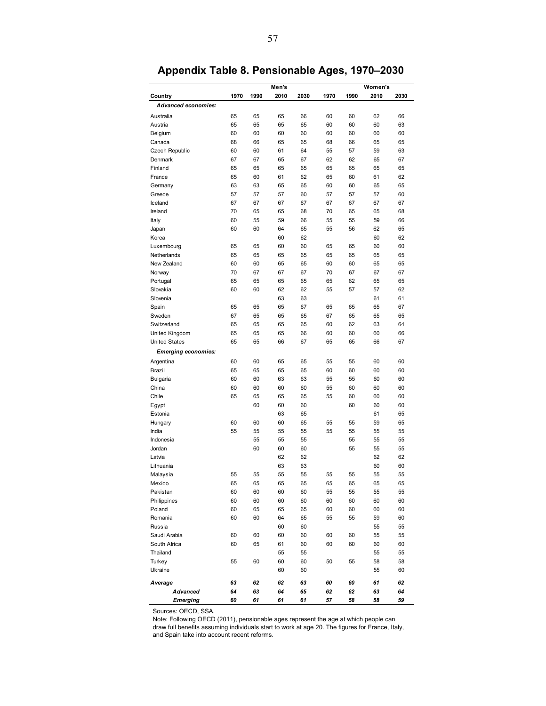|                            | Men's |      |      |      |      | Women's |      |      |  |
|----------------------------|-------|------|------|------|------|---------|------|------|--|
| Country                    | 1970  | 1990 | 2010 | 2030 | 1970 | 1990    | 2010 | 2030 |  |
| Advanced economies:        |       |      |      |      |      |         |      |      |  |
| Australia                  | 65    | 65   | 65   | 66   | 60   | 60      | 62   | 66   |  |
| Austria                    | 65    | 65   | 65   | 65   | 60   | 60      | 60   | 63   |  |
| Belgium                    | 60    | 60   | 60   | 60   | 60   | 60      | 60   | 60   |  |
| Canada                     | 68    | 66   | 65   | 65   | 68   | 66      | 65   | 65   |  |
| <b>Czech Republic</b>      | 60    | 60   | 61   | 64   | 55   | 57      | 59   | 63   |  |
| Denmark                    | 67    | 67   | 65   | 67   | 62   | 62      | 65   | 67   |  |
| Finland                    | 65    | 65   | 65   | 65   | 65   | 65      | 65   | 65   |  |
| France                     | 65    | 60   | 61   | 62   | 65   | 60      | 61   | 62   |  |
| Germany                    | 63    | 63   | 65   | 65   | 60   | 60      | 65   | 65   |  |
| Greece                     | 57    | 57   | 57   | 60   | 57   | 57      | 57   | 60   |  |
| Iceland                    | 67    | 67   | 67   | 67   | 67   | 67      | 67   | 67   |  |
| Ireland                    | 70    | 65   | 65   | 68   | 70   | 65      | 65   | 68   |  |
| Italy                      | 60    | 55   | 59   | 66   | 55   | 55      | 59   | 66   |  |
| Japan                      | 60    | 60   | 64   | 65   | 55   | 56      | 62   | 65   |  |
| Korea                      |       |      | 60   | 62   |      |         | 60   | 62   |  |
| Luxembourg                 | 65    | 65   | 60   | 60   | 65   | 65      | 60   | 60   |  |
| Netherlands                | 65    | 65   | 65   | 65   | 65   | 65      | 65   | 65   |  |
| New Zealand                | 60    | 60   | 65   | 65   | 60   | 60      | 65   | 65   |  |
| Norway                     | 70    | 67   | 67   | 67   | 70   | 67      | 67   | 67   |  |
| Portugal                   | 65    | 65   | 65   | 65   | 65   | 62      | 65   | 65   |  |
| Slovakia                   | 60    | 60   | 62   | 62   | 55   | 57      | 57   | 62   |  |
| Slovenia                   |       |      | 63   | 63   |      |         | 61   | 61   |  |
| Spain                      | 65    | 65   | 65   | 67   | 65   | 65      | 65   | 67   |  |
| Sweden                     | 67    | 65   | 65   | 65   | 67   | 65      | 65   | 65   |  |
| Switzerland                | 65    | 65   | 65   | 65   | 60   | 62      | 63   | 64   |  |
| United Kingdom             | 65    | 65   | 65   | 66   | 60   | 60      | 60   | 66   |  |
| <b>United States</b>       | 65    | 65   | 66   | 67   | 65   | 65      | 66   | 67   |  |
| <b>Emerging economies:</b> |       |      |      |      |      |         |      |      |  |
| Argentina                  | 60    | 60   | 65   | 65   | 55   | 55      | 60   | 60   |  |
| Brazil                     | 65    | 65   | 65   | 65   | 60   | 60      | 60   | 60   |  |
| <b>Bulgaria</b>            | 60    | 60   | 63   | 63   | 55   | 55      | 60   | 60   |  |
| China                      | 60    | 60   | 60   | 60   | 55   | 60      | 60   | 60   |  |
| Chile                      | 65    | 65   | 65   | 65   | 55   | 60      | 60   | 60   |  |
| Egypt                      |       | 60   | 60   | 60   |      | 60      | 60   | 60   |  |
| Estonia                    |       |      | 63   | 65   |      |         | 61   | 65   |  |
| Hungary                    | 60    | 60   | 60   | 65   | 55   | 55      | 59   | 65   |  |
| India                      | 55    | 55   | 55   | 55   | 55   | 55      | 55   | 55   |  |
| Indonesia                  |       | 55   | 55   | 55   |      | 55      | 55   | 55   |  |
| Jordan                     |       | 60   | 60   | 60   |      | 55      | 55   | 55   |  |
| Latvia                     |       |      | 62   | 62   |      |         | 62   | 62   |  |
| Lithuania                  |       |      | 63   | 63   |      |         | 60   | 60   |  |
| Malaysia                   | 55    | 55   | 55   | 55   | 55   | 55      | 55   | 55   |  |
| Mexico                     | 65    | 65   | 65   | 65   | 65   | 65      | 65   | 65   |  |
| Pakistan                   | 60    | 60   | 60   | 60   | 55   | 55      | 55   | 55   |  |
| Philippines                | 60    | 60   | 60   | 60   | 60   | 60      | 60   | 60   |  |
| Poland                     | 60    | 65   | 65   | 65   | 60   | 60      | 60   | 60   |  |
| Romania                    | 60    | 60   | 64   | 65   | 55   | 55      | 59   | 60   |  |
| Russia                     |       |      | 60   | 60   |      |         | 55   | 55   |  |
| Saudi Arabia               | 60    | 60   | 60   | 60   | 60   | 60      | 55   | 55   |  |
| South Africa               | 60    | 65   | 61   | 60   | 60   | 60      | 60   | 60   |  |
| Thailand                   |       |      | 55   | 55   |      |         | 55   | 55   |  |
| Turkey                     | 55    | 60   | 60   | 60   | 50   | 55      | 58   | 58   |  |
| Ukraine                    |       |      | 60   | 60   |      |         | 55   | 60   |  |
| A verage                   | 63    | 62   | 62   | 63   | 60   | 60      | 61   | 62   |  |
| <b>Advanced</b>            | 64    | 63   | 64   | 65   | 62   | 62      | 63   | 64   |  |
| <b>Emerging</b>            | 60    | 61   | 61   | 61   | 57   | 58      | 58   | 59   |  |

**Appendix Table 8. Pensionable Ages, 1970–2030** 

Sources: OECD, SSA.

Note: Following OECD (2011), pensionable ages represent the age at which people can draw full benefits assuming individuals start to work at age 20. The figures for France, Italy, and Spain take into account recent reforms.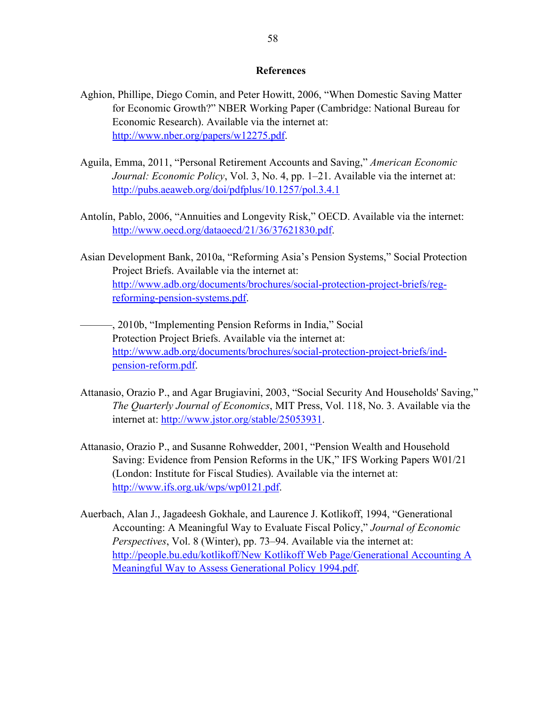#### **References**

- Aghion, Phillipe, Diego Comin, and Peter Howitt, 2006, "When Domestic Saving Matter for Economic Growth?" NBER Working Paper (Cambridge: National Bureau for Economic Research). Available via the internet at: http://www.nber.org/papers/w12275.pdf.
- Aguila, Emma, 2011, "Personal Retirement Accounts and Saving," *American Economic Journal: Economic Policy*, Vol. 3, No. 4, pp. 1–21. Available via the internet at: http://pubs.aeaweb.org/doi/pdfplus/10.1257/pol.3.4.1
- Antolín, Pablo, 2006, "Annuities and Longevity Risk," OECD. Available via the internet: http://www.oecd.org/dataoecd/21/36/37621830.pdf.
- Asian Development Bank, 2010a, "Reforming Asia's Pension Systems," Social Protection Project Briefs. Available via the internet at: http://www.adb.org/documents/brochures/social-protection-project-briefs/regreforming-pension-systems.pdf.
- ———, 2010b, "Implementing Pension Reforms in India," Social Protection Project Briefs. Available via the internet at: http://www.adb.org/documents/brochures/social-protection-project-briefs/indpension-reform.pdf.
- Attanasio, Orazio P., and Agar Brugiavini, 2003, "Social Security And Households' Saving," *The Quarterly Journal of Economics*, MIT Press, Vol. 118, No. 3. Available via the internet at: http://www.jstor.org/stable/25053931.
- Attanasio, Orazio P., and Susanne Rohwedder, 2001, "Pension Wealth and Household Saving: Evidence from Pension Reforms in the UK," IFS Working Papers W01/21 (London: Institute for Fiscal Studies). Available via the internet at: http://www.ifs.org.uk/wps/wp0121.pdf.
- Auerbach, Alan J., Jagadeesh Gokhale, and Laurence J. Kotlikoff, 1994, "Generational Accounting: A Meaningful Way to Evaluate Fiscal Policy," *Journal of Economic Perspectives*, Vol. 8 (Winter), pp. 73–94. Available via the internet at: http://people.bu.edu/kotlikoff/New Kotlikoff Web Page/Generational Accounting A Meaningful Way to Assess Generational Policy 1994.pdf.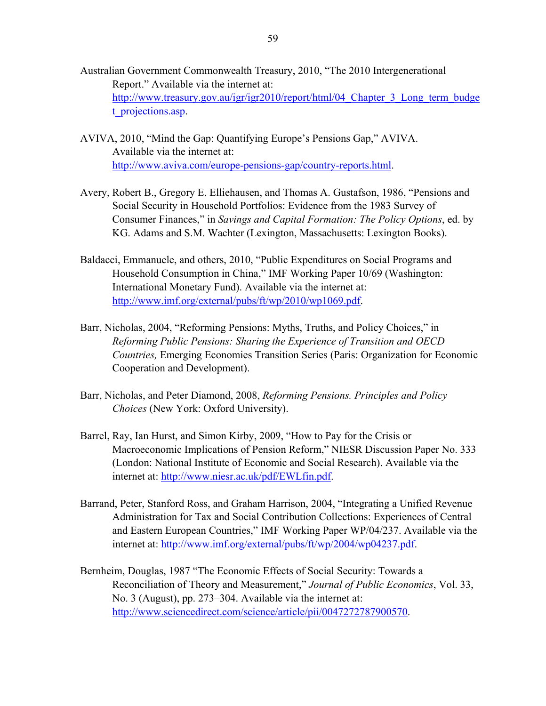- Australian Government Commonwealth Treasury, 2010, "The 2010 Intergenerational Report." Available via the internet at: http://www.treasury.gov.au/igr/igr2010/report/html/04 Chapter 3 Long term budge t projections.asp.
- AVIVA, 2010, "Mind the Gap: Quantifying Europe's Pensions Gap," AVIVA. Available via the internet at: http://www.aviva.com/europe-pensions-gap/country-reports.html.
- Avery, Robert B., Gregory E. Elliehausen, and Thomas A. Gustafson, 1986, "Pensions and Social Security in Household Portfolios: Evidence from the 1983 Survey of Consumer Finances," in *Savings and Capital Formation: The Policy Options*, ed. by KG. Adams and S.M. Wachter (Lexington, Massachusetts: Lexington Books).
- Baldacci, Emmanuele, and others, 2010, "Public Expenditures on Social Programs and Household Consumption in China," IMF Working Paper 10/69 (Washington: International Monetary Fund). Available via the internet at: http://www.imf.org/external/pubs/ft/wp/2010/wp1069.pdf.
- Barr, Nicholas, 2004, "Reforming Pensions: Myths, Truths, and Policy Choices," in *Reforming Public Pensions: Sharing the Experience of Transition and OECD Countries,* Emerging Economies Transition Series (Paris: Organization for Economic Cooperation and Development).
- Barr, Nicholas, and Peter Diamond, 2008, *Reforming Pensions. Principles and Policy Choices* (New York: Oxford University).
- Barrel, Ray, Ian Hurst, and Simon Kirby, 2009, "How to Pay for the Crisis or Macroeconomic Implications of Pension Reform," NIESR Discussion Paper No. 333 (London: National Institute of Economic and Social Research). Available via the internet at: http://www.niesr.ac.uk/pdf/EWLfin.pdf.
- Barrand, Peter, Stanford Ross, and Graham Harrison, 2004, "Integrating a Unified Revenue Administration for Tax and Social Contribution Collections: Experiences of Central and Eastern European Countries," IMF Working Paper WP/04/237. Available via the internet at: http://www.imf.org/external/pubs/ft/wp/2004/wp04237.pdf.
- Bernheim, Douglas, 1987 "The Economic Effects of Social Security: Towards a Reconciliation of Theory and Measurement," *Journal of Public Economics*, Vol. 33, No. 3 (August), pp. 273–304. Available via the internet at: http://www.sciencedirect.com/science/article/pii/0047272787900570.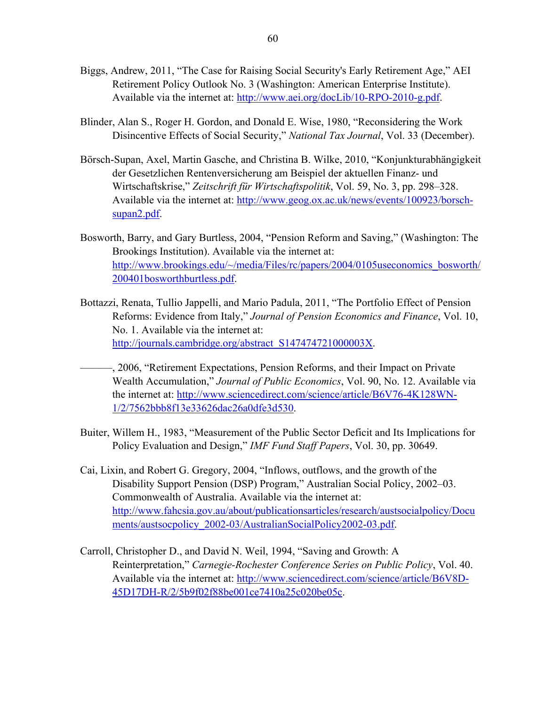- Biggs, Andrew, 2011, "The Case for Raising Social Security's Early Retirement Age," AEI Retirement Policy Outlook No. 3 (Washington: American Enterprise Institute). Available via the internet at: http://www.aei.org/docLib/10-RPO-2010-g.pdf.
- Blinder, Alan S., Roger H. Gordon, and Donald E. Wise, 1980, "Reconsidering the Work Disincentive Effects of Social Security," *National Tax Journal*, Vol. 33 (December).
- Börsch-Supan, Axel, Martin Gasche, and Christina B. Wilke, 2010, "Konjunkturabhängigkeit der Gesetzlichen Rentenversicherung am Beispiel der aktuellen Finanz- und Wirtschaftskrise," *Zeitschrift für Wirtschaftspolitik*, Vol. 59, No. 3, pp. 298–328. Available via the internet at: http://www.geog.ox.ac.uk/news/events/100923/borschsupan2.pdf.
- Bosworth, Barry, and Gary Burtless, 2004, "Pension Reform and Saving," (Washington: The Brookings Institution). Available via the internet at: http://www.brookings.edu/~/media/Files/rc/papers/2004/0105useconomics\_bosworth/ 200401bosworthburtless.pdf.
- Bottazzi, Renata, Tullio Jappelli, and Mario Padula, 2011, "The Portfolio Effect of Pension Reforms: Evidence from Italy," *Journal of Pension Economics and Finance*, Vol. 10, No. 1. Available via the internet at: http://journals.cambridge.org/abstract\_S147474721000003X.
- ———, 2006, "Retirement Expectations, Pension Reforms, and their Impact on Private Wealth Accumulation," *Journal of Public Economics*, Vol. 90, No. 12. Available via the internet at: http://www.sciencedirect.com/science/article/B6V76-4K128WN-1/2/7562bbb8f13e33626dac26a0dfe3d530.
- Buiter, Willem H., 1983, "Measurement of the Public Sector Deficit and Its Implications for Policy Evaluation and Design," *IMF Fund Staff Papers*, Vol. 30, pp. 30649.
- Cai, Lixin, and Robert G. Gregory, 2004, "Inflows, outflows, and the growth of the Disability Support Pension (DSP) Program," Australian Social Policy, 2002–03. Commonwealth of Australia. Available via the internet at: http://www.fahcsia.gov.au/about/publicationsarticles/research/austsocialpolicy/Docu ments/austsocpolicy\_2002-03/AustralianSocialPolicy2002-03.pdf.
- Carroll, Christopher D., and David N. Weil, 1994, "Saving and Growth: A Reinterpretation," *Carnegie-Rochester Conference Series on Public Policy*, Vol. 40. Available via the internet at: http://www.sciencedirect.com/science/article/B6V8D-45D17DH-R/2/5b9f02f88be001ce7410a25c020be05c.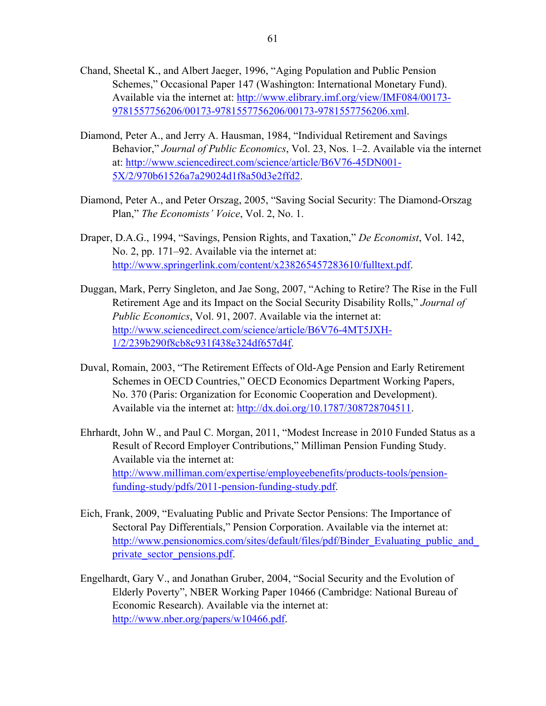- Chand, Sheetal K., and Albert Jaeger, 1996, "Aging Population and Public Pension Schemes," Occasional Paper 147 (Washington: International Monetary Fund). Available via the internet at: http://www.elibrary.imf.org/view/IMF084/00173- 9781557756206/00173-9781557756206/00173-9781557756206.xml.
- Diamond, Peter A., and Jerry A. Hausman, 1984, "Individual Retirement and Savings Behavior," *Journal of Public Economics*, Vol. 23, Nos. 1–2. Available via the internet at: http://www.sciencedirect.com/science/article/B6V76-45DN001- 5X/2/970b61526a7a29024d1f8a50d3e2ffd2.
- Diamond, Peter A., and Peter Orszag, 2005, "Saving Social Security: The Diamond-Orszag Plan," *The Economists' Voice*, Vol. 2, No. 1.
- Draper, D.A.G., 1994, "Savings, Pension Rights, and Taxation," *De Economist*, Vol. 142, No. 2, pp. 171–92. Available via the internet at: http://www.springerlink.com/content/x238265457283610/fulltext.pdf.
- Duggan, Mark, Perry Singleton, and Jae Song, 2007, "Aching to Retire? The Rise in the Full Retirement Age and its Impact on the Social Security Disability Rolls," *Journal of Public Economics*, Vol. 91, 2007. Available via the internet at: http://www.sciencedirect.com/science/article/B6V76-4MT5JXH-1/2/239b290f8cb8c931f438e324df657d4f.
- Duval, Romain, 2003, "The Retirement Effects of Old-Age Pension and Early Retirement Schemes in OECD Countries," OECD Economics Department Working Papers, No. 370 (Paris: Organization for Economic Cooperation and Development). Available via the internet at: http://dx.doi.org/10.1787/308728704511.
- Ehrhardt, John W., and Paul C. Morgan, 2011, "Modest Increase in 2010 Funded Status as a Result of Record Employer Contributions," Milliman Pension Funding Study. Available via the internet at: http://www.milliman.com/expertise/employeebenefits/products-tools/pensionfunding-study/pdfs/2011-pension-funding-study.pdf.
- Eich, Frank, 2009, "Evaluating Public and Private Sector Pensions: The Importance of Sectoral Pay Differentials," Pension Corporation. Available via the internet at: http://www.pensionomics.com/sites/default/files/pdf/Binder\_Evaluating\_public\_and private sector pensions.pdf.
- Engelhardt, Gary V., and Jonathan Gruber, 2004, "Social Security and the Evolution of Elderly Poverty", NBER Working Paper 10466 (Cambridge: National Bureau of Economic Research). Available via the internet at: http://www.nber.org/papers/w10466.pdf.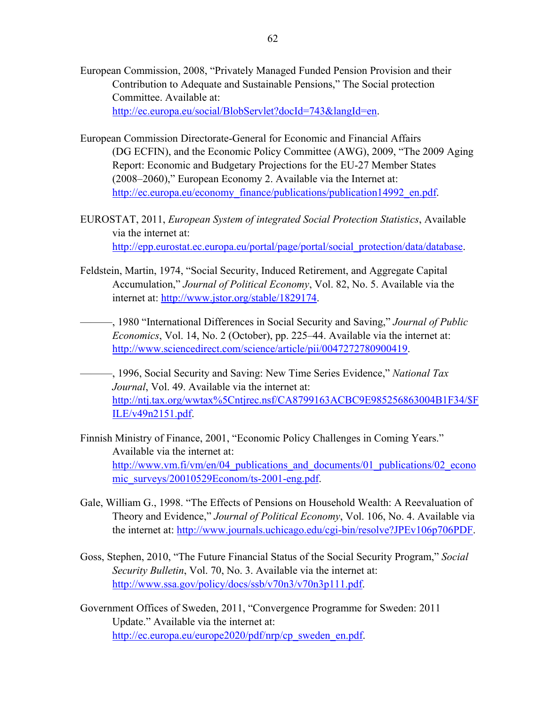- European Commission, 2008, "Privately Managed Funded Pension Provision and their Contribution to Adequate and Sustainable Pensions," The Social protection Committee. Available at: http://ec.europa.eu/social/BlobServlet?docId=743&langId=en.
- European Commission Directorate-General for Economic and Financial Affairs (DG ECFIN), and the Economic Policy Committee (AWG), 2009, "The 2009 Aging Report: Economic and Budgetary Projections for the EU-27 Member States (2008–2060)," European Economy 2. Available via the Internet at: http://ec.europa.eu/economy\_finance/publications/publication14992\_en.pdf.
- EUROSTAT, 2011, *European System of integrated Social Protection Statistics*, Available via the internet at: http://epp.eurostat.ec.europa.eu/portal/page/portal/social\_protection/data/database.
- Feldstein, Martin, 1974, "Social Security, Induced Retirement, and Aggregate Capital Accumulation," *Journal of Political Economy*, Vol. 82, No. 5. Available via the internet at: http://www.jstor.org/stable/1829174.
	- ———, 1980 "International Differences in Social Security and Saving," *Journal of Public Economics*, Vol. 14, No. 2 (October), pp. 225–44. Available via the internet at: http://www.sciencedirect.com/science/article/pii/0047272780900419.
	- ———, 1996, Social Security and Saving: New Time Series Evidence," *National Tax Journal*, Vol. 49. Available via the internet at: http://ntj.tax.org/wwtax%5Cntjrec.nsf/CA8799163ACBC9E985256863004B1F34/\$F ILE/v49n2151.pdf.
- Finnish Ministry of Finance, 2001, "Economic Policy Challenges in Coming Years." Available via the internet at: http://www.vm.fi/vm/en/04 publications and documents/01 publications/02 econo mic\_surveys/20010529Econom/ts-2001-eng.pdf.
- Gale, William G., 1998. "The Effects of Pensions on Household Wealth: A Reevaluation of Theory and Evidence," *Journal of Political Economy*, Vol. 106, No. 4. Available via the internet at: http://www.journals.uchicago.edu/cgi-bin/resolve?JPEv106p706PDF.
- Goss, Stephen, 2010, "The Future Financial Status of the Social Security Program," *Social Security Bulletin*, Vol. 70, No. 3. Available via the internet at: http://www.ssa.gov/policy/docs/ssb/v70n3/v70n3p111.pdf.
- Government Offices of Sweden, 2011, "Convergence Programme for Sweden: 2011 Update." Available via the internet at: http://ec.europa.eu/europe2020/pdf/nrp/cp\_sweden\_en.pdf.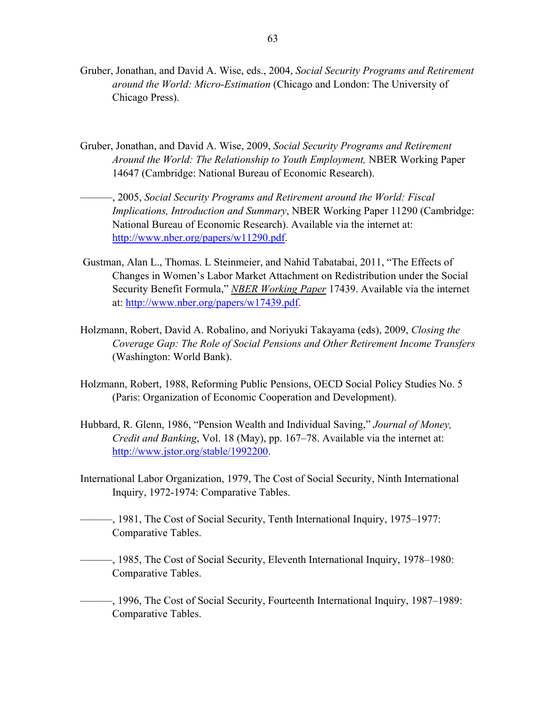- Gruber, Jonathan, and David A. Wise, eds., 2004, *Social Security Programs and Retirement around the World: Micro-Estimation* (Chicago and London: The University of Chicago Press).
- Gruber, Jonathan, and David A. Wise, 2009, *Social Security Programs and Retirement Around the World: The Relationship to Youth Employment,* NBER Working Paper 14647 (Cambridge: National Bureau of Economic Research).
- ———, 2005, *Social Security Programs and Retirement around the World: Fiscal Implications, Introduction and Summary*, NBER Working Paper 11290 (Cambridge: National Bureau of Economic Research). Available via the internet at: http://www.nber.org/papers/w11290.pdf.
- Gustman, Alan L., Thomas. L Steinmeier, and Nahid Tabatabai, 2011, "The Effects of Changes in Women's Labor Market Attachment on Redistribution under the Social Security Benefit Formula," *NBER Working Paper* 17439. Available via the internet at: http://www.nber.org/papers/w17439.pdf.
- Holzmann, Robert, David A. Robalino, and Noriyuki Takayama (eds), 2009, *Closing the Coverage Gap: The Role of Social Pensions and Other Retirement Income Transfers* (Washington: World Bank).
- Holzmann, Robert, 1988, Reforming Public Pensions, OECD Social Policy Studies No. 5 (Paris: Organization of Economic Cooperation and Development).
- Hubbard, R. Glenn, 1986, "Pension Wealth and Individual Saving," *Journal of Money, Credit and Banking*, Vol. 18 (May), pp. 167–78. Available via the internet at: http://www.jstor.org/stable/1992200.
- International Labor Organization, 1979, The Cost of Social Security, Ninth International Inquiry, 1972-1974: Comparative Tables.
- ———, 1981, The Cost of Social Security, Tenth International Inquiry, 1975–1977: Comparative Tables.
- ———, 1985, The Cost of Social Security, Eleventh International Inquiry, 1978–1980: Comparative Tables.

———, 1996, The Cost of Social Security, Fourteenth International Inquiry, 1987–1989: Comparative Tables.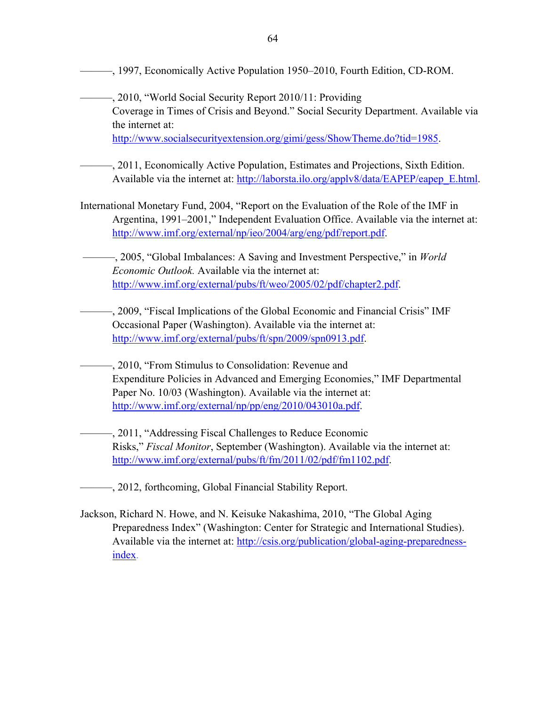———, 1997, Economically Active Population 1950–2010, Fourth Edition, CD-ROM.

———, 2010, "World Social Security Report 2010/11: Providing Coverage in Times of Crisis and Beyond." Social Security Department. Available via the internet at: http://www.socialsecurityextension.org/gimi/gess/ShowTheme.do?tid=1985.

- ———, 2011, Economically Active Population, Estimates and Projections, Sixth Edition. Available via the internet at: http://laborsta.ilo.org/applv8/data/EAPEP/eapep\_E.html.
- International Monetary Fund, 2004, "Report on the Evaluation of the Role of the IMF in Argentina, 1991–2001," Independent Evaluation Office. Available via the internet at: http://www.imf.org/external/np/ieo/2004/arg/eng/pdf/report.pdf.

 ———, 2005, "Global Imbalances: A Saving and Investment Perspective," in *World Economic Outlook.* Available via the internet at: http://www.imf.org/external/pubs/ft/weo/2005/02/pdf/chapter2.pdf.

- ———, 2009, "Fiscal Implications of the Global Economic and Financial Crisis" IMF Occasional Paper (Washington). Available via the internet at: http://www.imf.org/external/pubs/ft/spn/2009/spn0913.pdf.
	- ———, 2010, "From Stimulus to Consolidation: Revenue and Expenditure Policies in Advanced and Emerging Economies," IMF Departmental Paper No. 10/03 (Washington). Available via the internet at: http://www.imf.org/external/np/pp/eng/2010/043010a.pdf.

———, 2011, "Addressing Fiscal Challenges to Reduce Economic Risks," *Fiscal Monitor*, September (Washington). Available via the internet at: http://www.imf.org/external/pubs/ft/fm/2011/02/pdf/fm1102.pdf.

———, 2012, forthcoming, Global Financial Stability Report.

Jackson, Richard N. Howe, and N. Keisuke Nakashima, 2010, "The Global Aging Preparedness Index" (Washington: Center for Strategic and International Studies). Available via the internet at: http://csis.org/publication/global-aging-preparednessindex.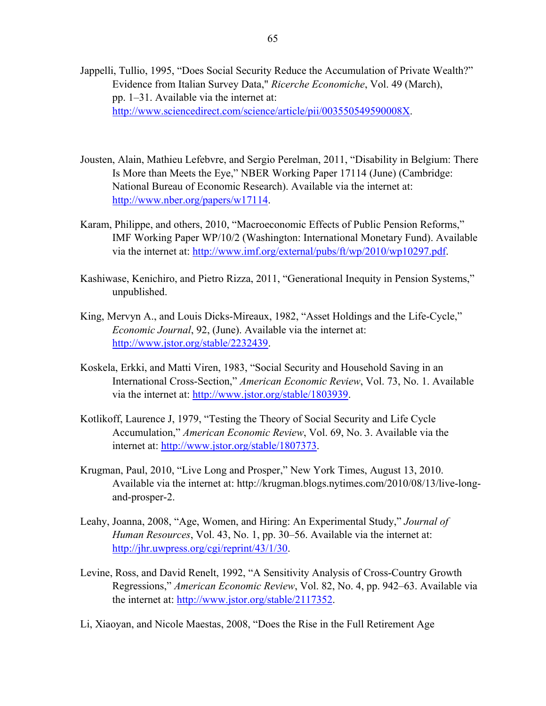- Jappelli, Tullio, 1995, "Does Social Security Reduce the Accumulation of Private Wealth?" Evidence from Italian Survey Data," *Ricerche Economiche*, Vol. 49 (March), pp. 1–31. Available via the internet at: http://www.sciencedirect.com/science/article/pii/003550549590008X.
- Jousten, Alain, Mathieu Lefebvre, and Sergio Perelman, 2011, "Disability in Belgium: There Is More than Meets the Eye," NBER Working Paper 17114 (June) (Cambridge: National Bureau of Economic Research). Available via the internet at: http://www.nber.org/papers/w17114.
- Karam, Philippe, and others, 2010, "Macroeconomic Effects of Public Pension Reforms," IMF Working Paper WP/10/2 (Washington: International Monetary Fund). Available via the internet at: http://www.imf.org/external/pubs/ft/wp/2010/wp10297.pdf.
- Kashiwase, Kenichiro, and Pietro Rizza, 2011, "Generational Inequity in Pension Systems," unpublished.
- King, Mervyn A., and Louis Dicks-Mireaux, 1982, "Asset Holdings and the Life-Cycle," *Economic Journal*, 92, (June). Available via the internet at: http://www.jstor.org/stable/2232439.
- Koskela, Erkki, and Matti Viren, 1983, "Social Security and Household Saving in an International Cross-Section," *American Economic Review*, Vol. 73, No. 1. Available via the internet at: http://www.jstor.org/stable/1803939.
- Kotlikoff, Laurence J, 1979, "Testing the Theory of Social Security and Life Cycle Accumulation," *American Economic Review*, Vol. 69, No. 3. Available via the internet at: http://www.jstor.org/stable/1807373.
- Krugman, Paul, 2010, "Live Long and Prosper," New York Times, August 13, 2010. Available via the internet at: http://krugman.blogs.nytimes.com/2010/08/13/live-longand-prosper-2.
- Leahy, Joanna, 2008, "Age, Women, and Hiring: An Experimental Study," *Journal of Human Resources*, Vol. 43, No. 1, pp. 30–56. Available via the internet at: http://jhr.uwpress.org/cgi/reprint/43/1/30.
- Levine, Ross, and David Renelt, 1992, "A Sensitivity Analysis of Cross-Country Growth Regressions," *American Economic Review*, Vol. 82, No. 4, pp. 942–63. Available via the internet at: http://www.jstor.org/stable/2117352.
- Li, Xiaoyan, and Nicole Maestas, 2008, "Does the Rise in the Full Retirement Age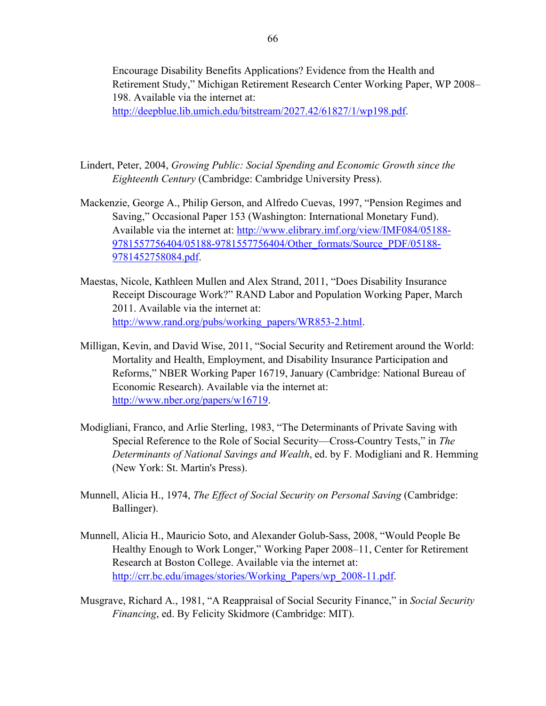Encourage Disability Benefits Applications? Evidence from the Health and Retirement Study," Michigan Retirement Research Center Working Paper, WP 2008– 198. Available via the internet at:

http://deepblue.lib.umich.edu/bitstream/2027.42/61827/1/wp198.pdf.

- Lindert, Peter, 2004, *Growing Public: Social Spending and Economic Growth since the Eighteenth Century* (Cambridge: Cambridge University Press).
- Mackenzie, George A., Philip Gerson, and Alfredo Cuevas, 1997, "Pension Regimes and Saving," Occasional Paper 153 (Washington: International Monetary Fund). Available via the internet at: http://www.elibrary.imf.org/view/IMF084/05188- 9781557756404/05188-9781557756404/Other\_formats/Source\_PDF/05188- 9781452758084.pdf.
- Maestas, Nicole, Kathleen Mullen and Alex Strand, 2011, "Does Disability Insurance Receipt Discourage Work?" RAND Labor and Population Working Paper, March 2011. Available via the internet at: http://www.rand.org/pubs/working\_papers/WR853-2.html.
- Milligan, Kevin, and David Wise, 2011, "Social Security and Retirement around the World: Mortality and Health, Employment, and Disability Insurance Participation and Reforms," NBER Working Paper 16719, January (Cambridge: National Bureau of Economic Research). Available via the internet at: http://www.nber.org/papers/w16719.
- Modigliani, Franco, and Arlie Sterling, 1983, "The Determinants of Private Saving with Special Reference to the Role of Social Security—Cross-Country Tests," in *The Determinants of National Savings and Wealth*, ed. by F. Modigliani and R. Hemming (New York: St. Martin's Press).
- Munnell, Alicia H., 1974, *The Effect of Social Security on Personal Saving* (Cambridge: Ballinger).
- Munnell, Alicia H., Mauricio Soto, and Alexander Golub-Sass, 2008, "Would People Be Healthy Enough to Work Longer," Working Paper 2008–11, Center for Retirement Research at Boston College. Available via the internet at: http://crr.bc.edu/images/stories/Working\_Papers/wp\_2008-11.pdf.
- Musgrave, Richard A., 1981, "A Reappraisal of Social Security Finance," in *Social Security Financing*, ed. By Felicity Skidmore (Cambridge: MIT).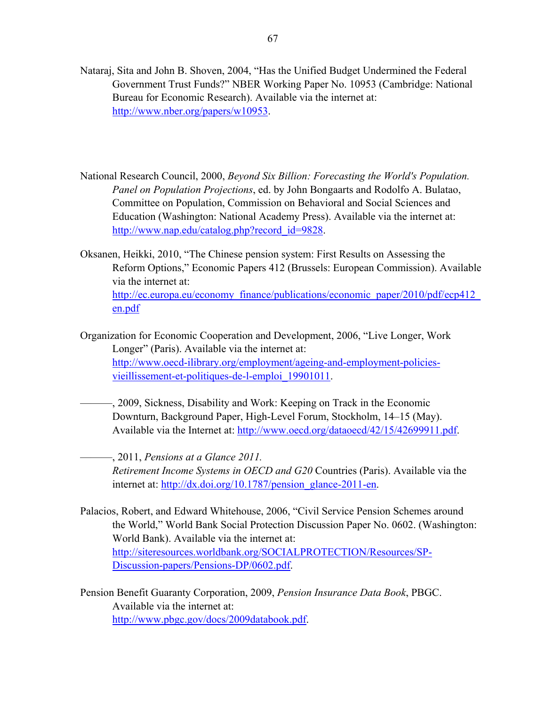- Nataraj, Sita and John B. Shoven, 2004, "Has the Unified Budget Undermined the Federal Government Trust Funds?" NBER Working Paper No. 10953 (Cambridge: National Bureau for Economic Research). Available via the internet at: http://www.nber.org/papers/w10953.
- National Research Council, 2000, *Beyond Six Billion: Forecasting the World's Population. Panel on Population Projections*, ed. by John Bongaarts and Rodolfo A. Bulatao, Committee on Population, Commission on Behavioral and Social Sciences and Education (Washington: National Academy Press). Available via the internet at: http://www.nap.edu/catalog.php?record\_id=9828.
- Oksanen, Heikki, 2010, "The Chinese pension system: First Results on Assessing the Reform Options," Economic Papers 412 (Brussels: European Commission). Available via the internet at: http://ec.europa.eu/economy\_finance/publications/economic\_paper/2010/pdf/ecp412\_ en.pdf
- Organization for Economic Cooperation and Development, 2006, "Live Longer, Work Longer" (Paris). Available via the internet at: http://www.oecd-ilibrary.org/employment/ageing-and-employment-policiesvieillissement-et-politiques-de-l-emploi\_19901011.
- ———, 2009, Sickness, Disability and Work: Keeping on Track in the Economic Downturn, Background Paper, High-Level Forum, Stockholm, 14–15 (May). Available via the Internet at: http://www.oecd.org/dataoecd/42/15/42699911.pdf.

———, 2011, *Pensions at a Glance 2011. Retirement Income Systems in OECD and G20* Countries (Paris). Available via the internet at: http://dx.doi.org/10.1787/pension\_glance-2011-en.

- Palacios, Robert, and Edward Whitehouse, 2006, "Civil Service Pension Schemes around the World," World Bank Social Protection Discussion Paper No. 0602. (Washington: World Bank). Available via the internet at: http://siteresources.worldbank.org/SOCIALPROTECTION/Resources/SP-Discussion-papers/Pensions-DP/0602.pdf.
- Pension Benefit Guaranty Corporation, 2009, *Pension Insurance Data Book*, PBGC. Available via the internet at: http://www.pbgc.gov/docs/2009databook.pdf.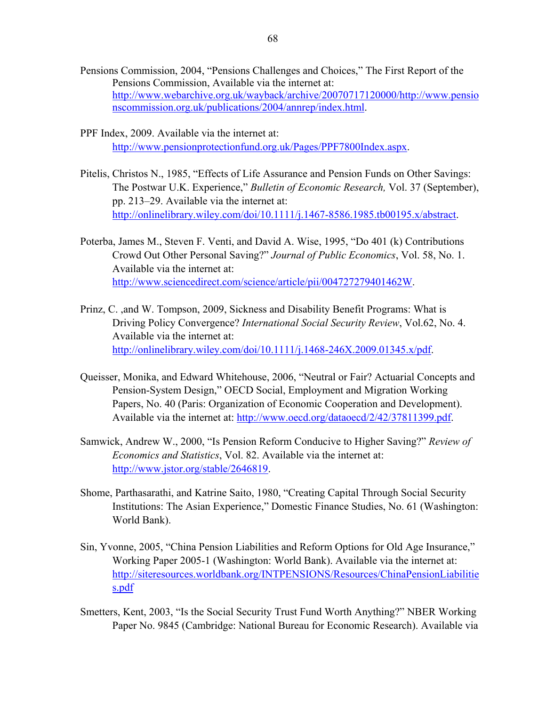- Pensions Commission, 2004, "Pensions Challenges and Choices," The First Report of the Pensions Commission, Available via the internet at: http://www.webarchive.org.uk/wayback/archive/20070717120000/http://www.pensio nscommission.org.uk/publications/2004/annrep/index.html.
- PPF Index, 2009. Available via the internet at: http://www.pensionprotectionfund.org.uk/Pages/PPF7800Index.aspx.
- Pitelis, Christos N., 1985, "Effects of Life Assurance and Pension Funds on Other Savings: The Postwar U.K. Experience," *Bulletin of Economic Research,* Vol. 37 (September), pp. 213–29. Available via the internet at: http://onlinelibrary.wiley.com/doi/10.1111/j.1467-8586.1985.tb00195.x/abstract.
- Poterba, James M., Steven F. Venti, and David A. Wise, 1995, "Do 401 (k) Contributions Crowd Out Other Personal Saving?" *Journal of Public Economics*, Vol. 58, No. 1. Available via the internet at: http://www.sciencedirect.com/science/article/pii/004727279401462W.
- Prinz, C. ,and W. Tompson, 2009, Sickness and Disability Benefit Programs: What is Driving Policy Convergence? *International Social Security Review*, Vol.62, No. 4. Available via the internet at: http://onlinelibrary.wiley.com/doi/10.1111/j.1468-246X.2009.01345.x/pdf.
- Queisser, Monika, and Edward Whitehouse, 2006, "Neutral or Fair? Actuarial Concepts and Pension-System Design," OECD Social, Employment and Migration Working Papers, No. 40 (Paris: Organization of Economic Cooperation and Development). Available via the internet at: http://www.oecd.org/dataoecd/2/42/37811399.pdf.
- Samwick, Andrew W., 2000, "Is Pension Reform Conducive to Higher Saving?" *Review of Economics and Statistics*, Vol. 82. Available via the internet at: http://www.jstor.org/stable/2646819.
- Shome, Parthasarathi, and Katrine Saito, 1980, "Creating Capital Through Social Security Institutions: The Asian Experience," Domestic Finance Studies, No. 61 (Washington: World Bank).
- Sin, Yvonne, 2005, "China Pension Liabilities and Reform Options for Old Age Insurance," Working Paper 2005-1 (Washington: World Bank). Available via the internet at: http://siteresources.worldbank.org/INTPENSIONS/Resources/ChinaPensionLiabilitie s.pdf
- Smetters, Kent, 2003, "Is the Social Security Trust Fund Worth Anything?" NBER Working Paper No. 9845 (Cambridge: National Bureau for Economic Research). Available via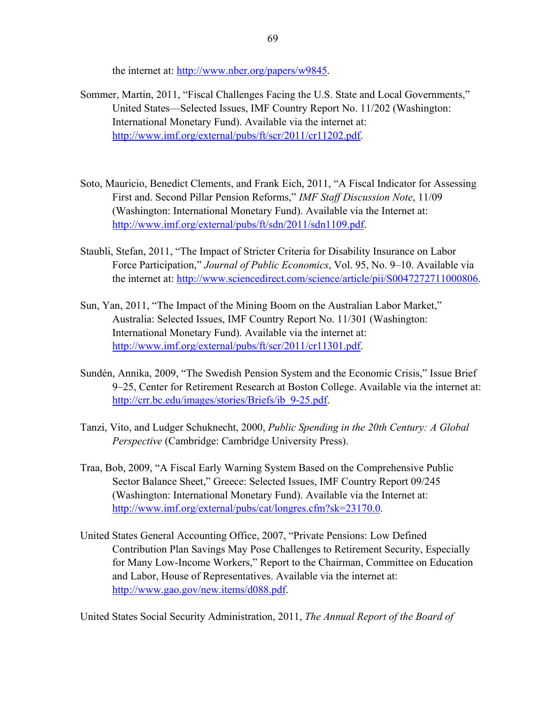the internet at: http://www.nber.org/papers/w9845.

- Sommer, Martin, 2011, "Fiscal Challenges Facing the U.S. State and Local Governments," United States––Selected Issues, IMF Country Report No. 11/202 (Washington: International Monetary Fund). Available via the internet at: http://www.imf.org/external/pubs/ft/scr/2011/cr11202.pdf.
- Soto, Mauricio, Benedict Clements, and Frank Eich, 2011, "A Fiscal Indicator for Assessing First and. Second Pillar Pension Reforms," *IMF Staff Discussion Note*, 11/09 (Washington: International Monetary Fund). Available via the Internet at: http://www.imf.org/external/pubs/ft/sdn/2011/sdn1109.pdf.
- Staubli, Stefan, 2011, "The Impact of Stricter Criteria for Disability Insurance on Labor Force Participation," *Journal of Public Economics*, Vol. 95, No. 9–10. Available via the internet at: http://www.sciencedirect.com/science/article/pii/S0047272711000806.
- Sun, Yan, 2011, "The Impact of the Mining Boom on the Australian Labor Market," Australia: Selected Issues, IMF Country Report No. 11/301 (Washington: International Monetary Fund). Available via the internet at: http://www.imf.org/external/pubs/ft/scr/2011/cr11301.pdf.
- Sundén, Annika, 2009, "The Swedish Pension System and the Economic Crisis," Issue Brief 9–25, Center for Retirement Research at Boston College. Available via the internet at: http://crr.bc.edu/images/stories/Briefs/ib\_9-25.pdf.
- Tanzi, Vito, and Ludger Schuknecht, 2000, *Public Spending in the 20th Century: A Global Perspective* (Cambridge: Cambridge University Press).
- Traa, Bob, 2009, "A Fiscal Early Warning System Based on the Comprehensive Public Sector Balance Sheet," Greece: Selected Issues, IMF Country Report 09/245 (Washington: International Monetary Fund). Available via the Internet at: http://www.imf.org/external/pubs/cat/longres.cfm?sk=23170.0.
- United States General Accounting Office, 2007, "Private Pensions: Low Defined Contribution Plan Savings May Pose Challenges to Retirement Security, Especially for Many Low-Income Workers," Report to the Chairman, Committee on Education and Labor, House of Representatives. Available via the internet at: http://www.gao.gov/new.items/d088.pdf.

United States Social Security Administration, 2011, *The Annual Report of the Board of*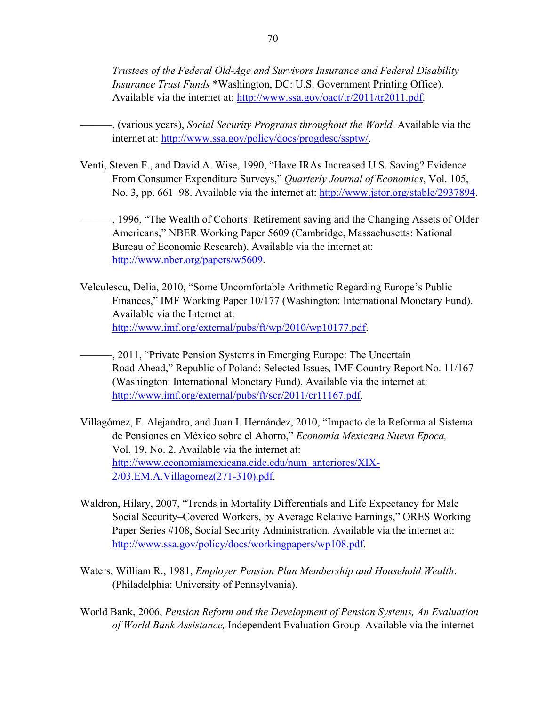*Trustees of the Federal Old-Age and Survivors Insurance and Federal Disability Insurance Trust Funds* \*Washington, DC: U.S. Government Printing Office). Available via the internet at: http://www.ssa.gov/oact/tr/2011/tr2011.pdf.

- ———, (various years), *Social Security Programs throughout the World.* Available via the internet at: http://www.ssa.gov/policy/docs/progdesc/ssptw/.
- Venti, Steven F., and David A. Wise, 1990, "Have IRAs Increased U.S. Saving? Evidence From Consumer Expenditure Surveys," *Quarterly Journal of Economics*, Vol. 105, No. 3, pp. 661–98. Available via the internet at: http://www.jstor.org/stable/2937894.
	- ———, 1996, "The Wealth of Cohorts: Retirement saving and the Changing Assets of Older Americans," NBER Working Paper 5609 (Cambridge, Massachusetts: National Bureau of Economic Research). Available via the internet at: http://www.nber.org/papers/w5609.
- Velculescu, Delia, 2010, "Some Uncomfortable Arithmetic Regarding Europe's Public Finances," IMF Working Paper 10/177 (Washington: International Monetary Fund). Available via the Internet at: http://www.imf.org/external/pubs/ft/wp/2010/wp10177.pdf.
- ———, 2011, "Private Pension Systems in Emerging Europe: The Uncertain Road Ahead," Republic of Poland: Selected Issues*,* IMF Country Report No. 11/167 (Washington: International Monetary Fund). Available via the internet at: http://www.imf.org/external/pubs/ft/scr/2011/cr11167.pdf.
- Villagómez, F. Alejandro, and Juan I. Hernández, 2010, "Impacto de la Reforma al Sistema de Pensiones en México sobre el Ahorro," *Economía Mexicana Nueva Epoca,*  Vol. 19, No. 2. Available via the internet at: http://www.economiamexicana.cide.edu/num\_anteriores/XIX-2/03.EM.A.Villagomez(271-310).pdf.
- Waldron, Hilary, 2007, "Trends in Mortality Differentials and Life Expectancy for Male Social Security–Covered Workers, by Average Relative Earnings," ORES Working Paper Series #108, Social Security Administration. Available via the internet at: http://www.ssa.gov/policy/docs/workingpapers/wp108.pdf.
- Waters, William R., 1981, *Employer Pension Plan Membership and Household Wealth*. (Philadelphia: University of Pennsylvania).
- World Bank, 2006, *Pension Reform and the Development of Pension Systems, An Evaluation of World Bank Assistance,* Independent Evaluation Group. Available via the internet